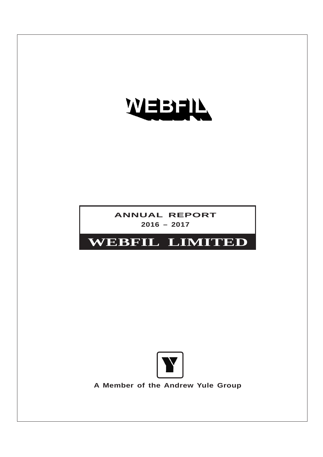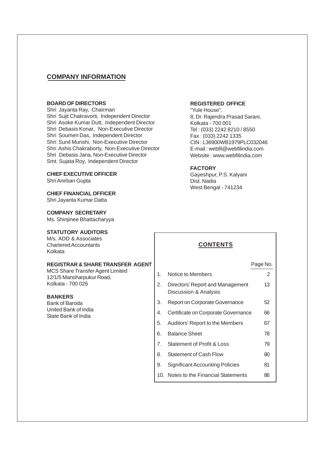# **COMPANY INFORMATION**

#### **BOARD OF DIRECTORS**

Shri Jayanta Ray, Chairman Shri Sujit Chakravorti, Independent Director Shri Asoke Kumar Dutt, Independent Director Shri Debasis Konar, Non-Executive Director Shri Soumen Das, Independent Director Shri Sunil Munshi, Non-Executive Director Shri Ashis Chakraborty, Non-Executive Director Shri Debasis Jana, Non-Executive Director Smt. Sujata Roy, Independent Director

#### **CHIEF EXECUTIVE OFFICER**

Shri Anirban Gupta

#### **CHIEF FINANCIAL OFFICER**

Shri Jayanta Kumar Datta

#### **COMPANY SECRETARY**

Ms. Shinjinee Bhattacharyya

### **STATUTORY AUDITORS**

M/s. ADD & Associates Chartered Accountants Kolkata

#### **REGISTRAR & SHARE TRANSFER AGENT**

MCS Share Transfer Agent Limited 12/1/5 Manoharpukur Road, Kolkata - 700 026

### **BANKERS**

Bank of Baroda United Bank of India State Bank of India

### **REGISTERED OFFICE**

"Yule House", 8, Dr. Rajendra Prasad Sarani, Kolkata - 700 001 Tel : (033) 2242 8210 / 8550 Fax : (033) 2242 1335 CIN : L36900WB1979PLC032046 E-mail : webfil@webfilindia.com Website : www.webfilindia.com

### **FACTORY**

Gayeshpur, P.S. Kalyani Dist. Nadia West Bengal - 741234

### **CONTENTS**

|     |                                                           | Page No. |
|-----|-----------------------------------------------------------|----------|
| 1.  | Notice to Members                                         | 2        |
| 2.  | Directors' Report and Management<br>Discussion & Analysis | 13       |
| 3.  | Report on Corporate Governance                            | 52       |
| 4.  | Certificate on Corporate Governance                       | 66       |
| 5.  | Auditors' Report to the Members                           | 67       |
| 6.  | <b>Balance Sheet</b>                                      | 78       |
| 7.  | Statement of Profit & Loss                                | 79       |
| 8.  | <b>Statement of Cash Flow</b>                             | 80       |
| 9.  | <b>Significant Accounting Policies</b>                    | 81       |
| 10. | Notes to the Financial Statements                         | 86       |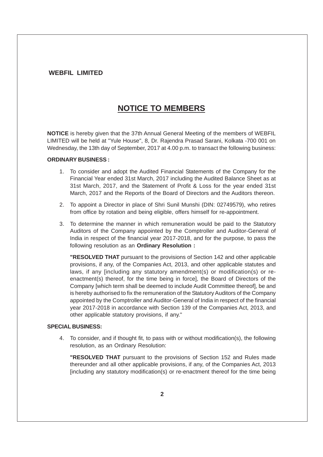# **NOTICE TO MEMBERS**

**NOTICE** is hereby given that the 37th Annual General Meeting of the members of WEBFIL LIMITED will be held at "Yule House", 8, Dr. Rajendra Prasad Sarani, Kolkata -700 001 on Wednesday, the 13th day of September, 2017 at 4.00 p.m. to transact the following business:

#### **ORDINARY BUSINESS :**

- 1. To consider and adopt the Audited Financial Statements of the Company for the Financial Year ended 31st March, 2017 including the Audited Balance Sheet as at 31st March, 2017, and the Statement of Profit & Loss for the year ended 31st March, 2017 and the Reports of the Board of Directors and the Auditors thereon.
- 2. To appoint a Director in place of Shri Sunil Munshi (DIN: 02749579), who retires from office by rotation and being eligible, offers himself for re-appointment.
- 3. To determine the manner in which remuneration would be paid to the Statutory Auditors of the Company appointed by the Comptroller and Auditor-General of India in respect of the financial year 2017-2018, and for the purpose, to pass the following resolution as an **Ordinary Resolution :**

**"RESOLVED THAT** pursuant to the provisions of Section 142 and other applicable provisions, if any, of the Companies Act, 2013, and other applicable statutes and laws, if any [including any statutory amendment(s) or modification(s) or reenactment(s) thereof, for the time being in force], the Board of Directors of the Company [which term shall be deemed to include Audit Committee thereof], be and is hereby authorised to fix the remuneration of the Statutory Auditors of the Company appointed by the Comptroller and Auditor-General of India in respect of the financial year 2017-2018 in accordance with Section 139 of the Companies Act, 2013, and other applicable statutory provisions, if any."

#### **SPECIAL BUSINESS:**

4. To consider, and if thought fit, to pass with or without modification(s), the following resolution, as an Ordinary Resolution:

**"RESOLVED THAT** pursuant to the provisions of Section 152 and Rules made thereunder and all other applicable provisions, if any, of the Companies Act, 2013 [including any statutory modification(s) or re-enactment thereof for the time being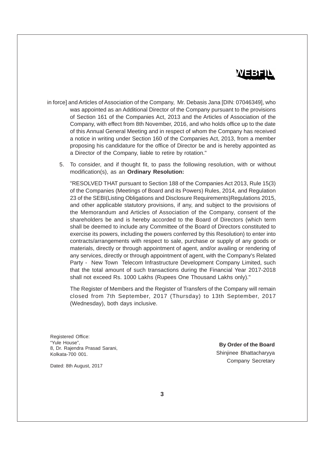

- in force] and Articles of Association of the Company, Mr. Debasis Jana [DIN: 07046349], who was appointed as an Additional Director of the Company pursuant to the provisions of Section 161 of the Companies Act, 2013 and the Articles of Association of the Company, with effect from 8th November, 2016, and who holds office up to the date of this Annual General Meeting and in respect of whom the Company has received a notice in writing under Section 160 of the Companies Act, 2013, from a member proposing his candidature for the office of Director be and is hereby appointed as a Director of the Company, liable to retire by rotation."
	- 5. To consider, and if thought fit, to pass the following resolution, with or without modification(s), as an **Ordinary Resolution:**

"RESOLVED THAT pursuant to Section 188 of the Companies Act 2013, Rule 15(3) of the Companies (Meetings of Board and its Powers) Rules, 2014, and Regulation 23 of the SEBI(Listing Obligations and Disclosure Requirements)Regulations 2015, and other applicable statutory provisions, if any, and subject to the provisions of the Memorandum and Articles of Association of the Company, consent of the shareholders be and is hereby accorded to the Board of Directors (which term shall be deemed to include any Committee of the Board of Directors constituted to exercise its powers, including the powers conferred by this Resolution) to enter into contracts/arrangements with respect to sale, purchase or supply of any goods or materials, directly or through appointment of agent, and/or availing or rendering of any services, directly or through appointment of agent, with the Company's Related Party - New Town Telecom Infrastructure Development Company Limited, such that the total amount of such transactions during the Financial Year 2017-2018 shall not exceed Rs. 1000 Lakhs (Rupees One Thousand Lakhs only)."

The Register of Members and the Register of Transfers of the Company will remain closed from 7th September, 2017 (Thursday) to 13th September, 2017 (Wednesday), both days inclusive.

Registered Office: "Yule House", 8, Dr. Rajendra Prasad Sarani, Kolkata-700 001.

Dated: 8th August, 2017

**By Order of the Board** Shinjinee Bhattacharyya Company Secretary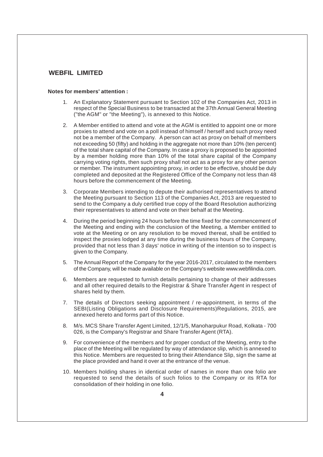#### **Notes for members' attention :**

- 1. An Explanatory Statement pursuant to Section 102 of the Companies Act, 2013 in respect of the Special Business to be transacted at the 37th Annual General Meeting ("the AGM" or "the Meeting"), is annexed to this Notice.
- 2. A Member entitled to attend and vote at the AGM is entitled to appoint one or more proxies to attend and vote on a poll instead of himself / herself and such proxy need not be a member of the Company. A person can act as proxy on behalf of members not exceeding 50 (fifty) and holding in the aggregate not more than 10% (ten percent) of the total share capital of the Company. In case a proxy is proposed to be appointed by a member holding more than 10% of the total share capital of the Company carrying voting rights, then such proxy shall not act as a proxy for any other person or member. The instrument appointing proxy, in order to be effective, should be duly completed and deposited at the Registered Office of the Company not less than 48 hours before the commencement of the Meeting.
- 3. Corporate Members intending to depute their authorised representatives to attend the Meeting pursuant to Section 113 of the Companies Act, 2013 are requested to send to the Company a duly certified true copy of the Board Resolution authorizing their representatives to attend and vote on their behalf at the Meeting.
- 4. During the period beginning 24 hours before the time fixed for the commencement of the Meeting and ending with the conclusion of the Meeting, a Member entitled to vote at the Meeting or on any resolution to be moved thereat, shall be entitled to inspect the proxies lodged at any time during the business hours of the Company, provided that not less than 3 days' notice in writing of the intention so to inspect is given to the Company.
- 5. The Annual Report of the Company for the year 2016-2017, circulated to the members of the Company, will be made available on the Company's website www.webfilindia.com.
- 6. Members are requested to furnish details pertaining to change of their addresses and all other required details to the Registrar & Share Transfer Agent in respect of shares held by them.
- 7. The details of Directors seeking appointment / re-appointment, in terms of the SEBI(Listing Obligations and Disclosure Requirements)Regulations, 2015, are annexed hereto and forms part of this Notice.
- 8. M/s. MCS Share Transfer Agent Limited, 12/1/5, Manoharpukur Road, Kolkata 700 026, is the Company's Registrar and Share Transfer Agent (RTA).
- 9. For convenience of the members and for proper conduct of the Meeting, entry to the place of the Meeting will be regulated by way of attendance slip, which is annexed to this Notice. Members are requested to bring their Attendance Slip, sign the same at the place provided and hand it over at the entrance of the venue.
- 10. Members holding shares in identical order of names in more than one folio are requested to send the details of such folios to the Company or its RTA for consolidation of their holding in one folio.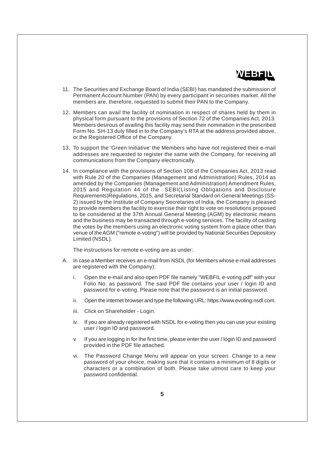

- 11. The Securities and Exchange Board of India (SEBI) has mandated the submission of Permanent Account Number (PAN) by every participant in securities market. All the members are, therefore, requested to submit their PAN to the Company.
- 12. Members can avail the facility of nomination in respect of shares held by them in physical form pursuant to the provisions of Section 72 of the Companies Act, 2013. Members desirous of availing this facility may send their nomination in the prescribed Form No. SH-13 duly filled in to the Company's RTA at the address provided above, or the Registered Office of the Company.
- 13. To support the 'Green Initiative' the Members who have not registered their e-mail addresses are requested to register the same with the Company, for receiving all communications from the Company electronically.
- 14. In compliance with the provisions of Section 108 of the Companies Act, 2013 read with Rule 20 of the Companies (Management and Administration) Rules, 2014 as amended by the Companies (Management and Administration) Amendment Rules, 2015 and Regulation 44 of the SEBI(Listing Obligations and Disclosure Requirements)Regulations, 2015, and Secretarial Standard on General Meetings (SS-2) issued by the Institute of Company Secretaries of India, the Company is pleased to provide members the facility to exercise their right to vote on resolutions proposed to be considered at the 37th Annual General Meeting (AGM) by electronic means and the business may be transacted through e-voting services. The facility of casting the votes by the members using an electronic voting system from a place other than venue of the AGM ("remote e-voting") will be provided by National Securities Depository Limited (NSDL).

The instructions for remote e-voting are as under:

- A. In case a Member receives an e-mail from NSDL (for Members whose e-mail addresses are registered with the Company):
	- i. Open the e-mail and also open PDF file namely "WEBFIL e-voting.pdf" with your Folio No. as password. The said PDF file contains your user / login ID and password for e-voting. Please note that the password is an initial password.
	- ii. Open the internet browser and type the following URL: https://www.evoting.nsdl.com.
	- iii. Click on Shareholder Login.
	- iv. If you are already registered with NSDL for e-voting then you can use your existing user / login ID and password.
	- v. If you are logging in for the first time, please enter the user / login ID and password provided in the PDF file attached.
	- vi. The Password Change Menu will appear on your screen. Change to a new password of your choice, making sure that it contains a minimum of 8 digits or characters or a combination of both. Please take utmost care to keep your password confidential.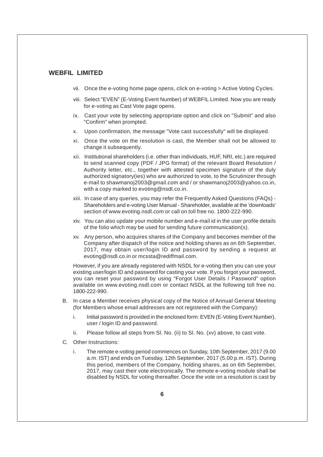- vii. Once the e-voting home page opens, click on e-voting > Active Voting Cycles.
- viii. Select "EVEN" (E-Voting Event Number) of WEBFIL Limited. Now you are ready for e-voting as Cast Vote page opens.
- ix. Cast your vote by selecting appropriate option and click on "Submit" and also "Confirm" when prompted.
- x. Upon confirmation, the message "Vote cast successfully" will be displayed.
- xi. Once the vote on the resolution is cast, the Member shall not be allowed to change it subsequently.
- xii. Institutional shareholders (i.e. other than individuals, HUF, NRI, etc.) are required to send scanned copy (PDF / JPG format) of the relevant Board Resolution / Authority letter, etc., together with attested specimen signature of the duly authorized signatory(ies) who are authorized to vote, to the Scrutinizer through e-mail to shawmanoj2003@gmail.com and / or shawmanoj2003@yahoo.co.in, with a copy marked to evoting@nsdl.co.in.
- xiii. In case of any queries, you may refer the Frequently Asked Questions (FAQs) Shareholders and e-voting User Manual - Shareholder, available at the 'downloads' section of www.evoting.nsdl.com or call on toll free no. 1800-222-990.
- xiv. You can also update your mobile number and e-mail id in the user profile details of the folio which may be used for sending future communication(s).
- xv. Any person, who acquires shares of the Company and becomes member of the Company after dispatch of the notice and holding shares as on 6th September, 2017, may obtain user/login ID and password by sending a request at evoting@nsdl.co.in or mcssta@rediffmail.com.

However, if you are already registered with NSDL for e-voting then you can use your existing user/login ID and password for casting your vote. If you forgot your password, you can reset your password by using "Forgot User Details / Password" option available on www.evoting.nsdl.com or contact NSDL at the following toll free no. 1800-222-990.

- B. In case a Member receives physical copy of the Notice of Annual General Meeting (for Members whose email addresses are not registered with the Company):
	- i. Initial password is provided in the enclosed form: EVEN (E-Voting Event Number), user / login ID and password.
	- ii. Please follow all steps from Sl. No. (ii) to Sl. No. (xv) above, to cast vote.
- C. Other Instructions:
	- i. The remote e-voting period commences on Sunday, 10th September, 2017 (9.00 a.m. IST) and ends on Tuesday, 12th September, 2017 (5.00 p.m. IST). During this period, members of the Company, holding shares, as on 6th September, 2017, may cast their vote electronically. The remote e-voting module shall be disabled by NSDL for voting thereafter. Once the vote on a resolution is cast by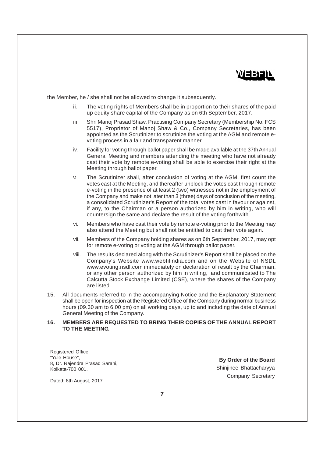

the Member, he / she shall not be allowed to change it subsequently.

- ii. The voting rights of Members shall be in proportion to their shares of the paid up equity share capital of the Company as on 6th September, 2017.
- iii. Shri Manoj Prasad Shaw, Practising Company Secretary (Membership No. FCS 5517), Proprietor of Manoj Shaw & Co., Company Secretaries, has been appointed as the Scrutinizer to scrutinize the voting at the AGM and remote evoting process in a fair and transparent manner.
- iv. Facility for voting through ballot paper shall be made available at the 37th Annual General Meeting and members attending the meeting who have not already cast their vote by remote e-voting shall be able to exercise their right at the Meeting through ballot paper.
- v. The Scrutinizer shall, after conclusion of voting at the AGM, first count the votes cast at the Meeting, and thereafter unblock the votes cast through remote e-voting in the presence of at least 2 (two) witnesses not in the employment of the Company and make not later than 3 (three) days of conclusion of the meeting, a consolidated Scrutinizer's Report of the total votes cast in favour or against, if any, to the Chairman or a person authorized by him in writing, who will countersign the same and declare the result of the voting forthwith.
- vi. Members who have cast their vote by remote e-voting prior to the Meeting may also attend the Meeting but shall not be entitled to cast their vote again.
- vii. Members of the Company holding shares as on 6th September, 2017, may opt for remote e-voting or voting at the AGM through ballot paper.
- viii. The results declared along with the Scrutinizer's Report shall be placed on the Company's Website www.webfilindia.com and on the Website of NSDL www.evoting.nsdl.com immediately on declaration of result by the Chairman, or any other person authorized by him in writing, and communicated to The Calcutta Stock Exchange Limited (CSE), where the shares of the Company are listed.
- 15. All documents referred to in the accompanying Notice and the Explanatory Statement shall be open for inspection at the Registered Office of the Company during normal business hours (09.30 am to 6.00 pm) on all working days, up to and including the date of Annual General Meeting of the Company.

#### **16. MEMBERS ARE REQUESTED TO BRING THEIR COPIES OF THE ANNUAL REPORT TO THE MEETING.**

Registered Office: "Yule House", 8, Dr. Rajendra Prasad Sarani, Kolkata-700 001.

**By Order of the Board** Shinjinee Bhattacharyya Company Secretary

Dated: 8th August, 2017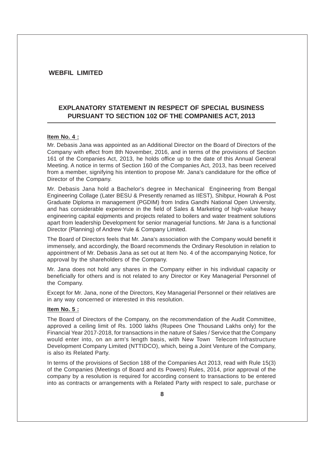# **EXPLANATORY STATEMENT IN RESPECT OF SPECIAL BUSINESS PURSUANT TO SECTION 102 OF THE COMPANIES ACT, 2013**

#### **Item No. 4 :**

Mr. Debasis Jana was appointed as an Additional Director on the Board of Directors of the Company with effect from 8th November, 2016, and in terms of the provisions of Section 161 of the Companies Act, 2013, he holds office up to the date of this Annual General Meeting. A notice in terms of Section 160 of the Companies Act, 2013, has been received from a member, signifying his intention to propose Mr. Jana's candidature for the office of Director of the Company.

Mr. Debasis Jana hold a Bachelor's degree in Mechanical Engineering from Bengal Engineering Collage (Later BESU & Presently renamed as IIEST), Shibpur, Howrah & Post Graduate Diploma in management (PGDIM) from Indira Gandhi National Open University, and has considerable experience in the field of Sales & Marketing of high-value heavy engineering capital eqipments and projects related to boilers and water treatment solutions apart from leadership Development for senior managerial functions. Mr Jana is a functional Director (Planning) of Andrew Yule & Company Limited.

The Board of Directors feels that Mr. Jana's association with the Company would benefit it immensely, and accordingly, the Board recommends the Ordinary Resolution in relation to appointment of Mr. Debasis Jana as set out at Item No. 4 of the accompanying Notice, for approval by the shareholders of the Company.

Mr. Jana does not hold any shares in the Company either in his individual capacity or beneficially for others and is not related to any Director or Key Managerial Personnel of the Company.

Except for Mr. Jana, none of the Directors, Key Managerial Personnel or their relatives are in any way concerned or interested in this resolution.

#### **Item No. 5 :**

The Board of Directors of the Company, on the recommendation of the Audit Committee, approved a ceiling limit of Rs. 1000 lakhs (Rupees One Thousand Lakhs only) for the Financial Year 2017-2018, for transactions in the nature of Sales / Service that the Company would enter into, on an arm's length basis, with New Town Telecom Infrastructure Development Company Limited (NTTIDCO), which, being a Joint Venture of the Company, is also its Related Party.

In terms of the provisions of Section 188 of the Companies Act 2013, read with Rule 15(3) of the Companies (Meetings of Board and its Powers) Rules, 2014, prior approval of the company by a resolution is required for according consent to transactions to be entered into as contracts or arrangements with a Related Party with respect to sale, purchase or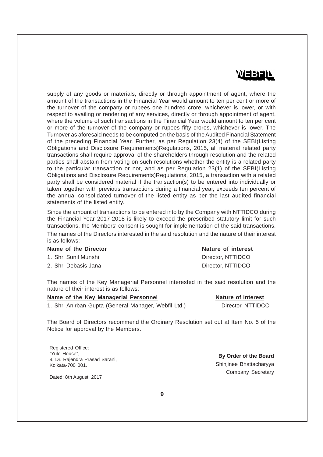

supply of any goods or materials, directly or through appointment of agent, where the amount of the transactions in the Financial Year would amount to ten per cent or more of the turnover of the company or rupees one hundred crore, whichever is lower, or with respect to availing or rendering of any services, directly or through appointment of agent, where the volume of such transactions in the Financial Year would amount to ten per cent or more of the turnover of the company or rupees fifty crores, whichever is lower. The Turnover as aforesaid needs to be computed on the basis of the Audited Financial Statement of the preceding Financial Year. Further, as per Regulation 23(4) of the SEBI(Listing Obligations and Disclosure Requirements)Regulations, 2015, all material related party transactions shall require approval of the shareholders through resolution and the related parties shall abstain from voting on such resolutions whether the entity is a related party to the particular transaction or not, and as per Regulation 23(1) of the SEBI(Listing Obligations and Disclosure Requirements)Regulations, 2015, a transaction with a related party shall be considered material if the transaction(s) to be entered into individually or taken together with previous transactions during a financial year, exceeds ten percent of the annual consolidated turnover of the listed entity as per the last audited financial statements of the listed entity.

Since the amount of transactions to be entered into by the Company with NTTIDCO during the Financial Year 2017-2018 is likely to exceed the prescribed statutory limit for such transactions, the Members' consent is sought for implementation of the said transactions.

The names of the Directors interested in the said resolution and the nature of their interest is as follows:

### **Name of the Director Nature of interest**

### 1. Shri Sunil Munshi Director, NTTIDCO

2. Shri Debasis Jana Director, NTTIDCO

The names of the Key Managerial Personnel interested in the said resolution and the nature of their interest is as follows:

| Name of the Key Managerial Personnel                 | <b>Nature of interest</b> |
|------------------------------------------------------|---------------------------|
| 1. Shri Anirban Gupta (General Manager, Webfil Ltd.) | Director, NTTIDCO         |

The Board of Directors recommend the Ordinary Resolution set out at Item No. 5 of the Notice for approval by the Members.

Registered Office: "Yule House", 8, Dr. Rajendra Prasad Sarani, Kolkata-700 001.

Dated: 8th August, 2017

**By Order of the Board** Shinjinee Bhattacharyya Company Secretary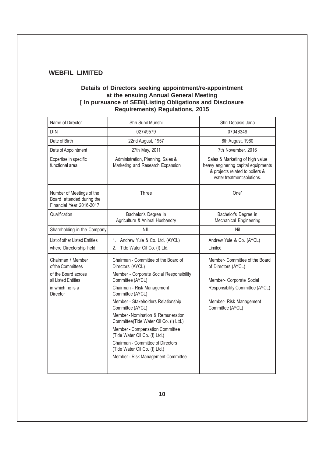# **Details of Directors seeking appointment/re-appointment at the ensuing Annual General Meeting [ In pursuance of SEBI(Listing Obligations and Disclosure Requirements) Regulations, 2015**

| Name of Director                                                                                                     | Shri Sunil Munshi                                                                                                                                                                                                                                                                                                                                                                                                             | Shri Debasis Jana                                                                                                                                                   |
|----------------------------------------------------------------------------------------------------------------------|-------------------------------------------------------------------------------------------------------------------------------------------------------------------------------------------------------------------------------------------------------------------------------------------------------------------------------------------------------------------------------------------------------------------------------|---------------------------------------------------------------------------------------------------------------------------------------------------------------------|
| <b>DIN</b>                                                                                                           | 02749579                                                                                                                                                                                                                                                                                                                                                                                                                      | 07046349                                                                                                                                                            |
| Date of Birth                                                                                                        | 22nd August, 1957                                                                                                                                                                                                                                                                                                                                                                                                             | 8th August, 1960                                                                                                                                                    |
| Date of Appointment                                                                                                  | 27th May, 2011                                                                                                                                                                                                                                                                                                                                                                                                                | 7th November, 2016                                                                                                                                                  |
| Expertise in specific<br>functional area                                                                             | Administration, Planning, Sales &<br>Marketing and Research Expansion                                                                                                                                                                                                                                                                                                                                                         | Sales & Marketing of high value<br>heavy enginering capital equipments<br>& projects related to boilers &<br>water treatment solutions.                             |
| Number of Meetings of the<br>Board attended during the<br>Financial Year 2016-2017                                   | Three                                                                                                                                                                                                                                                                                                                                                                                                                         | One*                                                                                                                                                                |
| Qualification                                                                                                        | Bachelor's Degree in<br>Agriculture & Animal Husbandry                                                                                                                                                                                                                                                                                                                                                                        | Bachelor's Degree in<br>Mechanical Engineering                                                                                                                      |
| Shareholding in the Company                                                                                          | <b>NIL</b>                                                                                                                                                                                                                                                                                                                                                                                                                    | Nil                                                                                                                                                                 |
| List of other Listed Entities<br>where Directorship held                                                             | 1. Andrew Yule & Co. Ltd. (AYCL)<br>Tide Water Oil Co. (I) Ltd.<br>2.                                                                                                                                                                                                                                                                                                                                                         | Andrew Yule & Co. (AYCL)<br>Limited                                                                                                                                 |
| Chairman / Member<br>of the Committees<br>of the Board across<br>all Listed Entities<br>in which he is a<br>Director | Chairman - Committee of the Board of<br>Directors (AYCL)<br>Member - Corporate Social Responsibility<br>Committee (AYCL)<br>Chairman - Risk Management<br>Committee (AYCL)<br>Member - Stakeholders Relationship<br>Committee (AYCL)<br>Member - Nomination & Remuneration<br>Committee(Tide Water Oil Co. (I) Ltd.)<br>Member - Compensation Committee<br>(Tide Water Oil Co. (I) Ltd.)<br>Chairman - Committee of Directors | Member- Committee of the Board<br>of Directors (AYCL)<br>Member- Corporate Social<br>Responsibility Committee (AYCL)<br>Member- Risk Management<br>Committee (AYCL) |
|                                                                                                                      | (Tide Water Oil Co. (I) Ltd.)<br>Member - Risk Management Committee                                                                                                                                                                                                                                                                                                                                                           |                                                                                                                                                                     |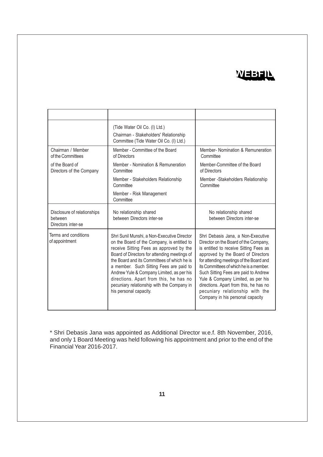

|                                                              | (Tide Water Oil Co. (I) Ltd.)<br>Chairman - Stakeholders' Relationship<br>Committee (Tide Water Oil Co. (I) Ltd.)                                                                                                                                                                                                                                                                                                                              |                                                                                                                                                                                                                                                                                                                                                                                                                                                  |
|--------------------------------------------------------------|------------------------------------------------------------------------------------------------------------------------------------------------------------------------------------------------------------------------------------------------------------------------------------------------------------------------------------------------------------------------------------------------------------------------------------------------|--------------------------------------------------------------------------------------------------------------------------------------------------------------------------------------------------------------------------------------------------------------------------------------------------------------------------------------------------------------------------------------------------------------------------------------------------|
| Chairman / Member<br>of the Committees                       | Member - Committee of the Board<br>of Directors                                                                                                                                                                                                                                                                                                                                                                                                | Member- Nomination & Remuneration<br>Committee                                                                                                                                                                                                                                                                                                                                                                                                   |
| of the Board of<br>Directors of the Company                  | Member - Nomination & Remuneration<br>Committee                                                                                                                                                                                                                                                                                                                                                                                                | Member-Committee of the Board<br>of Directors                                                                                                                                                                                                                                                                                                                                                                                                    |
|                                                              | Member - Stakeholders Relationship<br>Committee                                                                                                                                                                                                                                                                                                                                                                                                | Member - Stakeholders Relationship<br>Committee                                                                                                                                                                                                                                                                                                                                                                                                  |
|                                                              | Member - Risk Management<br>Committee                                                                                                                                                                                                                                                                                                                                                                                                          |                                                                                                                                                                                                                                                                                                                                                                                                                                                  |
| Disclosure of relationships<br>between<br>Directors inter-se | No relationship shared<br>between Directors inter-se                                                                                                                                                                                                                                                                                                                                                                                           | No relationship shared<br>between Directors inter-se                                                                                                                                                                                                                                                                                                                                                                                             |
| Terms and conditions<br>of appointment                       | Shri Sunil Munshi, a Non-Executive Director<br>on the Board of the Company, is entitled to<br>receive Sitting Fees as approved by the<br>Board of Directors for attending meetings of<br>the Board and its Committees of which he is<br>a member. Such Sitting Fees are paid to<br>Andrew Yule & Company Limited, as per his<br>directions. Apart from this, he has no<br>pecuniary relationship with the Company in<br>his personal capacity. | Shri Debasis Jana, a Non-Executive<br>Director on the Board of the Company,<br>is entitled to receive Sitting Fees as<br>approved by the Board of Directors<br>for attending meetings of the Board and<br>its Committees of which he is a member.<br>Such Sitting Fees are paid to Andrew<br>Yule & Company Limited, as per his<br>directions. Apart from this, he has no<br>pecuniary relationship with the<br>Company in his personal capacity |

\* Shri Debasis Jana was appointed as Additional Director w.e.f. 8th November, 2016, and only 1 Board Meeting was held following his appointment and prior to the end of the Financial Year 2016-2017.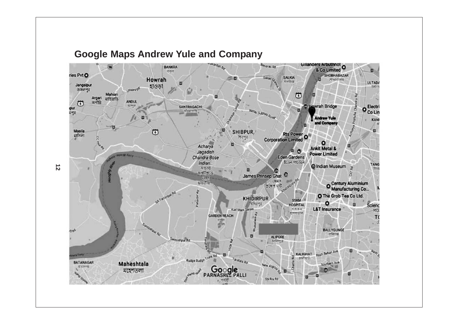

**Google Maps Andrew Yule and Company**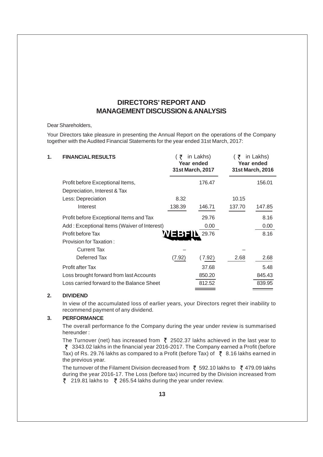# **DIRECTORS' REPORT AND MANAGEMENT DISCUSSION & ANALYSIS**

#### Dear Shareholders,

Your Directors take pleasure in presenting the Annual Report on the operations of the Company together with the Audited Financial Statements for the year ended 31st March, 2017:

| 1.<br><b>FINANCIAL RESULTS</b>              | ₹      | in Lakhs)<br>Year ended<br>31st March, 2017 | in Lakhs)<br>₹<br>Year ended<br>31st March, 2016 |        |  |
|---------------------------------------------|--------|---------------------------------------------|--------------------------------------------------|--------|--|
| Profit before Exceptional Items,            |        | 176.47                                      |                                                  | 156.01 |  |
| Depreciation, Interest & Tax                |        |                                             |                                                  |        |  |
| Less: Depreciation                          | 8.32   |                                             | 10.15                                            |        |  |
| Interest                                    | 138.39 | 146.71                                      | 137.70                                           | 147.85 |  |
| Profit before Exceptional Items and Tax     |        | 29.76                                       |                                                  | 8.16   |  |
| Add: Exceptional Items (Waiver of Interest) |        | 0.00                                        |                                                  | 0.00   |  |
| Profit before Tax                           | WEBEN  | 29.76                                       |                                                  | 8.16   |  |
| Provision for Taxation:                     |        |                                             |                                                  |        |  |
| <b>Current Tax</b>                          |        |                                             |                                                  |        |  |
| Deferred Tax                                | (7.92) | (7.92)                                      | 2.68                                             | 2.68   |  |
| Profit after Tax                            |        | 37.68                                       |                                                  | 5.48   |  |
| Loss brought forward from last Accounts     |        | 850.20                                      |                                                  | 845.43 |  |
| Loss carried forward to the Balance Sheet   |        | 812.52                                      |                                                  | 839.95 |  |

### **2. DIVIDEND**

In view of the accumulated loss of earlier years, your Directors regret their inability to recommend payment of any dividend.

### **3. PERFORMANCE**

The overall performance fo the Company during the year under review is summarised hereunder :

The Turnover (net) has increased from  $\bar{z}$  2502.37 lakhs achieved in the last year to  $\bar{\tau}$  3343.02 lakhs in the financial year 2016-2017. The Company earned a Profit (before Tax) of Rs. 29.76 lakhs as compared to a Profit (before Tax) of  $\bar{\zeta}$  8.16 lakhs earned in the previous year.

The turnover of the Filament Division decreased from  $\bar{\xi}$  592.10 lakhs to  $\bar{\xi}$  479.09 lakhs during the year 2016-17. The Loss (before tax) incurred by the Division increased from ₹ 219.81 lakhs to ₹ 265.54 lakhs during the year under review.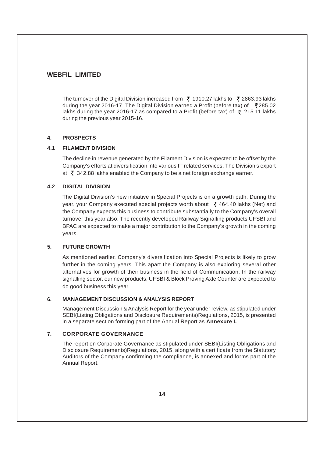The turnover of the Digital Division increased from  $\bar{\tau}$  1910.27 lakhs to  $\bar{\tau}$  2863.93 lakhs during the year 2016-17. The Digital Division earned a Profit (before tax) of  $\bar{\zeta}$ 285.02 lakhs during the year 2016-17 as compared to a Profit (before tax) of  $\bar{\tau}$  215.11 lakhs during the previous year 2015-16.

#### **4. PROSPECTS**

#### **4.1 FILAMENT DIVISION**

The decline in revenue generated by the Filament Division is expected to be offset by the Company's efforts at diversification into various IT related services. The Division's export at  $\bar{\zeta}$  342.88 lakhs enabled the Company to be a net foreign exchange earner.

### **4.2 DIGITAL DIVISION**

The Digital Division's new initiative in Special Projects is on a growth path. During the year, your Company executed special projects worth about  $\bar{\tau}$  464.40 lakhs (Net) and the Company expects this business to contribute substantially to the Company's overall turnover this year also. The recently developed Railway Signalling products UFSBI and BPAC are expected to make a major contribution to the Company's growth in the coming years.

#### **5. FUTURE GROWTH**

As mentioned earlier, Company's diversification into Special Projects is likely to grow further in the coming years. This apart the Company is also exploring several other alternatives for growth of their business in the field of Communication. In the railway signalling sector, our new products, UFSBI & Block Proving Axle Counter are expected to do good business this year.

#### **6. MANAGEMENT DISCUSSION & ANALYSIS REPORT**

Management Discussion & Analysis Report for the year under review, as stipulated under SEBI(Listing Obligations and Disclosure Requirements)Regulations, 2015, is presented in a separate section forming part of the Annual Report as **Annexure I.**

### **7. CORPORATE GOVERNANCE**

The report on Corporate Governance as stipulated under SEBI(Listing Obligations and Disclosure Requirements)Regulations, 2015, along with a certificate from the Statutory Auditors of the Company confirming the compliance, is annexed and forms part of the Annual Report.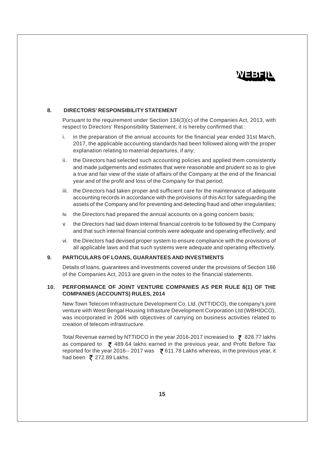

#### **8. DIRECTORS' RESPONSIBILITY STATEMENT**

Pursuant to the requirement under Section 134(3)(c) of the Companies Act, 2013, with respect to Directors' Responsibility Statement, it is hereby confirmed that :

- i. in the preparation of the annual accounts for the financial year ended 31st March, 2017, the applicable accounting standards had been followed along with the proper explanation relating to material departures, if any;
- ii. the Directors had selected such accounting policies and applied them consistently and made judgements and estimates that were reasonable and prudent so as to give a true and fair view of the state of affairs of the Company at the end of the financial year and of the profit and loss of the Company for that period;
- iii. the Directors had taken proper and sufficient care for the maintenance of adequate accounting records in accordance with the provisions of this Act for safeguarding the assets of the Company and for preventing and detecting fraud and other irregularities;
- iv. the Directors had prepared the annual accounts on a going concern basis;
- v. the Directors had laid down internal financial controls to be followed by the Company and that such internal financial controls were adequate and operating effectively; and
- vi. the Directors had devised proper system to ensure compliance with the provisions of all applicable laws and that such systems were adequate and operating effectively.

#### **9. PARTICULARS OF LOANS, GUARANTEES AND INVESTMENTS**

Details of loans, guarantees and investments covered under the provisions of Section 186 of the Companies Act, 2013 are given in the notes to the financial statements.

#### **10. PERFORMANCE OF JOINT VENTURE COMPANIES AS PER RULE 8(1) OF THE COMPANIES (ACCOUNTS) RULES, 2014**

New Town Telecom Infrastructure Development Co. Ltd. (NTTIDCO), the company's joint venture with West Bengal Housing Infrasture Development Corporation Ltd (WBHIDCO), was incorporated in 2006 with objectives of carrying on business activities related to creation of telecom infrastructure.

Total Revenue earned by NTTIDCO in the year 2016-2017 increased to  $\bar{z}$  828.77 lakhs as compared to  $\bar{\tau}$  489.64 lakhs earned in the previous year, and Profit Before Tax reported for the year 2016-- 2017 was  $\bar{\bar{\xi}}$  611.78 Lakhs whereas, in the previous year, it had been  $\bar{\tau}$  272.89 Lakhs.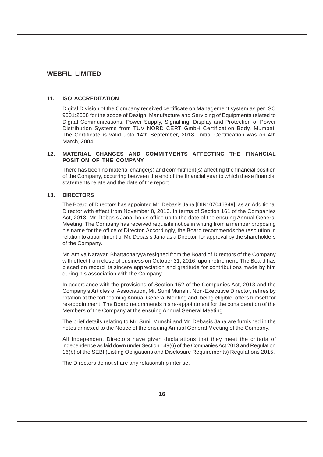#### **11. ISO ACCREDITATION**

Digital Division of the Company received certificate on Management system as per ISO 9001:2008 for the scope of Design, Manufacture and Servicing of Equipments related to Digital Communications, Power Supply, Signalling, Display and Protection of Power Distribution Systems from TUV NORD CERT GmbH Certification Body, Mumbai. The Certificate is valid upto 14th September, 2018. Initial Certification was on 4th March, 2004.

#### **12. MATERIAL CHANGES AND COMMITMENTS AFFECTING THE FINANCIAL POSITION OF THE COMPANY**

There has been no material change(s) and commitment(s) affecting the financial position of the Company, occurring between the end of the financial year to which these financial statements relate and the date of the report.

#### **13. DIRECTORS**

The Board of Directors has appointed Mr. Debasis Jana [DIN: 07046349], as an Additional Director with effect from November 8, 2016. In terms of Section 161 of the Companies Act, 2013, Mr. Debasis Jana holds office up to the date of the ensuing Annual General Meeting. The Company has received requisite notice in writing from a member proposing his name for the office of Director. Accordingly, the Board recommends the resolution in relation to appointment of Mr. Debasis Jana as a Director, for approval by the shareholders of the Company.

Mr. Amiya Narayan Bhattacharyya resigned from the Board of Directors of the Company with effect from close of business on October 31, 2016, upon retirement. The Board has placed on record its sincere appreciation and gratitude for contributions made by him during his association with the Company.

In accordance with the provisions of Section 152 of the Companies Act, 2013 and the Company's Articles of Association, Mr. Sunil Munshi, Non-Executive Director, retires by rotation at the forthcoming Annual General Meeting and, being eligible, offers himself for re-appointment. The Board recommends his re-appointment for the consideration of the Members of the Company at the ensuing Annual General Meeting.

The brief details relating to Mr. Sunil Munshi and Mr. Debasis Jana are furnished in the notes annexed to the Notice of the ensuing Annual General Meeting of the Company.

All Independent Directors have given declarations that they meet the criteria of independence as laid down under Section 149(6) of the Companies Act 2013 and Regulation 16(b) of the SEBI (Listing Obligations and Disclosure Requirements) Regulations 2015.

The Directors do not share any relationship inter se.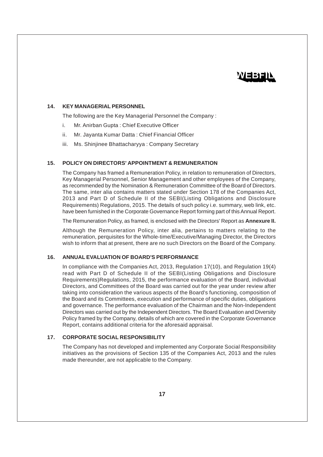

### **14. KEY MANAGERIAL PERSONNEL**

The following are the Key Managerial Personnel the Company :

- i. Mr. Anirban Gupta : Chief Executive Officer
- ii. Mr. Jayanta Kumar Datta : Chief Financial Officer
- iii. Ms. Shinjinee Bhattacharyya : Company Secretary

#### **15. POLICY ON DIRECTORS' APPOINTMENT & REMUNERATION**

The Company has framed a Remuneration Policy, in relation to remuneration of Directors, Key Managerial Personnel, Senior Management and other employees of the Company, as recommended by the Nomination & Remuneration Committee of the Board of Directors. The same, inter alia contains matters stated under Section 178 of the Companies Act, 2013 and Part D of Schedule II of the SEBI(Listing Obligations and Disclosure Requirements) Regulations, 2015. The details of such policy i.e. summary, web link, etc. have been furnished in the Corporate Governance Report forming part of this Annual Report.

The Remuneration Policy, as framed, is enclosed with the Directors' Report as **Annexure II.**

Although the Remuneration Policy, inter alia, pertains to matters relating to the remuneration, perquisites for the Whole-time/Executive/Managing Director, the Directors wish to inform that at present, there are no such Directors on the Board of the Company.

#### **16. ANNUAL EVALUATION OF BOARD'S PERFORMANCE**

In compliance with the Companies Act, 2013, Regulation 17(10), and Regulation 19(4) read with Part D of Schedule II of the SEBI(Listing Obligations and Disclosure Requirements)Regulations, 2015, the performance evaluation of the Board, individual Directors, and Committees of the Board was carried out for the year under review after taking into consideration the various aspects of the Board's functioning, composition of the Board and its Committees, execution and performance of specific duties, obligations and governance. The performance evaluation of the Chairman and the Non-Independent Directors was carried out by the Independent Directors. The Board Evaluation and Diversity Policy framed by the Company, details of which are covered in the Corporate Governance Report, contains additional criteria for the aforesaid appraisal.

### **17. CORPORATE SOCIAL RESPONSIBILITY**

The Company has not developed and implemented any Corporate Social Responsibility initiatives as the provisions of Section 135 of the Companies Act, 2013 and the rules made thereunder, are not applicable to the Company.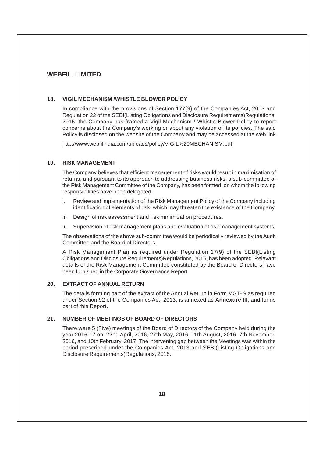#### **18. VIGIL MECHANISM /WHISTLE BLOWER POLICY**

In compliance with the provisions of Section 177(9) of the Companies Act, 2013 and Regulation 22 of the SEBI(Listing Obligations and Disclosure Requirements)Regulations, 2015, the Company has framed a Vigil Mechanism / Whistle Blower Policy to report concerns about the Company's working or about any violation of its policies. The said Policy is disclosed on the website of the Company and may be accessed at the web link

http://www.webfilindia.com/uploads/policy/VIGIL%20MECHANISM.pdf

#### **19. RISK MANAGEMENT**

The Company believes that efficient management of risks would result in maximisation of returns, and pursuant to its approach to addressing business risks, a sub-committee of the Risk Management Committee of the Company, has been formed, on whom the following responsibilities have been delegated:

- i. Review and implementation of the Risk Management Policy of the Company including identification of elements of risk, which may threaten the existence of the Company.
- ii. Design of risk assessment and risk minimization procedures.
- iii. Supervision of risk management plans and evaluation of risk management systems.

The observations of the above sub-committee would be periodically reviewed by the Audit Committee and the Board of Directors.

A Risk Management Plan as required under Regulation 17(9) of the SEBI(Listing Obligations and Disclosure Requirements)Regulations, 2015, has been adopted. Relevant details of the Risk Management Committee constituted by the Board of Directors have been furnished in the Corporate Governance Report.

#### **20. EXTRACT OF ANNUAL RETURN**

The details forming part of the extract of the Annual Return in Form MGT- 9 as required under Section 92 of the Companies Act, 2013, is annexed as **Annexure III**, and forms part of this Report.

### **21. NUMBER OF MEETINGS OF BOARD OF DIRECTORS**

There were 5 (Five) meetings of the Board of Directors of the Company held during the year 2016-17 on 22nd April, 2016, 27th May, 2016, 11th August, 2016, 7th November, 2016, and 10th February, 2017. The intervening gap between the Meetings was within the period prescribed under the Companies Act, 2013 and SEBI(Listing Obligations and Disclosure Requirements)Regulations, 2015.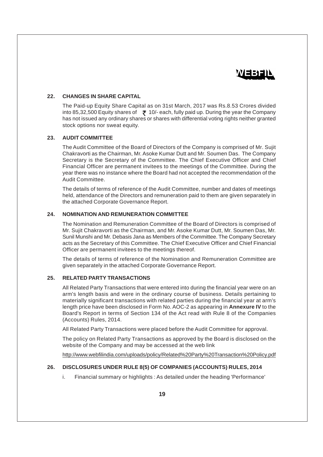

#### **22. CHANGES IN SHARE CAPITAL**

The Paid-up Equity Share Capital as on 31st March, 2017 was Rs.8.53 Crores divided into 85,32,500 Equity shares of  $\overline{\mathfrak{s}}$  10/- each, fully paid up. During the year the Company has not issued any ordinary shares or shares with differential voting rights neither granted stock options nor sweat equity.

#### **23. AUDIT COMMITTEE**

The Audit Committee of the Board of Directors of the Company is comprised of Mr. Sujit Chakravorti as the Chairman, Mr. Asoke Kumar Dutt and Mr. Soumen Das. The Company Secretary is the Secretary of the Committee. The Chief Executive Officer and Chief Financial Officer are permanent invitees to the meetings of the Committee. During the year there was no instance where the Board had not accepted the recommendation of the Audit Committee.

The details of terms of reference of the Audit Committee, number and dates of meetings held, attendance of the Directors and remuneration paid to them are given separately in the attached Corporate Governance Report.

#### **24. NOMINATION AND REMUNERATION COMMITTEE**

The Nomination and Remuneration Committee of the Board of Directors is comprised of Mr. Sujit Chakravorti as the Chairman, and Mr. Asoke Kumar Dutt, Mr. Soumen Das, Mr. Sunil Munshi and Mr. Debasis Jana as Members of the Committee. The Company Secretary acts as the Secretary of this Committee. The Chief Executive Officer and Chief Financial Officer are permanent invitees to the meetings thereof.

The details of terms of reference of the Nomination and Remuneration Committee are given separately in the attached Corporate Governance Report.

### **25. RELATED PARTY TRANSACTIONS**

All Related Party Transactions that were entered into during the financial year were on an arm's length basis and were in the ordinary course of business. Details pertaining to materially significant transactions with related parties during the financial year at arm's length price have been disclosed in Form No. AOC-2 as appearing in **Annexure IV** to the Board's Report in terms of Section 134 of the Act read with Rule 8 of the Companies (Accounts) Rules, 2014.

All Related Party Transactions were placed before the Audit Committee for approval.

The policy on Related Party Transactions as approved by the Board is disclosed on the website of the Company and may be accessed at the web link

http://www.webfilindia.com/uploads/policy/Related%20Party%20Transaction%20Policy.pdf

#### **26. DISCLOSURES UNDER RULE 8(5) OF COMPANIES (ACCOUNTS) RULES, 2014**

i. Financial summary or highlights : As detailed under the heading 'Performance'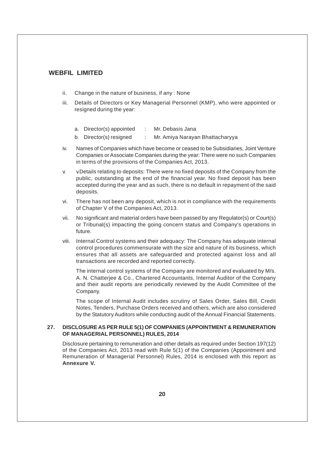- ii. Change in the nature of business, if any : None
- iii. Details of Directors or Key Managerial Personnel (KMP), who were appointed or resigned during the year:
	- a. Director(s) appointed : Mr. Debasis Jana
	- b. Director(s) resigned : Mr. Amiya Narayan Bhattacharyya
- iv. Names of Companies which have become or ceased to be Subsidiaries, Joint Venture Companies or Associate Companies during the year: There were no such Companies in terms of the provisions of the Companies Act, 2013.
- v. v.Details relating to deposits: There were no fixed deposits of the Company from the public, outstanding at the end of the financial year. No fixed deposit has been accepted during the year and as such, there is no default in repayment of the said deposits.
- vi. There has not been any deposit, which is not in compliance with the requirements of Chapter V of the Companies Act, 2013.
- vii. No significant and material orders have been passed by any Regulator(s) or Court(s) or Tribunal(s) impacting the going concern status and Company's operations in future.
- viii. Internal Control systems and their adequacy: The Company has adequate internal control procedures commensurate with the size and nature of its business, which ensures that all assets are safeguarded and protected against loss and all transactions are recorded and reported correctly.

The internal control systems of the Company are monitored and evaluated by M/s. A. N. Chatterjee & Co., Chartered Accountants, Internal Auditor of the Company and their audit reports are periodically reviewed by the Audit Committee of the Company.

The scope of Internal Audit includes scrutiny of Sales Order, Sales Bill, Credit Notes, Tenders, Purchase Orders received and others, which are also considered by the Statutory Auditors while conducting audit of the Annual Financial Statements.

#### **27. DISCLOSURE AS PER RULE 5(1) OF COMPANIES (APPOINTMENT & REMUNERATION OF MANAGERIAL PERSONNEL) RULES, 2014**

Disclosure pertaining to remuneration and other details as required under Section 197(12) of the Companies Act, 2013 read with Rule 5(1) of the Companies (Appointment and Remuneration of Managerial Personnel) Rules, 2014 is enclosed with this report as **Annexure V.**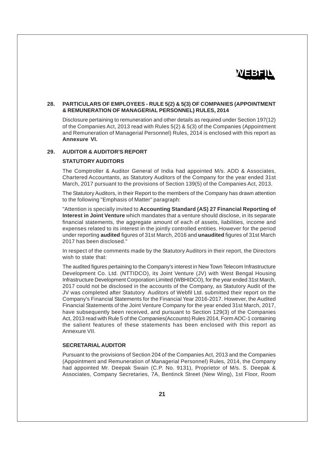

### **28. PARTICULARS OF EMPLOYEES - RULE 5(2) & 5(3) OF COMPANIES (APPOINTMENT & REMUNERATION OF MANAGERIAL PERSONNEL) RULES, 2014**

Disclosure pertaining to remuneration and other details as required under Section 197(12) of the Companies Act, 2013 read with Rules 5(2) & 5(3) of the Companies (Appointment and Remuneration of Managerial Personnel) Rules, 2014 is enclosed with this report as **Annexure VI.**

### **29. AUDITOR & AUDITOR'S REPORT**

#### **STATUTORY AUDITORS**

The Comptroller & Auditor General of India had appointed M/s. ADD & Associates, Chartered Accountants, as Statutory Auditors of the Company for the year ended 31st March, 2017 pursuant to the provisions of Section 139(5) of the Companies Act, 2013.

The Statutory Auditors, in their Report to the members of the Company has drawn attention to the following "Emphasis of Matter" paragraph:

"Attention is specially invited to **Accounting Standard (AS) 27 Financial Reporting of Interest in Joint Venture** which mandates that a venture should disclose, in its separate financial statements, the aggregate amount of each of assets, liabilities, income and expenses related to its interest in the jointly controlled entities. However for the period under reporting **audited** figures of 31st March, 2016 and **unaudited** figures of 31st March 2017 has been disclosed."

In respect of the comments made by the Statutory Auditors in their report, the Directors wish to state that:

The audited figures pertaining to the Company's interest in New Town Telecom Infrastructure Development Co. Ltd. (NTTIDCO), its Joint Venture (JV) with West Bengal Housing Infrastructure Development Corporation Limited (WBHIDCO), for the year ended 31st March, 2017 could not be disclosed in the accounts of the Company, as Statutory Audit of the JV was completed after Statutory Auditors of Webfil Ltd. submitted their report on the Company's Financial Statements for the Financial Year 2016-2017. However, the Audited Financial Statements of the Joint Venture Company for the year ended 31st March, 2017, have subsequently been received, and pursuant to Section 129(3) of the Companies Act, 2013 read with Rule 5 of the Companies(Accounts) Rules 2014, Form AOC-1 containing the salient features of these statements has been enclosed with this report as Annexure VII.

#### **SECRETARIAL AUDITOR**

Pursuant to the provisions of Section 204 of the Companies Act, 2013 and the Companies (Appointment and Remuneration of Managerial Personnel) Rules, 2014, the Company had appointed Mr. Deepak Swain (C.P. No. 9131), Proprietor of M/s. S. Deepak & Associates, Company Secretaries, 7A, Bentinck Street (New Wing), 1st Floor, Room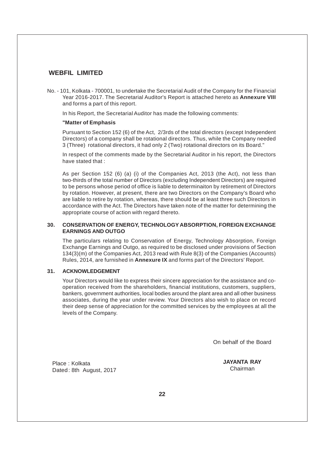No. - 101, Kolkata - 700001, to undertake the Secretarial Audit of the Company for the Financial Year 2016-2017. The Secretarial Auditor's Report is attached hereto as **Annexure VIII** and forms a part of this report.

In his Report, the Secretarial Auditor has made the following comments:

#### **"Matter of Emphasis**

Pursuant to Section 152 (6) of the Act, 2/3rds of the total directors (except Independent Directors) of a company shall be rotational directors. Thus, while the Company needed 3 (Three) rotational directors, it had only 2 (Two) rotational directors on its Board."

In respect of the comments made by the Secretarial Auditor in his report, the Directors have stated that :

As per Section 152 (6) (a) (i) of the Companies Act, 2013 (the Act), not less than two-thirds of the total number of Directors (excluding Independent Directors) are required to be persons whose period of office is liable to determinaiton by retirement of Directors by rotation. However, at present, there are two Directors on the Company's Board who are liable to retire by rotation, whereas, there should be at least three such Directors in accordance with the Act. The Directors have taken note of the matter for determining the appropriate course of action with regard thereto.

#### **30. CONSERVATION OF ENERGY, TECHNOLOGY ABSORPTION, FOREIGN EXCHANGE EARNINGS AND OUTGO**

The particulars relating to Conservation of Energy, Technology Absorption, Foreign Exchange Earnings and Outgo, as required to be disclosed under provisions of Section 134(3)(m) of the Companies Act, 2013 read with Rule 8(3) of the Companies (Accounts) Rules, 2014, are furnished in **Annexure IX** and forms part of the Directors' Report.

### **31. ACKNOWLEDGEMENT**

Your Directors would like to express their sincere appreciation for the assistance and cooperation received from the shareholders, financial institutions, customers, suppliers, bankers, government authorities, local bodies around the plant area and all other business associates, during the year under review. Your Directors also wish to place on record their deep sense of appreciation for the committed services by the employees at all the levels of the Company.

On behalf of the Board

Place : Kolkata Dated: 8th August, 2017 **JAYANTA RAY** Chairman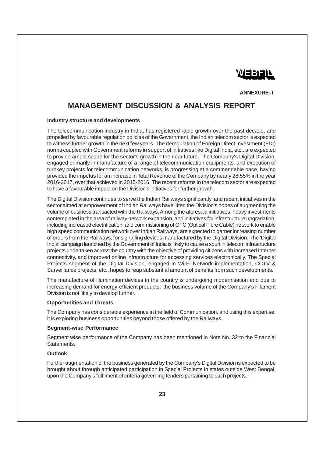

**ANNEXURE- I**

# **MANAGEMENT DISCUSSION & ANALYSIS REPORT**

#### **Industry structure and developments**

The telecommunication industry in India, has registered rapid growth over the past decade, and propelled by favourable regulation policies of the Government, the Indian telecom sector is expected to witness further growth in the next few years. The deregulation of Foreign Direct Investment (FDI) norms coupled with Government reforms in support of initiatives like Digital India, etc., are expected to provide ample scope for the sector's growth in the near future. The Company's Digital Division, engaged primarily in manufacture of a range of telecommunication equipments, and execution of turnkey projects for telecommunication networks, is progressing at a commendable pace, having provided the impetus for an increase in Total Revenue of the Company by nearly 28.55% in the year 2016-2017, over that achieved in 2015-2016. The recent reforms in the telecom sector are expected to have a favourable impact on the Division's initiatives for further growth.

The Digital Division continues to serve the Indian Railways significantly, and recent initiatives in the sector aimed at empowerment of Indian Railways have lifted the Division's hopes of augmenting the volume of business transacted with the Railways. Among the aforesaid initiatives, heavy investments contemplated in the area of railway network expansion, and initiatives for infrastructure upgradation, including increased electrification, and commissioning of OFC (Optical Fibre Cable) network to enable high speed communication network over Indian Railways, are expected to garner increasing number of orders from the Railways, for signalling devices manufactured by the Digital Division. The 'Digital India' campaign launched by the Government of India is likely to cause a spurt in telecom infrastructure projects undertaken across the country with the objective of providing citizens with increased Internet connectivity, and improved online infrastructure for accessing services electronically. The Special Projects segment of the Digital Division, engaged in Wi-Fi Network implementation, CCTV & Surveillance projects, etc., hopes to reap substantial amount of benefits from such developments.

The manufacture of illumination devices in the country is undergoing modernisation and due to increasing demand for energy-efficient products, the business volume of the Company's Filament Division is not likely to develop further.

#### **Opportunities and Threats**

The Company has considerable experience in the field of Communication, and using this expertise, it is exploring business opportunities beyond those offered by the Railways.

#### **Segment-wise Performance**

Segment wise performance of the Company has been mentioned in Note No. 32 to the Financial Statements.

#### **Outlook**

Further augmentation of the business generated by the Company's Digital Division is expected to be brought about through anticipated participation in Special Projects in states outside West Bengal, upon the Company's fulfilment of criteria governing tenders pertaining to such projects.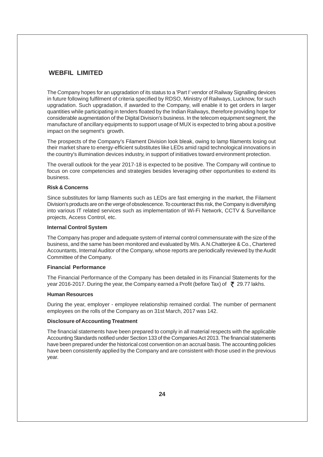The Company hopes for an upgradation of its status to a 'Part I' vendor of Railway Signalling devices in future following fulfilment of criteria specified by RDSO, Ministry of Railways, Lucknow, for such upgradation. Such upgradation, if awarded to the Company, will enable it to get orders in larger quantities while participating in tenders floated by the Indian Railways, therefore providing hope for considerable augmentation of the Digital Division's business. In the telecom equipment segment, the manufacture of ancillary equipments to support usage of MUX is expected to bring about a positive impact on the segment's growth.

The prospects of the Company's Filament Division look bleak, owing to lamp filaments losing out their market share to energy-efficient substitutes like LEDs amid rapid technological innovations in the country's illumination devices industry, in support of initiatives toward environment protection.

The overall outlook for the year 2017-18 is expected to be positive. The Company will continue to focus on core competencies and strategies besides leveraging other opportunities to extend its business.

#### **Risk & Concerns**

Since substitutes for lamp filaments such as LEDs are fast emerging in the market, the Filament Division's products are on the verge of obsolescence. To counteract this risk, the Company is diversifying into various IT related services such as implementation of Wi-Fi Network, CCTV & Surveillance projects, Access Control, etc.

#### **Internal Control System**

The Company has proper and adequate system of internal control commensurate with the size of the business, and the same has been monitored and evaluated by M/s. A.N.Chatterjee & Co., Chartered Accountants, Internal Auditor of the Company, whose reports are periodically reviewed by the Audit Committee of the Company.

#### **Financial Performance**

The Financial Performance of the Company has been detailed in its Financial Statements for the year 2016-2017. During the year, the Company earned a Profit (before Tax) of  $\bar{\tau}$  29.77 lakhs.

### **Human Resources**

During the year, employer - employee relationship remained cordial. The number of permanent employees on the rolls of the Company as on 31st March, 2017 was 142.

### **Disclosure of Accounting Treatment**

The financial statements have been prepared to comply in all material respects with the applicable Accounting Standards notified under Section 133 of the Companies Act 2013. The financial statements have been prepared under the historical cost convention on an accrual basis. The accounting policies have been consistently applied by the Company and are consistent with those used in the previous year.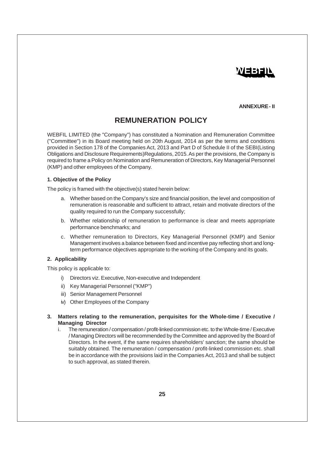

#### **ANNEXURE- II**

# **REMUNERATION POLICY**

WEBFIL LIMITED (the "Company") has constituted a Nomination and Remuneration Committee ("Committee") in its Board meeting held on 20th August, 2014 as per the terms and conditions provided in Section 178 of the Companies Act, 2013 and Part D of Schedule II of the SEBI(Listing Obligations and Disclosure Requirements)Regulations, 2015. As per the provisions, the Company is required to frame a Policy on Nomination and Remuneration of Directors, Key Managerial Personnel (KMP) and other employees of the Company.

#### **1. Objective of the Policy**

The policy is framed with the objective(s) stated herein below:

- a. Whether based on the Company's size and financial position, the level and composition of remuneration is reasonable and sufficient to attract, retain and motivate directors of the quality required to run the Company successfully;
- b. Whether relationship of remuneration to performance is clear and meets appropriate performance benchmarks; and
- c. Whether remuneration to Directors, Key Managerial Personnel (KMP) and Senior Management involves a balance between fixed and incentive pay reflecting short and longterm performance objectives appropriate to the working of the Company and its goals.

#### **2. Applicability**

This policy is applicable to:

- i) Directors viz. Executive, Non-executive and Independent
- ii) Key Managerial Personnel ("KMP")
- iii) Senior Management Personnel
- iv) Other Employees of the Company
- **3. Matters relating to the remuneration, perquisites for the Whole-time / Executive / Managing Director**
	- i. The remuneration / compensation / profit-linked commission etc. to the Whole-time / Executive / Managing Directors will be recommended by the Committee and approved by the Board of Directors. In the event, if the same requires shareholders' sanction; the same should be suitably obtained. The remuneration / compensation / profit-linked commission etc. shall be in accordance with the provisions laid in the Companies Act, 2013 and shall be subject to such approval, as stated therein.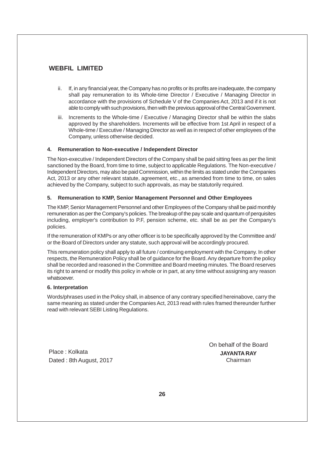- ii. If, in any financial year, the Company has no profits or its profits are inadequate, the company shall pay remuneration to its Whole-time Director / Executive / Managing Director in accordance with the provisions of Schedule V of the Companies Act, 2013 and if it is not able to comply with such provisions, then with the previous approval of the Central Government.
- Increments to the Whole-time / Executive / Managing Director shall be within the slabs approved by the shareholders. Increments will be effective from 1st April in respect of a Whole-time / Executive / Managing Director as well as in respect of other employees of the Company, unless otherwise decided.

### **4. Remuneration to Non-executive / Independent Director**

The Non-executive / Independent Directors of the Company shall be paid sitting fees as per the limit sanctioned by the Board, from time to time, subject to applicable Regulations. The Non-executive / Independent Directors, may also be paid Commission, within the limits as stated under the Companies Act, 2013 or any other relevant statute, agreement, etc., as amended from time to time, on sales achieved by the Company, subject to such approvals, as may be statutorily required.

### **5. Remuneration to KMP, Senior Management Personnel and Other Employees**

The KMP, Senior Management Personnel and other Employees of the Company shall be paid monthly remuneration as per the Company's policies. The breakup of the pay scale and quantum of perquisites including, employer's contribution to P.F, pension scheme, etc. shall be as per the Company's policies.

If the remuneration of KMPs or any other officer is to be specifically approved by the Committee and/ or the Board of Directors under any statute, such approval will be accordingly procured.

This remuneration policy shall apply to all future / continuing employment with the Company. In other respects, the Remuneration Policy shall be of guidance for the Board. Any departure from the policy shall be recorded and reasoned in the Committee and Board meeting minutes. The Board reserves its right to amend or modify this policy in whole or in part, at any time without assigning any reason whatsoever.

### **6. Interpretation**

Words/phrases used in the Policy shall, in absence of any contrary specified hereinabove, carry the same meaning as stated under the Companies Act, 2013 read with rules framed thereunder further read with relevant SEBI Listing Regulations.

Place : Kolkata Dated : 8th August, 2017 On behalf of the Board **JAYANTA RAY** Chairman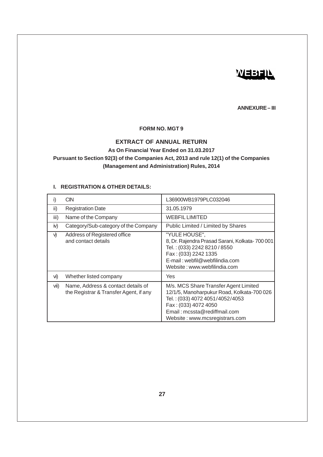

### **ANNEXURE– III**

### **FORM NO. MGT 9**

# **EXTRACT OF ANNUAL RETURN**

### **As On Financial Year Ended on 31.03.2017**

# **Pursuant to Section 92(3) of the Companies Act, 2013 and rule 12(1) of the Companies (Management and Administration) Rules, 2014**

### **I. REGISTRATION & OTHER DETAILS:**

| i)   | <b>CIN</b>                                                                   | L36900WB1979PLC032046                                                                                                                                                                                            |
|------|------------------------------------------------------------------------------|------------------------------------------------------------------------------------------------------------------------------------------------------------------------------------------------------------------|
| ii)  | <b>Registration Date</b>                                                     | 31.05.1979                                                                                                                                                                                                       |
| iii) | Name of the Company                                                          | <b>WEBFIL LIMITED</b>                                                                                                                                                                                            |
| iv)  | Category/Sub-category of the Company                                         | Public Limited / Limited by Shares                                                                                                                                                                               |
| V)   | Address of Registered office<br>and contact details                          | "YULE HOUSE",<br>8, Dr. Rajendra Prasad Sarani, Kolkata-700 001<br>Tel.: (033) 2242 8210 / 8550<br>Fax: (033) 2242 1335<br>E-mail: webfil@webfilindia.com<br>Website: www.webfilindia.com                        |
| VI)  | Whether listed company                                                       | Yes                                                                                                                                                                                                              |
| Vii) | Name, Address & contact details of<br>the Registrar & Transfer Agent, if any | M/s. MCS Share Transfer Agent Limited<br>12/1/5, Manoharpukur Road, Kolkata-700 026<br>Tel.: (033) 4072 4051/4052/4053<br>Fax: (033) 4072 4050<br>Email: mcssta@rediffmail.com<br>Website: www.mcsregistrars.com |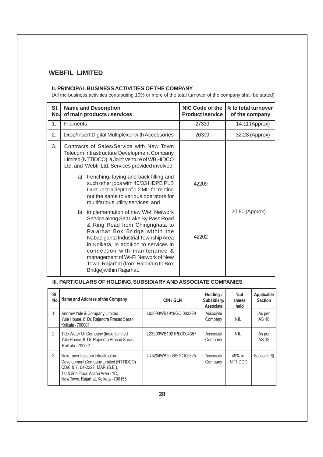### **II. PRINCIPAL BUSINESS ACTIVITIES OF THE COMPANY**

(All the business activities contributing 10% or more of the total turnover of the company shall be stated)

| SI.<br>No. | <b>Name and Description</b><br>of main products / services                                                                                                                                                                                                                                                                                                                                                                                                    | NIC Code of the<br><b>Product/service</b> | % to total turnover<br>of the company |
|------------|---------------------------------------------------------------------------------------------------------------------------------------------------------------------------------------------------------------------------------------------------------------------------------------------------------------------------------------------------------------------------------------------------------------------------------------------------------------|-------------------------------------------|---------------------------------------|
| 1.         | <b>Filaments</b>                                                                                                                                                                                                                                                                                                                                                                                                                                              | 27339                                     | 14.11 (Approx)                        |
| 2.         | Drop/Insert Digital Multiplexer with Accessories                                                                                                                                                                                                                                                                                                                                                                                                              | 26309                                     | 32.28 (Approx)                        |
| 3.         | Contracts of Sales/Service with New Town<br>Telecom Infrastructure Development Company<br>Limited (NTTIDCO), a Joint Venture of WB HIDCO<br>Ltd. and Webfil Ltd. Services provided involved:<br>trenching, laying and back filling and<br>a)<br>such other jobs with 40/33 HDPE PLB<br>Duct up to a depth of 1.2 Mtr. for renting<br>out the same to various operators for<br>multifarious utility services, and<br>implementation of new Wi-fi Network<br>b) | 42209                                     | 20.80 (Approx)                        |
|            | Service along Salt Lake By Pass Road<br>& Ring Road from Chingrighata to<br>Rajarhat Box Bridge within the<br>Nabadiganta Industrial Township Area<br>in Kolkata, in addition to services in<br>connection with maintenance &<br>management of Wi-Fi Network of New<br>Town, Rajarhat (from Haldiram to Box<br>Bridge) within Rajarhat.                                                                                                                       | 42202                                     |                                       |

#### **III. PARTICULARS OF HOLDING, SUBSIDIARY AND ASSOCIATE COMPANIES**

| SI.<br>No. | Name and Address of the Company                                                                                                                                                          | CIN / GLN             | Holding /<br>Subsidiary/<br>Associate | %of<br>shares<br>held    | Applicable<br><b>Section</b> |
|------------|------------------------------------------------------------------------------------------------------------------------------------------------------------------------------------------|-----------------------|---------------------------------------|--------------------------|------------------------------|
| 1.         | Andrew Yule & Company Limited<br>Yule House, 8, Dr. Rajendra Prasad Sarani,<br>Kolkata - 700001                                                                                          | L63090WB1919GOI003229 | Associate<br>Company                  | <b>NIL</b>               | As per<br>AS 18              |
| 2.         | Tide Water Oil Company (India) Limited<br>Yule House, 8, Dr. Rajendra Prasad Sarani<br>Kolkata - 700001                                                                                  | L23209WB1921PLC004357 | Associate<br>Company                  | <b>NIL</b>               | As per<br><b>AS 18</b>       |
| 3.         | New Town Telecom Infrastructure<br>Development Company Limited (NTTIDCO)<br>CD/6 & 7, 04-2222, MAR (S.E.),<br>1st & 2nd Floor, Action Area - 1C,<br>New Town, Rajarhat, Kolkata - 700156 | U45204WB2006SGC109325 | Associate<br>Company                  | 49% in<br><b>NTTIDCO</b> | Section 2(6)                 |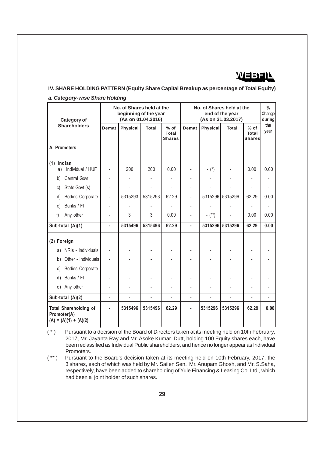

### **IV. SHARE HOLDING PATTERN (Equity Share Capital Breakup as percentage of Total Equity)**

| <b>Category of</b>                                                                    | No. of Shares held at the<br>beginning of the year<br>(As on 01.04.2016) |                 |                |                                  | No. of Shares held at the<br>end of the year<br>(As on 31.03.2017) |                |                 |                                         | $\frac{0}{0}$<br>Change<br>during |
|---------------------------------------------------------------------------------------|--------------------------------------------------------------------------|-----------------|----------------|----------------------------------|--------------------------------------------------------------------|----------------|-----------------|-----------------------------------------|-----------------------------------|
| <b>Shareholders</b>                                                                   | <b>Demat</b>                                                             | <b>Physical</b> | <b>Total</b>   | $%$ of<br>Total<br><b>Shares</b> | Demat                                                              | Physical       | <b>Total</b>    | $%$ of<br><b>Total</b><br><b>Shares</b> | the<br>year                       |
| A. Promoters                                                                          |                                                                          |                 |                |                                  |                                                                    |                |                 |                                         |                                   |
| $(1)$ Indian<br>Individual / HUF<br>a)<br>Central Govt.<br>b)<br>State Govt.(s)<br>C) | $\qquad \qquad \blacksquare$<br>$\overline{a}$                           | 200             | 200            | 0.00                             |                                                                    | $ (*)$         |                 | 0.00                                    | 0.00                              |
| <b>Bodies Corporate</b><br>d)<br>Banks / Fl                                           | $\overline{\phantom{0}}$                                                 | 5315293         | 5315293        | 62.29                            |                                                                    |                | 5315296 5315296 | 62.29                                   | 0.00                              |
| e)<br>Any other<br>f)                                                                 | $\overline{\phantom{a}}$<br>$\overline{a}$                               | 3               | 3              | 0.00                             |                                                                    | $ (**)$        |                 | 0.00                                    | 0.00                              |
| Sub-total (A)(1)                                                                      | ä,                                                                       | 5315496         | 5315496        | 62.29                            | ä,                                                                 |                | 5315296 5315296 | 62.29                                   | 0.00                              |
| (2) Foreign                                                                           |                                                                          |                 |                |                                  |                                                                    |                |                 |                                         |                                   |
| a) NRIs - Individuals                                                                 | $\overline{\phantom{0}}$                                                 |                 |                |                                  |                                                                    |                |                 |                                         |                                   |
| Other - Individuals<br>b)                                                             | $\blacksquare$                                                           |                 |                |                                  |                                                                    |                |                 |                                         |                                   |
| <b>Bodies Corporate</b><br>C)                                                         | $\overline{\phantom{0}}$                                                 |                 |                |                                  |                                                                    |                |                 |                                         |                                   |
| Banks / Fl<br>d)                                                                      | $\overline{\phantom{a}}$                                                 |                 |                |                                  |                                                                    |                |                 |                                         |                                   |
| Any other<br>e)                                                                       |                                                                          |                 |                |                                  |                                                                    |                |                 |                                         |                                   |
| Sub-total (A)(2)                                                                      | $\blacksquare$                                                           | $\blacksquare$  | $\blacksquare$ | $\blacksquare$                   | $\blacksquare$                                                     | $\blacksquare$ | $\blacksquare$  | $\blacksquare$                          | $\blacksquare$                    |
| <b>Total Shareholding of</b><br>Promoter(A)<br>$(A) = (A)(1) + (A)(2)$                | $\blacksquare$                                                           | 5315496         | 5315496        | 62.29                            |                                                                    | 5315296        | 5315296         | 62.29                                   | 0.00                              |

#### **a. Category-wise Share Holding**

( \* ) Pursuant to a decision of the Board of Directors taken at its meeting held on 10th February, 2017, Mr. Jayanta Ray and Mr. Asoke Kumar Dutt, holding 100 Equity shares each, have been reclassified as Individual Public shareholders, and hence no longer appear as Individual Promoters.

( \*\* ) Pursuant to the Board's decision taken at its meeting held on 10th February, 2017, the 3 shares, each of which was held by Mr. Sailen Sen, Mr. Anupam Ghosh, and Mr. S.Saha, respectively, have been added to shareholding of Yule Financing & Leasing Co. Ltd., which had been a joint holder of such shares.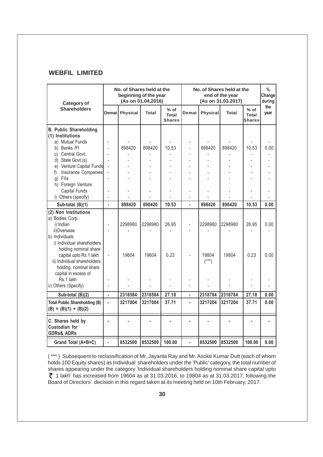| <b>Category of</b>                      | No. of Shares held at the<br>beginning of the year<br>(As on 01.04.2016) |                 |              |                                  | No. of Shares held at the<br>end of the year<br>(As on 31.03.2017) |                 |         |                                  | $\frac{0}{0}$<br>Change<br>during |
|-----------------------------------------|--------------------------------------------------------------------------|-----------------|--------------|----------------------------------|--------------------------------------------------------------------|-----------------|---------|----------------------------------|-----------------------------------|
| <b>Shareholders</b>                     | <b>Demat</b>                                                             | <b>Physical</b> | <b>Total</b> | $%$ of<br>Total<br><b>Shares</b> | Demat                                                              | <b>Physical</b> | Total   | $%$ of<br>Total<br><b>Shares</b> | the<br>year                       |
| <b>B. Public Shareholding</b>           |                                                                          |                 |              |                                  |                                                                    |                 |         |                                  |                                   |
| (1) Institutions                        |                                                                          |                 |              |                                  |                                                                    |                 |         |                                  |                                   |
| a) Mutual Funds                         |                                                                          |                 |              |                                  |                                                                    |                 |         |                                  |                                   |
| b) Banks /FI                            |                                                                          | 898420          | 898420       | 10.53                            |                                                                    | 898420          | 898420  | 10.53                            | 0.00                              |
| Central Govt.<br>C)                     |                                                                          |                 |              |                                  |                                                                    |                 |         |                                  |                                   |
| d) State Govt.(s)                       |                                                                          |                 |              |                                  |                                                                    |                 |         |                                  |                                   |
| e) Venture Capital Funds                | L,                                                                       |                 |              |                                  |                                                                    |                 |         |                                  |                                   |
| Insurance Companies<br>f)<br>g) Flls    | L,                                                                       |                 |              |                                  |                                                                    |                 |         |                                  |                                   |
| h) Foreign Venture                      |                                                                          |                 |              |                                  |                                                                    |                 |         |                                  |                                   |
| Capital Funds                           |                                                                          |                 |              |                                  |                                                                    |                 |         |                                  |                                   |
| i) Others (specify)                     | $\frac{1}{2}$                                                            |                 |              |                                  |                                                                    |                 |         |                                  |                                   |
| Sub-total (B)(1)                        | ä,                                                                       | 898420          | 898420       | 10.53                            | ä,                                                                 | 898420          | 898420  | 10.53                            | 0.00                              |
|                                         |                                                                          |                 |              |                                  |                                                                    |                 |         |                                  |                                   |
| (2) Non Institutions<br>a) Bodies Corp. |                                                                          |                 |              |                                  |                                                                    |                 |         |                                  |                                   |
| i) Indian                               |                                                                          | 2298980         | 2298980      | 26.95                            |                                                                    | 2298980         | 2298980 | 26.95                            | 0.00                              |
| ii)Overseas                             |                                                                          |                 |              |                                  |                                                                    |                 |         |                                  |                                   |
| b) Individuals                          |                                                                          |                 |              |                                  |                                                                    |                 |         |                                  |                                   |
| i) Individual shareholders              |                                                                          |                 |              |                                  |                                                                    |                 |         |                                  |                                   |
| holding nominal share                   |                                                                          |                 |              |                                  |                                                                    |                 |         |                                  |                                   |
| capital upto Rs.1 lakh                  | $\overline{\phantom{a}}$                                                 | 19604           | 19604        | 0.23                             |                                                                    | 19804           | 19804   | 0.23                             | 0.00                              |
| ii) Individual shareholders             |                                                                          |                 |              |                                  |                                                                    | $(***)$         |         |                                  |                                   |
| holding nominal share                   |                                                                          |                 |              |                                  |                                                                    |                 |         |                                  |                                   |
| capital in excess of                    |                                                                          |                 |              |                                  |                                                                    |                 |         |                                  |                                   |
| Rs.1 lakh                               |                                                                          |                 |              |                                  |                                                                    |                 |         |                                  |                                   |
| c) Others (Specify)                     | L,                                                                       |                 |              |                                  |                                                                    |                 |         |                                  |                                   |
| Sub-total (B)(2)                        | l,                                                                       | 2318584         | 2318584      | 27.18                            | ۰                                                                  | 2318784         | 2318784 | 27.18                            | 0.00                              |
| <b>Total Public Shareholding (B)</b>    | ä,                                                                       | 3217004         | 3217004      | 37.71                            | $\blacksquare$                                                     | 3217204         | 3217204 | 37.71                            | 0.00                              |
| $(B) = (B)(1) + (B)(2)$                 |                                                                          |                 |              |                                  |                                                                    |                 |         |                                  |                                   |
|                                         |                                                                          |                 |              |                                  |                                                                    |                 |         |                                  |                                   |
| C. Shares held by                       |                                                                          |                 |              |                                  |                                                                    |                 |         |                                  |                                   |
| <b>Custodian for</b>                    |                                                                          |                 |              |                                  |                                                                    |                 |         |                                  |                                   |
| <b>GDRs&amp; ADRs</b>                   |                                                                          |                 |              |                                  |                                                                    |                 |         |                                  |                                   |
| Grand Total (A+B+C)                     | ä,                                                                       | 8532500         | 8532500      | 100.00                           | i,                                                                 | 8532500         | 8532500 | 100.00                           | 0.00                              |

( \*\*\* ) Subsequent to reclassification of Mr. Jayanta Ray and Mr. Asoke Kumar Dutt (each of whom holds 100 Equity shares) as Individual shareholders under the 'Public' category, the total number of shares appearing under the category 'Individual shareholders holding nominal share capital upto  $\bar{\xi}$  1 lakh' has increased from 19604 as at 31.03.2016, to 19804 as at 31.03.2017, following the Board of Directors' decision in this regard taken at its meeting held on 10th February, 2017.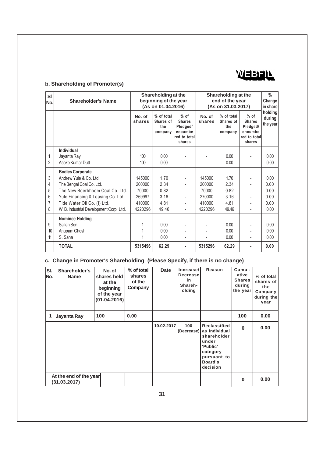

# **b. Shareholding of Promoter(s)**

| <b>SI</b><br>INo. | <b>Shareholder's Name</b>               |                  | Shareholding at the<br>beginning of the year<br>(As on 01.04.2016) |                                                                          |                  | Shareholding at the<br>end of the year<br>(As on 31.03.2017) |                                                                          |                               |
|-------------------|-----------------------------------------|------------------|--------------------------------------------------------------------|--------------------------------------------------------------------------|------------------|--------------------------------------------------------------|--------------------------------------------------------------------------|-------------------------------|
|                   |                                         | No. of<br>shares | % of total<br>Shares of<br>the<br>company                          | $%$ of<br><b>Shares</b><br>Pledged/<br>encumbe<br>red to total<br>shares | No. of<br>shares | % of total<br>Shares of<br>the<br>company                    | $%$ of<br><b>Shares</b><br>Pledged/<br>encumbe<br>red to total<br>shares | holding<br>during<br>the year |
|                   | Individual                              |                  |                                                                    |                                                                          |                  |                                                              |                                                                          |                               |
| 1                 | Jayanta Ray                             | 100              | 0.00                                                               |                                                                          |                  | 0.00                                                         |                                                                          | 0.00                          |
| $\overline{2}$    | Asoke Kumar Dutt                        | 100              | 0.00                                                               |                                                                          |                  | 0.00                                                         |                                                                          | 0.00                          |
|                   | <b>Bodies Corporate</b>                 |                  |                                                                    |                                                                          |                  |                                                              |                                                                          |                               |
| 3                 | Andrew Yule & Co. Ltd.                  | 145000           | 1.70                                                               |                                                                          | 145000           | 1.70                                                         |                                                                          | 0.00                          |
| 4                 | The Bengal Coal Co. Ltd.                | 200000           | 2.34                                                               |                                                                          | 200000           | 2.34                                                         |                                                                          | 0.00                          |
| 5                 | The New Beerbhoom Coal Co. Ltd.         | 70000            | 0.82                                                               |                                                                          | 70000            | 0.82                                                         |                                                                          | 0.00                          |
| 6                 | Yule Financing & Leasing Co. Ltd.       | 269997           | 3.16                                                               |                                                                          | 270000           | 3.16                                                         |                                                                          | 0.00                          |
| $\overline{7}$    | Tide Water Oil Co. (I) Ltd.             | 410000           | 4.81                                                               |                                                                          | 410000           | 4.81                                                         |                                                                          | 0.00                          |
| 8                 | W. B. Industrial Development Corp. Ltd. | 4220296          | 49.46                                                              |                                                                          | 4220296          | 49.46                                                        |                                                                          | 0.00                          |
|                   | <b>Nominee Holding</b>                  |                  |                                                                    |                                                                          |                  |                                                              |                                                                          |                               |
| 9                 | Sailen Sen                              |                  | 0.00                                                               |                                                                          |                  | 0.00                                                         |                                                                          | 0.00                          |
| 10                | Anupam Ghosh                            |                  | 0.00                                                               |                                                                          |                  | 0.00                                                         |                                                                          | 0.00                          |
| 11                | S. Saha                                 |                  | 0.00                                                               |                                                                          |                  | 0.00                                                         |                                                                          | 0.00                          |
|                   | <b>TOTAL</b>                            | 5315496          | 62.29                                                              | ٠                                                                        | 5315296          | 62.29                                                        |                                                                          | 0.00                          |

# **c. Change in Promoter's Shareholding (Please Specify, if there is no change)**

| SI.<br>No.l | Shareholder's<br><b>Name</b>           | No. of<br>shares held<br>at the<br>beginning<br>of the year<br>(01.04.2016) | % of total<br>shares<br>of the<br>Company | <b>Date</b> | Increase/<br>Decrease<br>in<br>Shareh-<br>olding | Reason                                                                                                                     | Cumul-<br>ative<br><b>Shares</b><br>during<br>the year | % of total<br>shares of<br>the<br>Company<br>during the<br>year |
|-------------|----------------------------------------|-----------------------------------------------------------------------------|-------------------------------------------|-------------|--------------------------------------------------|----------------------------------------------------------------------------------------------------------------------------|--------------------------------------------------------|-----------------------------------------------------------------|
|             | Jayanta Ray                            | 100                                                                         | 0.00                                      |             |                                                  |                                                                                                                            | 100                                                    | 0.00                                                            |
|             |                                        |                                                                             |                                           | 10.02.2017  | 100<br>(Decrease)                                | <b>Reclassified</b><br>as Individual<br>shareholder<br>under<br>'Public'<br>category<br>pursuant to<br>Board's<br>decision | $\bf{0}$                                               | 0.00                                                            |
|             | At the end of the year<br>(31.03.2017) |                                                                             |                                           |             |                                                  |                                                                                                                            | $\bf{0}$                                               | 0.00                                                            |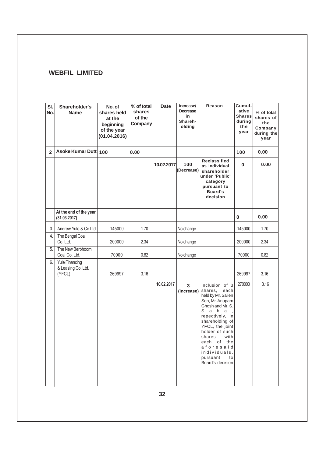| SI.<br>No.              | Shareholder's<br><b>Name</b>                          | No. of<br>shares held<br>at the<br>beginning<br>of the year<br>(01.04.2016) | % of total<br>shares<br>of the<br>Company | Date       | Increase/<br>Decrease<br>in<br>Shareh-<br>olding | Reason                                                                                                                                                                                                                                                                                   | $\overline{\mathrm{Cumul}}$<br>ative<br><b>Shares</b><br>during<br>the<br>year | % of total<br>shares of<br>the<br>Company<br>during the<br>year |
|-------------------------|-------------------------------------------------------|-----------------------------------------------------------------------------|-------------------------------------------|------------|--------------------------------------------------|------------------------------------------------------------------------------------------------------------------------------------------------------------------------------------------------------------------------------------------------------------------------------------------|--------------------------------------------------------------------------------|-----------------------------------------------------------------|
| $\overline{\mathbf{2}}$ | Asoke Kumar Dutt 100                                  |                                                                             | 0.00                                      |            |                                                  |                                                                                                                                                                                                                                                                                          | 100                                                                            | 0.00                                                            |
|                         |                                                       |                                                                             |                                           | 10.02.2017 | 100<br><b>Decrease)</b>                          | <b>Reclassified</b><br>as Individual<br>shareholder<br>under 'Public'<br>category<br>pursuant to<br><b>Board's</b><br>decision                                                                                                                                                           | $\bf{0}$                                                                       | 0.00                                                            |
|                         | At the end of the year<br>(31.03.2017)                |                                                                             |                                           |            |                                                  |                                                                                                                                                                                                                                                                                          | 0                                                                              | 0.00                                                            |
| 3.                      | Andrew Yule & Co Ltd.                                 | 145000                                                                      | 1.70                                      |            | No change                                        |                                                                                                                                                                                                                                                                                          | 145000                                                                         | 1.70                                                            |
| 4.                      | The Bengal Coal<br>Co. Ltd.                           | 200000                                                                      | 2.34                                      |            | No change                                        |                                                                                                                                                                                                                                                                                          | 200000                                                                         | 2.34                                                            |
| 5.                      | The New Berbhoom<br>Coal Co. Ltd.                     | 70000                                                                       | 0.82                                      |            | No change                                        |                                                                                                                                                                                                                                                                                          | 70000                                                                          | 0.82                                                            |
| 6.                      | <b>Yule Financing</b><br>& Leasing Co. Ltd.<br>(YFCL) | 269997                                                                      | 3.16                                      |            |                                                  |                                                                                                                                                                                                                                                                                          | 269997                                                                         | 3.16                                                            |
|                         |                                                       |                                                                             |                                           | 10.02.2017 | 3<br>(Increase)                                  | Inclusion of 3<br>each<br>shares,<br>held by Mr. Sailen<br>Sen, Mr. Anupam<br>Ghosh and Mr. S.<br>S a h a<br>repectively, in<br>shareholding of<br>YFCL, the joint<br>holder of such<br>shares<br>with<br>each of the<br>aforesaid<br>individuals,<br>pursuant<br>to<br>Board's decision | 270000                                                                         | 3.16                                                            |

**32**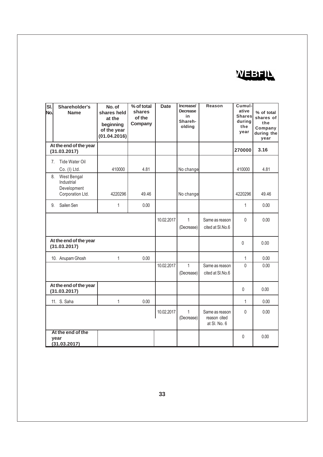

| SI.<br>No. | Shareholder's<br><b>Name</b>                                 | No. of<br>shares held<br>at the<br>beginning<br>of the year<br>(01.04.2016) | % of total<br>shares<br>of the<br>Company | <b>Date</b> | Increase/<br>Decrease<br>in<br>Shareh-<br>olding | Reason                                         | Cumul-<br>ative<br><b>Shares</b><br>during<br>the<br>year | % of total<br>shares of<br>the<br>Company<br>during the<br>year |
|------------|--------------------------------------------------------------|-----------------------------------------------------------------------------|-------------------------------------------|-------------|--------------------------------------------------|------------------------------------------------|-----------------------------------------------------------|-----------------------------------------------------------------|
|            | At the end of the year<br>(31.03.2017)                       |                                                                             |                                           |             |                                                  |                                                | 270000                                                    | 3.16                                                            |
| 7.         | Tide Water Oil<br>Co. (I) Ltd.                               | 410000                                                                      | 4.81                                      |             | No change                                        |                                                | 410000                                                    | 4.81                                                            |
| 8.         | West Bengal<br>Industrial<br>Development<br>Corporation Ltd. | 4220296                                                                     | 49.46                                     |             | No change                                        |                                                | 4220296                                                   | 49.46                                                           |
| 9.         | Sailen Sen                                                   | 1                                                                           | 0.00                                      |             |                                                  |                                                | 1                                                         | 0.00                                                            |
|            |                                                              |                                                                             |                                           | 10.02.2017  | $\mathbf{1}$<br>(Decrease)                       | Same as reason<br>cited at SI.No.6             | 0                                                         | 0.00                                                            |
|            | At the end of the year<br>(31.03.2017)                       |                                                                             |                                           |             |                                                  |                                                | $\Omega$                                                  | 0.00                                                            |
|            | 10. Anupam Ghosh                                             | 1                                                                           | 0.00                                      |             |                                                  |                                                | 1                                                         | 0.00                                                            |
|            |                                                              |                                                                             |                                           | 10.02.2017  | $\mathbf{1}$<br>(Decrease)                       | Same as reason<br>cited at SI.No.6             | $\Omega$                                                  | 0.00                                                            |
|            | At the end of the year<br>(31.03.2017)                       |                                                                             |                                           |             |                                                  |                                                | $\pmb{0}$                                                 | 0.00                                                            |
|            | 11. S. Saha                                                  | 1                                                                           | 0.00                                      |             |                                                  |                                                | 1                                                         | 0.00                                                            |
|            |                                                              |                                                                             |                                           | 10.02.2017  | $\mathbf{1}$<br>(Decrease)                       | Same as reason<br>reason cited<br>at SI. No. 6 | 0                                                         | 0.00                                                            |
|            | At the end of the<br>year<br>(31.03.2017)                    |                                                                             |                                           |             |                                                  |                                                | $\mathbf{0}$                                              | 0.00                                                            |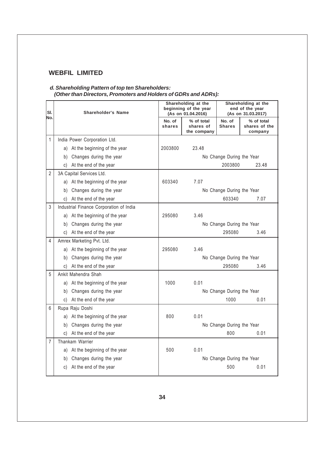#### **d. Shareholding Pattern of top ten Shareholders: (Other than Directors, Promoters and Holders of GDRs and ADRs):**

| SI.<br>lNo.    | <b>Shareholder's Name</b>               |                  | Shareholding at the<br>beginning of the year<br>(As on 01.04.2016) |                           | Shareholding at the<br>end of the year<br>(As on 31.03.2017) |  |
|----------------|-----------------------------------------|------------------|--------------------------------------------------------------------|---------------------------|--------------------------------------------------------------|--|
|                |                                         | No. of<br>shares | % of total<br>shares of<br>the company                             | No. of<br><b>Shares</b>   | % of total<br>shares of the<br>company                       |  |
| $\mathbf{1}$   | India Power Corporation Ltd.            |                  |                                                                    |                           |                                                              |  |
|                | a) At the beginning of the year         | 2003800          | 23.48                                                              |                           |                                                              |  |
|                | b) Changes during the year              |                  |                                                                    | No Change During the Year |                                                              |  |
|                | c) At the end of the year               |                  |                                                                    | 2003800                   | 23.48                                                        |  |
| $\overline{2}$ | 3A Capital Services Ltd.                |                  |                                                                    |                           |                                                              |  |
|                | a) At the beginning of the year         | 603340           | 7.07                                                               |                           |                                                              |  |
|                | b) Changes during the year              |                  |                                                                    | No Change During the Year |                                                              |  |
|                | c) At the end of the year               |                  |                                                                    | 603340                    | 7.07                                                         |  |
| 3              | Industrial Finance Corporation of India |                  |                                                                    |                           |                                                              |  |
|                | a) At the beginning of the year         | 295080           | 3.46                                                               |                           |                                                              |  |
|                | b) Changes during the year              |                  |                                                                    | No Change During the Year |                                                              |  |
|                | c) At the end of the year               |                  |                                                                    | 295080                    | 3.46                                                         |  |
| 4              | Amrex Marketing Pvt. Ltd.               |                  |                                                                    |                           |                                                              |  |
|                | a) At the beginning of the year         | 295080           | 3.46                                                               |                           |                                                              |  |
|                | b) Changes during the year              |                  |                                                                    | No Change During the Year |                                                              |  |
|                | At the end of the year<br>C)            |                  |                                                                    | 295080                    | 3.46                                                         |  |
| 5              | Ankit Mahendra Shah                     |                  |                                                                    |                           |                                                              |  |
|                | a) At the beginning of the year         | 1000             | 0.01                                                               |                           |                                                              |  |
|                | b) Changes during the year              |                  |                                                                    | No Change During the Year |                                                              |  |
|                | At the end of the year<br>C)            |                  |                                                                    | 1000                      | 0.01                                                         |  |
| 6              | Rupa Raju Doshi                         |                  |                                                                    |                           |                                                              |  |
|                | a) At the beginning of the year         | 800              | 0.01                                                               |                           |                                                              |  |
|                | Changes during the year<br>b)           |                  |                                                                    | No Change During the Year |                                                              |  |
|                | At the end of the year<br>C)            |                  |                                                                    | 800                       | 0.01                                                         |  |
| $\overline{7}$ | Thankam Warrier                         |                  |                                                                    |                           |                                                              |  |
|                | a) At the beginning of the year         | 500              | 0.01                                                               |                           |                                                              |  |
|                | Changes during the year<br>b)           |                  |                                                                    | No Change During the Year |                                                              |  |
|                | c) At the end of the year               |                  |                                                                    | 500                       | 0.01                                                         |  |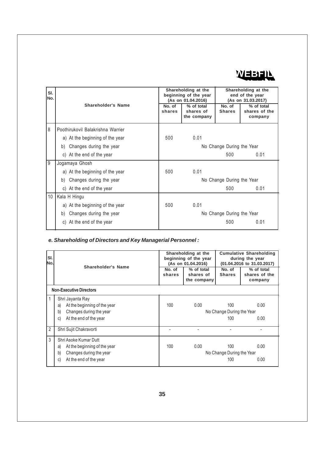

| SI.<br>lNo. |                                   |                  | Shareholding at the<br>beginning of the year<br>(As on 01.04.2016) | Shareholding at the<br>end of the year<br>(As on 31.03.2017) |                                        |
|-------------|-----------------------------------|------------------|--------------------------------------------------------------------|--------------------------------------------------------------|----------------------------------------|
|             | Shareholder's Name                | No. of<br>shares | % of total<br>shares of<br>the company                             | No. of<br><b>Shares</b>                                      | % of total<br>shares of the<br>company |
| 8           | Poothirukovil Balakrishna Warrier |                  |                                                                    |                                                              |                                        |
|             | a) At the beginning of the year   | 500              | 0.01                                                               |                                                              |                                        |
|             | Changes during the year<br>b)     |                  |                                                                    | No Change During the Year                                    |                                        |
|             | c) At the end of the year         |                  |                                                                    | 500                                                          | 0.01                                   |
| 9           | Jogamaya Ghosh                    |                  |                                                                    |                                                              |                                        |
|             | a) At the beginning of the year   | 500              | 0.01                                                               |                                                              |                                        |
|             | Changes during the year<br>b)     |                  |                                                                    | No Change During the Year                                    |                                        |
|             | c) At the end of the year         |                  |                                                                    | 500                                                          | 0.01                                   |
| 10          | Kala H Hingu                      |                  |                                                                    |                                                              |                                        |
|             | a) At the beginning of the year   | 500              | 0.01                                                               |                                                              |                                        |
|             | Changes during the year<br>b)     |                  |                                                                    | No Change During the Year                                    |                                        |
|             | At the end of the year<br>C)      |                  |                                                                    | 500                                                          | 0.01                                   |

# **e. Shareholding of Directors and Key Managerial Personnel :**

| SI.<br>lNo.    | Shareholder's Name                                                                                                           | Shareholding at the<br>beginning of the year<br>(As on 01.04.2016)<br>% of total<br>No. of<br>shares of<br>shares<br>the company |      | <b>Cumulative Shareholding</b><br>during the year<br>(01.04.2016 to 31.03.2017)<br>% of total<br>No. of<br>shares of the<br><b>Shares</b><br>company |              |
|----------------|------------------------------------------------------------------------------------------------------------------------------|----------------------------------------------------------------------------------------------------------------------------------|------|------------------------------------------------------------------------------------------------------------------------------------------------------|--------------|
|                | <b>Non-Executive Directors</b>                                                                                               |                                                                                                                                  |      |                                                                                                                                                      |              |
|                | Shri Jayanta Ray<br>At the beginning of the year<br>a)<br>b)<br>Changes during the year<br>At the end of the year<br>c)      | 100                                                                                                                              | 0.00 | 100<br>No Change During the Year<br>100                                                                                                              | 0.00<br>0.00 |
| $\overline{2}$ | Shri Sujit Chakravorti                                                                                                       |                                                                                                                                  |      |                                                                                                                                                      |              |
| 3              | Shri Asoke Kumar Dutt<br>At the beginning of the year<br>a)<br>b)<br>Changes during the year<br>At the end of the year<br>C) | 100                                                                                                                              | 0.00 | 100<br>No Change During the Year<br>100                                                                                                              | 0.00<br>0.00 |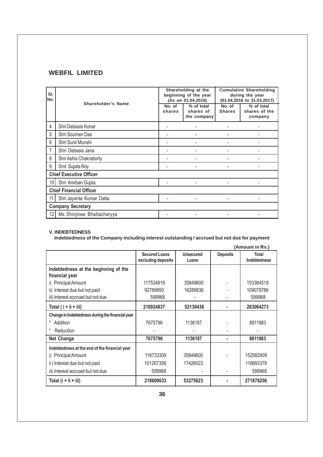| SI.<br>lNo.     | Shareholder's Name             |                  | Shareholding at the<br>beginning of the year<br>(As on 01.04.2016) | <b>Cumulative Shareholding</b><br>during the year<br>(01.04.2016 to 31.03.2017) |                                        |
|-----------------|--------------------------------|------------------|--------------------------------------------------------------------|---------------------------------------------------------------------------------|----------------------------------------|
|                 |                                | No. of<br>shares | % of total<br>shares of<br>the company                             | No. of<br><b>Shares</b>                                                         | % of total<br>shares of the<br>company |
| 4               | Shri Debasis Konar             |                  |                                                                    |                                                                                 |                                        |
| 5               | Shri Soumen Das                |                  |                                                                    |                                                                                 |                                        |
| 6               | Shri Sunil Munshi              |                  |                                                                    |                                                                                 |                                        |
| 7               | Shri Debasis Jana              |                  |                                                                    |                                                                                 |                                        |
| 8               | Shri Ashis Chakraborty         |                  |                                                                    |                                                                                 |                                        |
| 9               | Smt.Sujata Roy                 |                  |                                                                    |                                                                                 |                                        |
|                 | <b>Chief Executive Officer</b> |                  |                                                                    |                                                                                 |                                        |
| 10 <sup>1</sup> | Shri Anirban Gupta             |                  |                                                                    |                                                                                 |                                        |
|                 | <b>Chief Financial Officer</b> |                  |                                                                    |                                                                                 |                                        |
| 11              | Shri Jayanta Kumar Datta       |                  |                                                                    |                                                                                 |                                        |
|                 | <b>Company Secretary</b>       |                  |                                                                    |                                                                                 |                                        |
| 12              | Ms. Shinjinee Bhattacharyya    |                  |                                                                    |                                                                                 |                                        |

#### **V. INDEBTEDNESS**

 **Indebtedness of the Company including interest outstanding / accrued but not due for payment**

|                                                  |                                            |                           |                 | (Amount in Rs.)              |
|--------------------------------------------------|--------------------------------------------|---------------------------|-----------------|------------------------------|
|                                                  | <b>Secured Loans</b><br>excluding deposits | <b>Unsecured</b><br>Loans | <b>Deposits</b> | Total<br><b>Indebtedness</b> |
| Indebtedness at the beginning of the             |                                            |                           |                 |                              |
| financial year                                   |                                            |                           |                 |                              |
| i) Principal Amount                              | 117534919                                  | 35849600                  |                 | 153384519                    |
| ii) Interest due but not paid                    | 92789950                                   | 16289836                  |                 | 109079786                    |
| iii) Interest accrued but not due                | 599968                                     |                           |                 | 599968                       |
| Total $(i + ii + iii)$                           | 210924837                                  | 52139436                  |                 | 263064273                    |
| Change in Indebtedness during the financial year |                                            |                           |                 |                              |
| Addition                                         | 7675796                                    | 1136187                   |                 | 8811983                      |
| Reduction                                        |                                            |                           |                 |                              |
| <b>Net Change</b>                                | 7675796                                    | 1136187                   | ٠               | 8811983                      |
| Indebtedness at the end of the financial year    |                                            |                           |                 |                              |
| i) Principal Amount                              | 116733309                                  | 35849600                  |                 | 152582909                    |
| ii) Interest due but not paid                    | 101267356                                  | 17426023                  |                 | 118693379                    |
| iii) Interest accrued but not due                | 599968                                     |                           |                 | 599968                       |
| Total $(i + ii + iii)$                           | 218600633                                  | 53275623                  |                 | 271876256                    |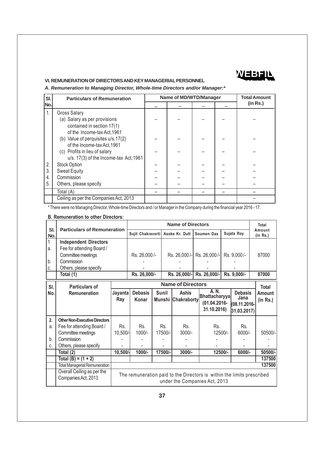

## **VI. REMUNERATION OF DIRECTORS AND KEY MANAGERIAL PERSONNEL**

**A. Remuneration to Managing Director, Whole-time Directors and/or Manager:\***

| SI.  | <b>Particulars of Remuneration</b>                                                                                                                                                    | Name of MD/WTD/Manager |  |  | <b>Total Amount</b> |
|------|---------------------------------------------------------------------------------------------------------------------------------------------------------------------------------------|------------------------|--|--|---------------------|
| INo. |                                                                                                                                                                                       |                        |  |  | (in Rs.)            |
| 1.   | <b>Gross Salary</b><br>(a) Salary as per provisions<br>contained in section 17(1)<br>of the Income-tax Act, 1961<br>(b) Value of perquisites u/s.17(2)<br>of the Income-tax Act, 1961 |                        |  |  |                     |
|      | (c) Profits in lieu of salary<br>u/s. 17(3) of the Income-tax Act, 1961                                                                                                               |                        |  |  |                     |
| 2.   | <b>Stock Option</b>                                                                                                                                                                   |                        |  |  |                     |
| 3.   | <b>Sweat Equity</b>                                                                                                                                                                   |                        |  |  |                     |
| 4.   | Commission                                                                                                                                                                            |                        |  |  |                     |
| 5.   | Others, please specify                                                                                                                                                                |                        |  |  |                     |
|      | Total (A)                                                                                                                                                                             |                        |  |  |                     |
|      | Ceiling as per the Companies Act, 2013                                                                                                                                                |                        |  |  |                     |

\* There were no Managing Director, Whole-time Directors and / or Manager in the Company during the financial year 2016 - 17.

| SI.          | <b>Particulars of Remuneration</b>                |                | <b>Name of Directors</b>                                                                                |  |         |                                    |  |                                |           | Total<br>Amount             |                    |
|--------------|---------------------------------------------------|----------------|---------------------------------------------------------------------------------------------------------|--|---------|------------------------------------|--|--------------------------------|-----------|-----------------------------|--------------------|
| No.          |                                                   |                | Suiit Chakravortil Asoke Kr. Dutt                                                                       |  |         |                                    |  | Soumen Das                     |           | Sujata Roy                  | (in Rs.)           |
| $\mathbf{1}$ | <b>Independent Directors</b>                      |                |                                                                                                         |  |         |                                    |  |                                |           |                             |                    |
| a.           | Fee for attending Board /                         |                |                                                                                                         |  |         |                                    |  |                                |           |                             |                    |
|              | Committee meetings                                |                | Rs. 26,000/-                                                                                            |  |         |                                    |  | Rs. 26,000/- Rs. 26,000/-      |           | Rs. 9,000/-                 | 87000              |
| b.           | Commission                                        |                |                                                                                                         |  |         |                                    |  |                                |           |                             |                    |
| C.           | Others, please specify                            |                |                                                                                                         |  |         |                                    |  |                                |           |                             |                    |
|              | Total (1)                                         |                | Rs. 26,000/-                                                                                            |  |         | Rs. 26,000/-                       |  | Rs. 26,000/-                   |           | Rs. 9,000/-                 | 87000              |
| SI.          | Particulars of                                    |                | <b>Name of Directors</b>                                                                                |  |         |                                    |  | <b>Total</b>                   |           |                             |                    |
| No.          | <b>Remuneration</b>                               | Jayanta<br>Ray | <b>Debasis</b><br>Konar                                                                                 |  | Sunil   | <b>Ashis</b><br>Munshi Chakraborty |  | A.N.<br>Bhattacharyya          |           | <b>Debasis</b><br>Jana      | Amount<br>(in Rs.) |
|              |                                                   |                |                                                                                                         |  |         |                                    |  | $(01.04.2016 -$<br>31.10.2016) |           | (08.11.2016-<br>31.03.2017) |                    |
| 2.           | <b>Other Non-Executive Directors</b>              |                |                                                                                                         |  |         |                                    |  |                                |           |                             |                    |
| a.           | Fee for attending Board /                         | Rs.            | Rs.                                                                                                     |  | Rs.     | Rs.                                |  | Rs.                            |           | Rs.                         |                    |
|              | Committee meetings                                | 10,500/        | $1000/-$                                                                                                |  | 17500/- | $3000/-$                           |  |                                | 12500/-   | 6000/-                      | 50500/-            |
| b.           | Commission                                        |                |                                                                                                         |  |         |                                    |  |                                |           |                             |                    |
| C.           | Others, please specify                            |                |                                                                                                         |  |         |                                    |  |                                |           |                             |                    |
|              | Total (2)                                         | 10,500/        | $1000/-$                                                                                                |  | 17500/- | $3000/-$                           |  |                                | $12500/-$ | $6000 -$                    | 50500/-            |
|              | Total (B) = $(1 + 2)$                             |                |                                                                                                         |  |         |                                    |  |                                |           |                             | 137500             |
|              | <b>Total Managerial Remuneration</b>              |                |                                                                                                         |  |         |                                    |  |                                |           |                             | 137500             |
|              | Overall Ceiling as per the<br>Companies Act, 2013 |                | The remuneration paid to the Directors is within the limits prescribed<br>under the Companies Act, 2013 |  |         |                                    |  |                                |           |                             |                    |

#### **B. Remuneration to other Directors:**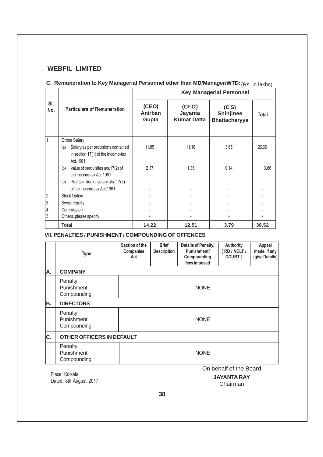## **C. Remuneration to Key Managerial Personnel other than MD/Manager/WTD:** (Rs. in lakhs)

|            |                                                                                                | <b>Key Managerial Personnel</b> |                                        |                                                   |              |  |  |  |
|------------|------------------------------------------------------------------------------------------------|---------------------------------|----------------------------------------|---------------------------------------------------|--------------|--|--|--|
| SI.<br>No. | <b>Particulars of Remuneration</b>                                                             | (CEO)<br>Anirban<br>Gupta       | (CFO)<br>Jayanta<br><b>Kumar Datta</b> | (C S)<br><b>Shinjinee</b><br><b>Bhattacharyya</b> | <b>Total</b> |  |  |  |
| 1.         | <b>Gross Salary</b>                                                                            |                                 |                                        |                                                   |              |  |  |  |
|            | Salary as per provisions contained<br>(a)<br>in section $17(1)$ of the Income-tax<br>Act, 1961 | 11.85                           | 11.16                                  | 3.65                                              | 26.66        |  |  |  |
|            | Value of perquisites u/s.17(2) of<br>(b)<br>the Income-tax Act, 1961                           | 2.37                            | 1.35                                   | 0.14                                              | 3.86         |  |  |  |
|            | Profits in lieu of salary u/s. 17(3)<br>(c)                                                    |                                 |                                        |                                                   |              |  |  |  |
|            | of the Income-tax Act, 1961                                                                    |                                 |                                        |                                                   |              |  |  |  |
| 2.         | <b>Stock Option</b>                                                                            |                                 |                                        |                                                   |              |  |  |  |
| 3.         | <b>Sweat Equity</b>                                                                            |                                 |                                        |                                                   |              |  |  |  |
| 4.         | Commission                                                                                     |                                 |                                        |                                                   |              |  |  |  |
| 5.         | Others, please specify                                                                         |                                 |                                        |                                                   |              |  |  |  |
|            | Total                                                                                          | 14.22                           | 12.51                                  | 3.79                                              | 30.52        |  |  |  |

## **VII. PENALTIES / PUNISHMENT / COMPOUNDING OF OFFENCES**

|     | <b>Type</b>                                 | Section of the<br><b>Companies</b><br>Act | <b>Brief</b><br><b>Description</b> | Details of Penalty/<br>Punishment/<br>Compounding<br>fees imposed | <b>Authority</b><br>[ RD / NCLT /<br>COURT ] | Appeal<br>made, if any<br>(give Details) |  |
|-----|---------------------------------------------|-------------------------------------------|------------------------------------|-------------------------------------------------------------------|----------------------------------------------|------------------------------------------|--|
| IA. | <b>COMPANY</b>                              |                                           |                                    |                                                                   |                                              |                                          |  |
|     | Penalty<br>Punishment<br>Compounding        | <b>NONE</b>                               |                                    |                                                                   |                                              |                                          |  |
| B.  | <b>DIRECTORS</b>                            |                                           |                                    |                                                                   |                                              |                                          |  |
|     | Penalty<br><b>Punishment</b><br>Compounding | <b>NONE</b>                               |                                    |                                                                   |                                              |                                          |  |
| c.  | OTHER OFFICERS IN DEFAULT                   |                                           |                                    |                                                                   |                                              |                                          |  |
|     | Penalty<br>Punishment<br>Compounding        | <b>NONE</b>                               |                                    |                                                                   |                                              |                                          |  |
|     |                                             |                                           |                                    |                                                                   | On behalf of the Board                       |                                          |  |

Place : Kolkata Dated : 8th August, 2017 On behalf of the Board

**JAYANTA RAY** Chairman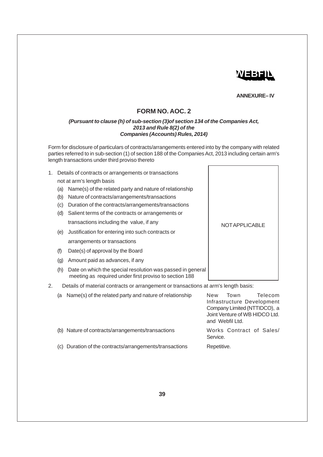

#### **ANNEXURE– IV**

NOTAPPLICABLE

## **FORM NO. AOC. 2**

#### **(Pursuant to clause (h) of sub-section (3)of section 134 of the Companies Act, 2013 and Rule 8(2) of the Companies (Accounts) Rules, 2014)**

Form for disclosure of particulars of contracts/arrangements entered into by the company with related parties referred to in sub-section (1) of section 188 of the Companies Act, 2013 including certain arm's length transactions under third proviso thereto

- 1. Details of contracts or arrangements or transactions not at arm's length basis
	- (a) Name(s) of the related party and nature of relationship
	- (b) Nature of contracts/arrangements/transactions
	- (c) Duration of the contracts/arrangements/transactions
	- (d) Salient terms of the contracts or arrangements or transactions including the value, if any
	- (e) Justification for entering into such contracts or arrangements or transactions
	- (f) Date(s) of approval by the Board
	- (g) Amount paid as advances, if any
	- (h) Date on which the special resolution was passed in general meeting as required under first proviso to section 188
- 2. Details of material contracts or arrangement or transactions at arm's length basis:

| (a Name(s) of the related party and nature of relationship | New<br>Town<br>Telecom         |
|------------------------------------------------------------|--------------------------------|
|                                                            | Infrastructure Development     |
|                                                            | Company Limited (NTTIDCO), a   |
|                                                            | Joint Venture of WB HIDCO Ltd. |
|                                                            | and Webfil Ltd.                |
| (b) Nature of contracts/arrangements/transactions          | Works Contract of Sales/       |
|                                                            | Service.                       |
| (c) Duration of the contracts/arrangements/transactions    | Repetitive.                    |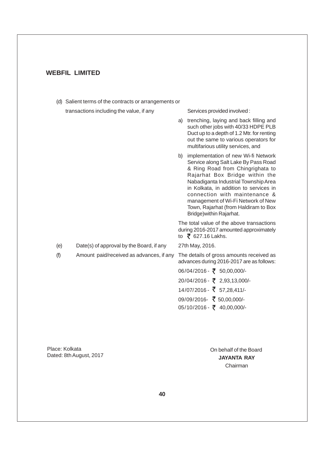|     | (d) Salient terms of the contracts or arrangements or |                                                                                                                                                                                                                                                                                                                                                                                   |
|-----|-------------------------------------------------------|-----------------------------------------------------------------------------------------------------------------------------------------------------------------------------------------------------------------------------------------------------------------------------------------------------------------------------------------------------------------------------------|
|     | transactions including the value, if any              | Services provided involved :                                                                                                                                                                                                                                                                                                                                                      |
|     |                                                       | trenching, laying and back filling and<br>a)<br>such other jobs with 40/33 HDPE PLB<br>Duct up to a depth of 1.2 Mtr. for renting<br>out the same to various operators for<br>multifarious utility services, and                                                                                                                                                                  |
|     |                                                       | b) implementation of new Wi-fi Network<br>Service along Salt Lake By Pass Road<br>& Ring Road from Chingrighata to<br>Rajarhat Box Bridge within the<br>Nabadiganta Industrial Township Area<br>in Kolkata, in addition to services in<br>connection with maintenance &<br>management of Wi-Fi Network of New<br>Town, Rajarhat (from Haldiram to Box<br>Bridge) within Rajarhat. |
|     |                                                       | The total value of the above transactions<br>during 2016-2017 amounted approximately<br>to ₹ 627.16 Lakhs.                                                                                                                                                                                                                                                                        |
| (e) | Date(s) of approval by the Board, if any              | 27th May, 2016.                                                                                                                                                                                                                                                                                                                                                                   |
| (f) | Amount paid/received as advances, if any              | The details of gross amounts received as<br>advances during 2016-2017 are as follows:                                                                                                                                                                                                                                                                                             |
|     |                                                       | 06/04/2016 - ₹ 50,00,000/-                                                                                                                                                                                                                                                                                                                                                        |
|     |                                                       | 20/04/2016 - ₹ 2,93,13,000/-                                                                                                                                                                                                                                                                                                                                                      |
|     |                                                       | 14/07/2016 - ₹ 57,28,411/-                                                                                                                                                                                                                                                                                                                                                        |
|     |                                                       | 09/09/2016- ₹ 50,00,000/-                                                                                                                                                                                                                                                                                                                                                         |
|     |                                                       | 05/10/2016 - ₹ 40,00,000/-                                                                                                                                                                                                                                                                                                                                                        |

Place: Kolkata Dated: 8th August, 2017

On behalf of the Board  **JAYANTA RAY** Chairman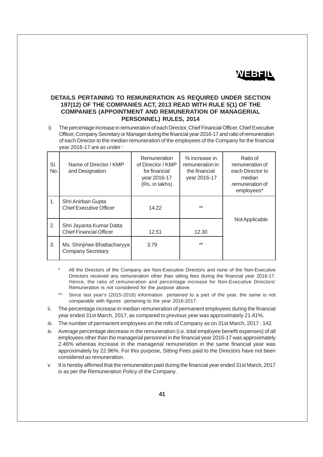

## **DETAILS PERTAINING TO REMUNERATION AS REQUIRED UNDER SECTION 197(12) OF THE COMPANIES ACT, 2013 READ WITH RULE 5(1) OF THE COMPANIES (APPOINTMENT AND REMUNERATION OF MANAGERIAL PERSONNEL) RULES, 2014**

i) The percentage increase in remuneration of each Director, Chief Financial Officer, Chief Executive Officer, Company Secretary or Manager during the financial year 2016-17 and ratio of remuneration of each Director to the median remuneration of the employees of the Company for the financial year 2016-17 are as under :

| SI.<br>No. | Name of Director / KMP<br>and Designation                  | Remuneration<br>of Director / KMP<br>for financial<br>year 2016-17<br>(Rs. in lakhs) | % increase in<br>remuneration in<br>the financial<br>year 2016-17 | Ratio of<br>remuneration of<br>each Director to<br>median<br>remuneration of<br>employees* |
|------------|------------------------------------------------------------|--------------------------------------------------------------------------------------|-------------------------------------------------------------------|--------------------------------------------------------------------------------------------|
| 1.         | Shri Anirban Gupta<br><b>Chief Executive Officer</b>       | 14.22                                                                                | $***$                                                             |                                                                                            |
| 2.         | Shri Jayanta Kumar Datta<br><b>Chief Financial Officer</b> | 12.51                                                                                | 12.30                                                             | Not Applicable                                                                             |
| 3.         | Ms. Shinjinee Bhattacharyya<br><b>Company Secretary</b>    | 3.79                                                                                 | $***$                                                             |                                                                                            |

- All the Directors of the Company are Non-Executive Directors and none of the Non-Executive Directors received any remuneration other than sitting fees during the financial year 2016-17. Hence, the ratio of remuneration and percentage increase for Non-Executive Directors' Remuneration is not considered for the purpose above.
- \*\* Since last year's (2015-2016) information pertained to a part of the year, the same is not comparable with figures pertaining to the year 2016-2017.
- ii. The percentage increase in median remuneration of permanent employees during the financial year ended 31st March, 2017, as compared to previous year was approximately 21.41%.
- iii. The number of permanent employees on the rolls of Company as on 31st March, 2017 : 142
- iv. Average percentage decrease in the remuneration (i.e. total employee benefit expenses) of all employees other than the managerial personnel in the financial year 2016-17 was approximately 2.46% whereas increase in the managerial remuneration in the same financial year was approximately by 22.96%. For this purpose, Sitting Fees paid to the Directors have not been considered as remuneration.
- v. It is hereby affirmed that the remuneration paid during the financial year ended 31st March, 2017 is as per the Remuneration Policy of the Company.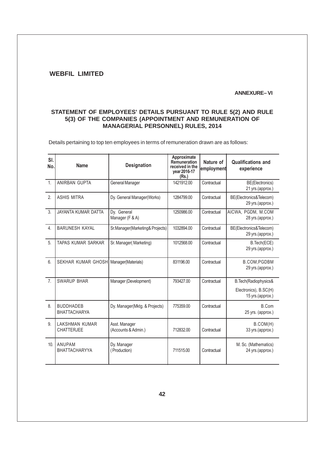#### **ANNEXURE– VI**

## **STATEMENT OF EMPLOYEES' DETAILS PURSUANT TO RULE 5(2) AND RULE 5(3) OF THE COMPANIES (APPOINTMENT AND REMUNERATION OF MANAGERIAL PERSONNEL) RULES, 2014**

Details pertaining to top ten employees in terms of remuneration drawn are as follows:

| SI.<br>No.       | <b>Name</b>                                | Designation                          | Approximate<br>Remuneration<br>received in the<br>year 2016-17<br>(Rs) | Nature of<br>employment | <b>Qualifications and</b><br>experience                             |
|------------------|--------------------------------------------|--------------------------------------|------------------------------------------------------------------------|-------------------------|---------------------------------------------------------------------|
| $\mathbf{1}$     | ANIRBAN GUPTA                              | General Manager                      | 1421912.00                                                             | Contractual             | <b>BE(Electronics)</b><br>21 yrs.(approx.)                          |
| 2.               | <b>ASHIS MITRA</b>                         | Dy. General Manager(Works)           | 1284799.00                                                             | Contractual             | BE(Electronics&Telecom)<br>29 yrs.(approx.)                         |
| 3.               | <b>JAYANTA KUMAR DATTA</b>                 | Dy. General<br>Manager (F & A)       | 1250986.00                                                             | Contractual             | AICWA, PGDM, M.COM<br>28 yrs.(approx.)                              |
| $\overline{4}$ . | <b>BARUNESH KAYAL</b>                      | Sr.Manager(Marketing& Projects)      | 1032894.00                                                             | Contractual             | BE(Electronics&Telecom)<br>29 yrs.(approx.)                         |
| 5.               | <b>TAPAS KUMAR SARKAR</b>                  | Sr. Manager(Marketing)               | 1012568.00                                                             | Contractual             | B.Tech(ECE)<br>29 yrs.(approx.)                                     |
| 6.               | SEKHAR KUMAR GHOSH   Manager(Materials)    |                                      | 831196.00                                                              | Contractual             | <b>B.COM, PGDBM</b><br>29 yrs.(approx.)                             |
| 7 <sub>1</sub>   | <b>SWARUP BHAR</b>                         | Manager (Development)                | 793427.00                                                              | Contractual             | B. Tech (Radiophysics&<br>Electronics), B.SC(H)<br>15 yrs.(approx.) |
| 8.               | <b>BUDDHADEB</b><br><b>BHATTACHARYA</b>    | Dy. Manager(Mktg. & Projects)        | 775359.00                                                              | Contractual             | B.Com<br>25 yrs. (approx.)                                          |
| 9.               | <b>LAKSHMAN KUMAR</b><br><b>CHATTERJEE</b> | Asst. Manager<br>(Accounts & Admin.) | 712832.00                                                              | Contractual             | B.COM(H)<br>33 yrs.(approx.)                                        |
| 10.              | ANUPAM<br><b>BHATTACHARYYA</b>             | Dy. Manager<br>(Production)          | 711515.00                                                              | Contractual             | M. Sc. (Mathematics)<br>24 yrs.(approx.)                            |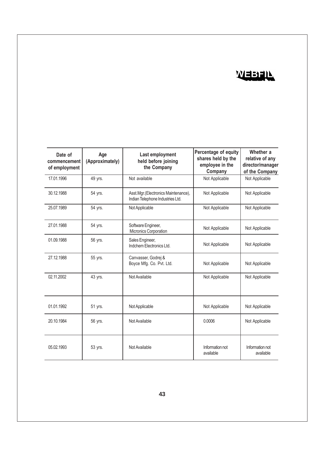# WEBELL

| Date of<br>commencement<br>of employment | Age<br>(Approximately) | Last employment<br>held before joining<br>the Company                   | Percentage of equity<br>shares held by the<br>employee in the<br>Company | Whether a<br>relative of any<br>director/manager<br>of the Company |
|------------------------------------------|------------------------|-------------------------------------------------------------------------|--------------------------------------------------------------------------|--------------------------------------------------------------------|
| 17.01.1996                               | 49 yrs.                | Not available                                                           | Not Applicable                                                           | Not Applicable                                                     |
| 30.12.1988                               | 54 yrs.                | Asst.Mgr.(Electronics Maintenance),<br>Indian Telephone Industries Ltd. | Not Applicable                                                           | Not Applicable                                                     |
| 25.07.1989                               | 54 yrs.                | Not Applicable                                                          | Not Applicable                                                           | Not Applicable                                                     |
| 27.01.1988                               | 54 yrs.                | Software Engineer,<br>Micronics Corporation                             | Not Applicable                                                           | Not Applicable                                                     |
| 01.09.1988                               | 56 yrs.                | Sales Engineer,<br>Indchem Electronics Ltd.                             | Not Applicable                                                           | Not Applicable                                                     |
| 27.12.1988                               | 55 yrs.                | Canvasser, Godrej &<br>Boyce Mfg. Co. Pvt. Ltd.                         | Not Applicable                                                           | Not Applicable                                                     |
| 02.11.2002                               | 43 yrs.                | Not Available                                                           | Not Applicable                                                           | Not Applicable                                                     |
| 01.01.1992                               | 51 yrs.                | Not Applicable                                                          | Not Applicable                                                           | Not Applicable                                                     |
| 20.10.1984                               | 56 yrs.                | Not Available                                                           | 0.0006                                                                   | Not Applicable                                                     |
| 05.02.1993                               | 53 yrs.                | Not Available                                                           | Information not<br>available                                             | Information not<br>available                                       |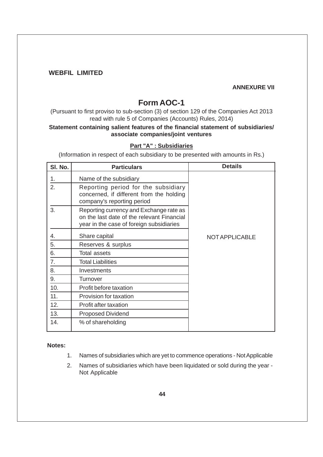## **ANNEXURE VII**

## **Form AOC-1**

(Pursuant to first proviso to sub-section (3) of section 129 of the Companies Act 2013 read with rule 5 of Companies (Accounts) Rules, 2014)

### **Statement containing salient features of the financial statement of subsidiaries/ associate companies/joint ventures**

## **Part "A" : Subsidiaries**

(Information in respect of each subsidiary to be presented with amounts in Rs.)

| SI. No. | <b>Particulars</b>                                                                                                                | <b>Details</b> |
|---------|-----------------------------------------------------------------------------------------------------------------------------------|----------------|
| 1.      | Name of the subsidiary                                                                                                            |                |
| 2.      | Reporting period for the subsidiary<br>concerned, if different from the holding<br>company's reporting period                     |                |
| 3.      | Reporting currency and Exchange rate as<br>on the last date of the relevant Financial<br>year in the case of foreign subsidiaries |                |
| 4.      | Share capital                                                                                                                     | NOT APPLICABLE |
| 5.      | Reserves & surplus                                                                                                                |                |
| 6.      | <b>Total assets</b>                                                                                                               |                |
| 7.      | <b>Total Liabilities</b>                                                                                                          |                |
| 8.      | Investments                                                                                                                       |                |
| 9.      | Turnover                                                                                                                          |                |
| 10.     | Profit before taxation                                                                                                            |                |
| 11.     | Provision for taxation                                                                                                            |                |
| 12.     | Profit after taxation                                                                                                             |                |
| 13.     | <b>Proposed Dividend</b>                                                                                                          |                |
| 14.     | % of shareholding                                                                                                                 |                |

## **Notes:**

- 1. Names of subsidiaries which are yet to commence operations Not Applicable
- 2. Names of subsidiaries which have been liquidated or sold during the year Not Applicable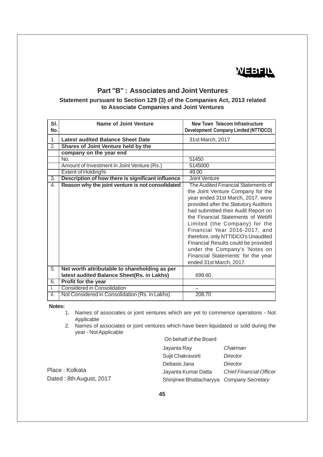

## **Part "B" : Associates and Joint Ventures**

## **Statement pursuant to Section 129 (3) of the Companies Act, 2013 related to Associate Companies and Joint Ventures**

| SI.<br>No. | Name of Joint Venture                             | New Town Telecom Infrastructure<br><b>Development Company Limited (NTTIDCO)</b> |
|------------|---------------------------------------------------|---------------------------------------------------------------------------------|
| 1.         | Latest audited Balance Sheet Date                 | 31st March, 2017                                                                |
| 2.         | Shares of Joint Venture held by the               |                                                                                 |
|            | company on the year end                           |                                                                                 |
|            | No.                                               | 51450                                                                           |
|            | Amount of Investment in Joint Venture (Rs.)       | 5145000                                                                         |
|            | Extent of Holding%                                | 49.00                                                                           |
| 3.         | Description of how there is significant influence | Joint Venture                                                                   |
| 4.         | Reason why the joint venture is not consolidated  | The Audited Financial Statements of                                             |
|            |                                                   | the Joint Venture Company for the                                               |
|            |                                                   | year ended 31st March, 2017, were                                               |
|            |                                                   | provided after the Statutory Auditors                                           |
|            |                                                   | had submitted their Audit Report on                                             |
|            |                                                   | the Financial Statements of Webfil                                              |
|            |                                                   | Limited (the Company) for the                                                   |
|            |                                                   | Financial Year 2016-2017, and                                                   |
|            |                                                   | therefore, only NTTIDCO's Unaudited                                             |
|            |                                                   | Financial Results could be provided                                             |
|            |                                                   | under the Company's 'Notes on                                                   |
|            |                                                   | Financial Statements' for the year                                              |
|            |                                                   | ended 31st March, 2017.                                                         |
| 5.         | Net worth attributable to shareholding as per     |                                                                                 |
|            | latest audited Balance Sheet(Rs. in Lakhs)        | 699.60                                                                          |
| 6.         | Profit for the year                               |                                                                                 |
| i.         | <b>Considered in Consolidation</b>                |                                                                                 |
| ii.        | Not Considered in Consolidation (Rs. in Lakhs)    | 208.70                                                                          |

**Notes:**

- 1. Names of associates or joint ventures which are yet to commence operations Not Applicable
- 2. Names of associates or joint ventures which have been liquidated or sold during the year - Not Applicable

#### On behalf of the Board

| Jayanta Ray                               | Chairman                       |
|-------------------------------------------|--------------------------------|
| Sujit Chakravorti                         | Director                       |
| Debasis Jana                              | Director                       |
| Jayanta Kumar Datta                       | <b>Chief Financial Officer</b> |
| Shinjinee Bhattacharyya Company Secretary |                                |

Place : Kolkata Dated : 8th August, 2017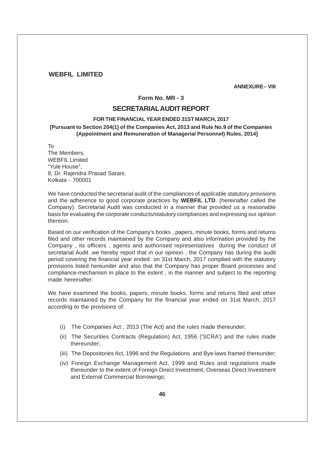**ANNEXURE– VIII**

## **Form No. MR - 3**

## **SECRETARIALAUDIT REPORT**

### **FOR THE FINANCIAL YEAR ENDED 31ST MARCH, 2017 [Pursuant to Section 204(1) of the Companies Act, 2013 and Rule No.9 of the Companies (Appointment and Remuneration of Managerial Personnel) Rules, 2014]**

To

The Members, WEBFIL Limited "Yule House", 8, Dr. Rajendra Prasad Sarani, Kolkata - 700001

We have conducted the secretarial audit of the compliances of applicable statutory provisions and the adherence to good corporate practices by **WEBFIL LTD**. (hereinafter called the Company). Secretarial Audit was conducted in a manner that provided us a reasonable basis for evaluating the corporate conducts/statutory compliances and expressing our opinion thereon.

Based on our verification of the Company's books , papers, minute books, forms and returns filed and other records maintained by the Company and also information provided by the Company , its officers , agents and authorised representatives during the conduct of secretarial Audit ,we hereby report that in our opinion , the Company has during the audit period covering the financial year ended on 31st March, 2017 complied with the statutory provisions listed hereunder and also that the Company has proper Board processes and compliance-mechanism in place to the extent , in the manner and subject to the reporting made hereinafter:

We have examined the books, papers, minute books, forms and returns filed and other records maintained by the Company for the financial year ended on 31st March, 2017 according to the provisions of:

- (i) The Companies Act , 2013 (The Act) and the rules made thereunder;
- (ii) The Securities Contracts (Regulation) Act, 1956 ('SCRA') and the rules made thereunder;
- (iii) The Depositories Act, 1996 and the Regulations and Bye-laws framed thereunder;
- (iv) Foreign Exchange Management Act, 1999 and Rules and regulations made thereunder to the extent of Foreign Direct Investment, Overseas Direct Investment and External Commercial Borrowings;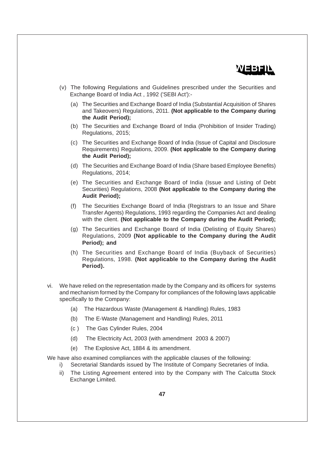- (v) The following Regulations and Guidelines prescribed under the Securities and Exchange Board of India Act , 1992 ('SEBI Act'):-
	- (a) The Securities and Exchange Board of India (Substantial Acquisition of Shares and Takeovers) Regulations, 2011. **(Not applicable to the Company during the Audit Period);**
	- (b) The Securities and Exchange Board of India (Prohibition of Insider Trading) Regulations, 2015;
	- (c) The Securities and Exchange Board of India (Issue of Capital and Disclosure Requirements) Regulations, 2009. **(Not applicable to the Company during the Audit Period);**
	- (d) The Securities and Exchange Board of India (Share based Employee Benefits) Regulations, 2014;
	- (e) The Securities and Exchange Board of India (Issue and Listing of Debt Securities) Regulations, 2008 **(Not applicable to the Company during the Audit Period);**
	- (f) The Securities Exchange Board of India (Registrars to an Issue and Share Transfer Agents) Regulations, 1993 regarding the Companies Act and dealing with the client. **(Not applicable to the Company during the Audit Period);**
	- (g) The Securities and Exchange Board of India (Delisting of Equity Shares) Regulations, 2009 **(Not applicable to the Company during the Audit Period); and**
	- (h) The Securities and Exchange Board of India (Buyback of Securities) Regulations, 1998. **(Not applicable to the Company during the Audit Period).**
- vi. We have relied on the representation made by the Company and its officers for systems and mechanism formed by the Company for compliances of the following laws applicable specifically to the Company:
	- (a) The Hazardous Waste (Management & Handling) Rules, 1983
	- (b) The E-Waste (Management and Handling) Rules, 2011
	- (c ) The Gas Cylinder Rules, 2004
	- (d) The Electricity Act, 2003 (with amendment 2003 & 2007)
	- (e) The Explosive Act, 1884 & its amendment.

We have also examined compliances with the applicable clauses of the following:

- i) Secretarial Standards issued by The Institute of Company Secretaries of India.
- ii) The Listing Agreement entered into by the Company with The Calcutta Stock Exchange Limited.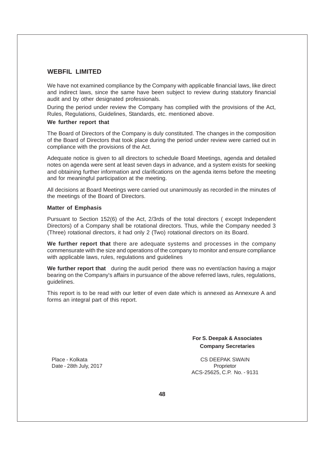We have not examined compliance by the Company with applicable financial laws, like direct and indirect laws, since the same have been subject to review during statutory financial audit and by other designated professionals.

During the period under review the Company has complied with the provisions of the Act, Rules, Regulations, Guidelines, Standards, etc. mentioned above.

#### **We further report that**

The Board of Directors of the Company is duly constituted. The changes in the composition of the Board of Directors that took place during the period under review were carried out in compliance with the provisions of the Act.

Adequate notice is given to all directors to schedule Board Meetings, agenda and detailed notes on agenda were sent at least seven days in advance, and a system exists for seeking and obtaining further information and clarifications on the agenda items before the meeting and for meaningful participation at the meeting.

All decisions at Board Meetings were carried out unanimously as recorded in the minutes of the meetings of the Board of Directors.

#### **Matter of Emphasis**

Pursuant to Section 152(6) of the Act, 2/3rds of the total directors ( except Independent Directors) of a Company shall be rotational directors. Thus, while the Company needed 3 (Three) rotational directors, it had only 2 (Two) rotational directors on its Board.

**We further report that** there are adequate systems and processes in the company commensurate with the size and operations of the company to monitor and ensure compliance with applicable laws, rules, regulations and guidelines

**We further report that** during the audit period there was no event/action having a major bearing on the Company's affairs in pursuance of the above referred laws, rules, regulations, guidelines.

This report is to be read with our letter of even date which is annexed as Annexure A and forms an integral part of this report.

> **For S. Deepak & Associates Company Secretaries**

Place - Kolkata Date - 28th July, 2017

CS DEEPAK SWAIN **Proprietor** ACS-25625, C.P. No. - 9131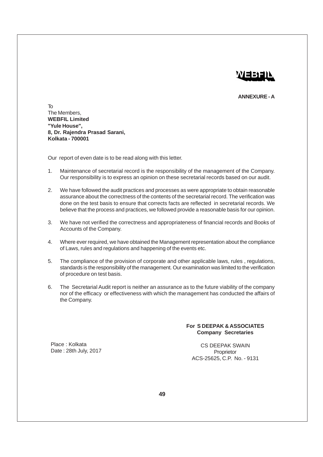

#### **ANNEXURE - A**

To The Members, **WEBFIL Limited "Yule House", 8, Dr. Rajendra Prasad Sarani, Kolkata - 700001**

Our report of even date is to be read along with this letter.

- 1. Maintenance of secretarial record is the responsibility of the management of the Company. Our responsibility is to express an opinion on these secretarial records based on our audit.
- 2. We have followed the audit practices and processes as were appropriate to obtain reasonable assurance about the correctness of the contents of the secretarial record. The verification was done on the test basis to ensure that corrects facts are reflected in secretarial records. We believe that the process and practices, we followed provide a reasonable basis for our opinion.
- 3. We have not verified the correctness and appropriateness of financial records and Books of Accounts of the Company.
- 4. Where ever required, we have obtained the Management representation about the compliance of Laws, rules and regulations and happening of the events etc.
- 5. The compliance of the provision of corporate and other applicable laws, rules , regulations, standards is the responsibility of the management. Our examination was limited to the verification of procedure on test basis.
- 6. The Secretarial Audit report is neither an assurance as to the future viability of the company nor of the efficacy or effectiveness with which the management has conducted the affairs of the Company.

#### **For S DEEPAK & ASSOCIATES Company Secretaries**

CS DEEPAK SWAIN **Proprietor** ACS-25625, C.P. No. - 9131

Place : Kolkata Date : 28th July, 2017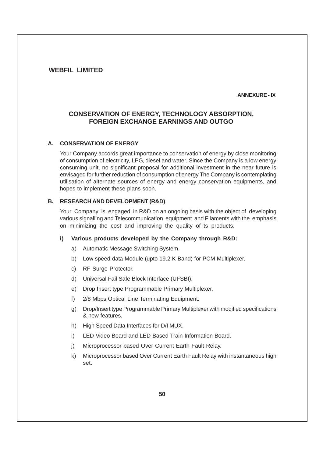**ANNEXURE - IX**

## **CONSERVATION OF ENERGY, TECHNOLOGY ABSORPTION, FOREIGN EXCHANGE EARNINGS AND OUTGO**

#### **A. CONSERVATION OF ENERGY**

Your Company accords great importance to conservation of energy by close monitoring of consumption of electricity, LPG, diesel and water. Since the Company is a low energy consuming unit, no significant proposal for additional investment in the near future is envisaged for further reduction of consumption of energy.The Company is contemplating utilisation of alternate sources of energy and energy conservation equipments, and hopes to implement these plans soon.

### **B. RESEARCH AND DEVELOPMENT (R&D)**

Your Company is engaged in R&D on an ongoing basis with the object of developing various signalling and Telecommunication equipment and Filaments with the emphasis on minimizing the cost and improving the quality of its products.

#### **i) Various products developed by the Company through R&D:**

- a) Automatic Message Switching System.
- b) Low speed data Module (upto 19.2 K Band) for PCM Multiplexer.
- c) RF Surge Protector.
- d) Universal Fail Safe Block Interface (UFSBI).
- e) Drop Insert type Programmable Primary Multiplexer.
- f) 2/8 Mbps Optical Line Terminating Equipment.
- g) Drop/Insert type Programmable Primary Multiplexer with modified specifications & new features.
- h) High Speed Data Interfaces for D/I MUX.
- i) LED Video Board and LED Based Train Information Board.
- j) Microprocessor based Over Current Earth Fault Relay.
- k) Microprocessor based Over Current Earth Fault Relay with instantaneous high set.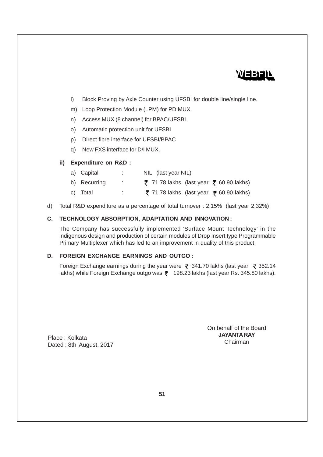

- l) Block Proving by Axle Counter using UFSBI for double line/single line.
- m) Loop Protection Module (LPM) for PD MUX.
- n) Access MUX (8 channel) for BPAC/UFSBI.
- o) Automatic protection unit for UFSBI
- p) Direct fibre interface for UFSBI/BPAC
- q) New FXS interface for D/I MUX.

### **ii) Expenditure on R&D :**

- a) Capital : NIL (last year NIL)
- b) Recurring :  $\bar{\xi}$  71.78 lakhs (last year  $\bar{\xi}$  60.90 lakhs)
- c) Total :  $\bar{\xi}$  71.78 lakhs (last year  $\bar{\xi}$  60.90 lakhs)
- d) Total R&D expenditure as a percentage of total turnover : 2.15% (last year 2.32%)

## **C. TECHNOLOGY ABSORPTION, ADAPTATION AND INNOVATION :**

The Company has successfully implemented 'Surface Mount Technology' in the indigenous design and production of certain modules of Drop Insert type Programmable Primary Multiplexer which has led to an improvement in quality of this product.

#### **D. FOREIGN EXCHANGE EARNINGS AND OUTGO :**

Foreign Exchange earnings during the year were  $\bar{\xi}$  341.70 lakhs (last year  $\bar{\xi}$  352.14 lakhs) while Foreign Exchange outgo was  $\bar{z}$  198.23 lakhs (last year Rs. 345.80 lakhs).

Place : Kolkata<br>Deted : 8th. August, 2017 Dated : 8th August, 2017

On behalf of the Board **JAYANTA RAY**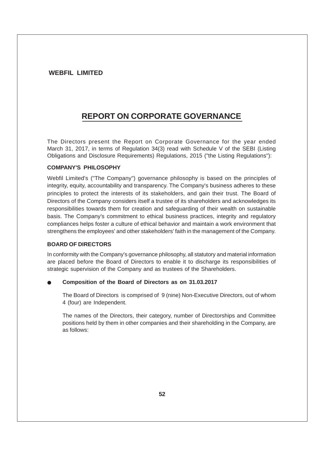## **REPORT ON CORPORATE GOVERNANCE**

The Directors present the Report on Corporate Governance for the year ended March 31, 2017, in terms of Regulation 34(3) read with Schedule V of the SEBI (Listing Obligations and Disclosure Requirements) Regulations, 2015 ("the Listing Regulations"):

## **COMPANY'S PHILOSOPHY**

Webfil Limited's ("The Company") governance philosophy is based on the principles of integrity, equity, accountability and transparency. The Company's business adheres to these principles to protect the interests of its stakeholders, and gain their trust. The Board of Directors of the Company considers itself a trustee of its shareholders and acknowledges its responsibilities towards them for creation and safeguarding of their wealth on sustainable basis. The Company's commitment to ethical business practices, integrity and regulatory compliances helps foster a culture of ethical behavior and maintain a work environment that strengthens the employees' and other stakeholders' faith in the management of the Company.

#### **BOARD OF DIRECTORS**

In conformity with the Company's governance philosophy, all statutory and material information are placed before the Board of Directors to enable it to discharge its responsibilities of strategic supervision of the Company and as trustees of the Shareholders.

#### ● **Composition of the Board of Directors as on 31.03.2017**

The Board of Directors is comprised of 9 (nine) Non-Executive Directors, out of whom 4 (four) are Independent.

The names of the Directors, their category, number of Directorships and Committee positions held by them in other companies and their shareholding in the Company, are as follows: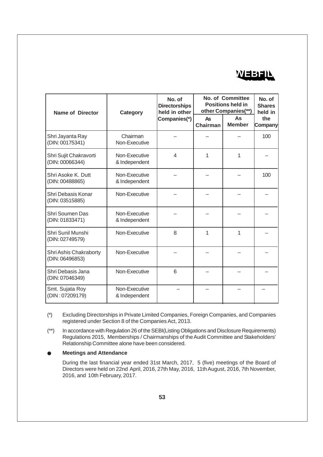## WEBFIL

| <b>Name of Director</b>                   | <b>Category</b>                | No. of<br><b>Directorships</b><br>held in other | <b>No. of Committee</b><br><b>Positions held in</b><br>other Companies(**) |                            | No. of<br><b>Shares</b><br>held in |
|-------------------------------------------|--------------------------------|-------------------------------------------------|----------------------------------------------------------------------------|----------------------------|------------------------------------|
|                                           |                                | Companies(*)                                    | As<br><b>Chairman</b>                                                      | <b>As</b><br><b>Member</b> | the<br><b>Company</b>              |
| Shri Jayanta Ray<br>(DIN: 00175341)       | Chairman<br>Non-Executive      |                                                 |                                                                            |                            | 100                                |
| Shri Sujit Chakravorti<br>(DIN: 00066344) | Non-Executive<br>& Independent | 4                                               | 1                                                                          | 1                          |                                    |
| Shri Asoke K. Dutt<br>(DIN: 00488865)     | Non-Executive<br>& Independent |                                                 |                                                                            |                            | 100                                |
| Shri Debasis Konar<br>(DIN: 03515885)     | Non-Executive                  |                                                 |                                                                            |                            |                                    |
| Shri Soumen Das<br>(DIN: 01833471)        | Non-Executive<br>& Independent |                                                 |                                                                            |                            |                                    |
| Shri Sunil Munshi<br>(DIN: 02749579)      | Non-Executive                  | 8                                               | 1                                                                          | 1                          |                                    |
| Shri Ashis Chakraborty<br>(DIN: 06496853) | Non-Executive                  |                                                 |                                                                            |                            |                                    |
| Shri Debasis Jana<br>(DIN: 07046349)      | Non-Executive                  | 6                                               |                                                                            |                            |                                    |
| Smt. Sujata Roy<br>(DIN: 07209179)        | Non-Executive<br>& Independent |                                                 |                                                                            |                            |                                    |

- (\*) Excluding Directorships in Private Limited Companies, Foreign Companies, and Companies registered under Section 8 of the Companies Act, 2013.
- (\*\*) In accordance with Regulation 26 of the SEBI(Listing Obligations and Disclosure Requirements) Regulations 2015, Memberships / Chairmanships of the Audit Committee and Stakeholders' Relationship Committee alone have been considered.

#### ● **Meetings and Attendance**

During the last financial year ended 31st March, 2017, 5 (five) meetings of the Board of Directors were held on 22nd April, 2016, 27th May, 2016, 11th August, 2016, 7th November, 2016, and 10th February, 2017.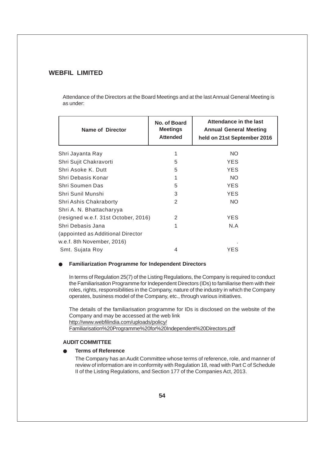Attendance of the Directors at the Board Meetings and at the last Annual General Meeting is as under:

| <b>Name of Director</b>              | No. of Board<br>Meetings<br><b>Attended</b> | Attendance in the last<br><b>Annual General Meeting</b><br>held on 21st September 2016 |
|--------------------------------------|---------------------------------------------|----------------------------------------------------------------------------------------|
| Shri Jayanta Ray                     | 1                                           | NO.                                                                                    |
| Shri Sujit Chakravorti               | 5                                           | <b>YES</b>                                                                             |
| Shri Asoke K. Dutt                   | 5                                           | <b>YES</b>                                                                             |
| Shri Debasis Konar                   | 1                                           | NO.                                                                                    |
| Shri Soumen Das                      | 5                                           | <b>YES</b>                                                                             |
| Shri Sunil Munshi                    | 3                                           | <b>YES</b>                                                                             |
| Shri Ashis Chakraborty               | $\overline{2}$                              | NO.                                                                                    |
| Shri A. N. Bhattacharyya             |                                             |                                                                                        |
| (resigned w.e.f. 31st October, 2016) | 2                                           | <b>YES</b>                                                                             |
| Shri Debasis Jana                    | 1                                           | N.A                                                                                    |
| (appointed as Additional Director    |                                             |                                                                                        |
| w.e.f. 8th November, 2016)           |                                             |                                                                                        |
| Smt. Sujata Roy                      | 4                                           | YES                                                                                    |

#### **Familiarization Programme for Independent Directors**

In terms of Regulation 25(7) of the Listing Regulations, the Company is required to conduct the Familiarisation Programme for Independent Directors (IDs) to familiarise them with their roles, rights, responsibilities in the Company, nature of the industry in which the Company operates, business model of the Company, etc., through various initiatives.

The details of the familiarisation programme for IDs is disclosed on the website of the Company and may be accessed at the web link http://www.webfilindia.com/uploads/policy/ Familiarisation%20Programme%20for%20Independent%20Directors.pdf

## **AUDIT COMMITTEE**

#### **Terms of Reference**

The Company has an Audit Committee whose terms of reference, role, and manner of review of information are in conformity with Regulation 18, read with Part C of Schedule II of the Listing Regulations, and Section 177 of the Companies Act, 2013.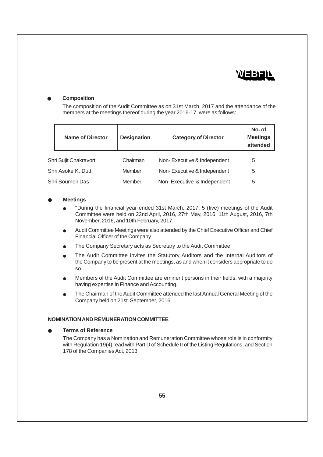

#### **Composition**

The composition of the Audit Committee as on 31st March, 2017 and the attendance of the members at the meetings thereof during the year 2016-17, were as follows:

|                        | <b>Name of Director</b> | <b>Designation</b> | <b>Category of Director</b> | No. of<br><b>Meetings</b><br>attended |
|------------------------|-------------------------|--------------------|-----------------------------|---------------------------------------|
| Shri Sujit Chakravorti |                         | Chairman           | Non-Executive & Independent | 5                                     |
| Shri Asoke K. Dutt     |                         | Member             | Non-Executive & Independent | 5                                     |
| Shri Soumen Das        |                         | Member             | Non-Executive & Independent | 5                                     |

#### **Meetings**

- "During the financial year ended 31st March, 2017, 5 (five) meetings of the Audit Committee were held on 22nd April, 2016, 27th May, 2016, 11th August, 2016, 7th November, 2016, and 10th February, 2017.
- Audit Committee Meetings were also attended by the Chief Executive Officer and Chief Financial Officer of the Company.
- The Company Secretary acts as Secretary to the Audit Committee.
- The Audit Committee invites the Statutory Auditors and the Internal Auditors of the Company to be present at the meetings, as and when it considers appropriate to do so.
- Members of the Audit Committee are eminent persons in their fields, with a majority having expertise in Finance and Accounting.
- The Chairman of the Audit Committee attended the last Annual General Meeting of the Company held on 21st September, 2016.

#### **NOMINATION AND REMUNERATION COMMITTEE**

#### **Terms of Reference**

The Company has a Nomination and Remuneration Committee whose role is in conformity with Regulation 19(4) read with Part D of Schedule II of the Listing Regulations, and Section 178 of the Companies Act, 2013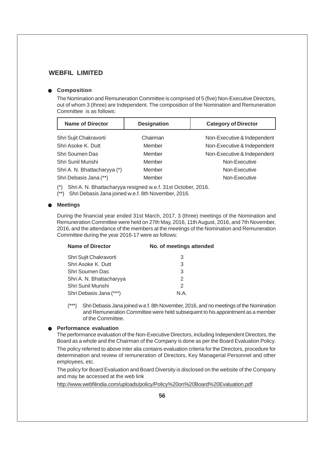#### ● **Composition**

The Nomination and Remuneration Committee is comprised of 5 (five) Non-Executive Directors, out of whom 3 (three) are Independent. The composition of the Nomination and Remuneration Committee is as follows:

| <b>Name of Director</b>      | <b>Designation</b> | <b>Category of Director</b> |
|------------------------------|--------------------|-----------------------------|
| Shri Sujit Chakravorti       | Chairman           | Non-Executive & Independent |
| Shri Asoke K. Dutt           | Member             | Non-Executive & Independent |
| Shri Soumen Das              | Member             | Non-Executive & Independent |
| Shri Sunil Munshi            | Member             | Non-Executive               |
| Shri A. N. Bhattacharyya (*) | Member             | Non-Executive               |
| Shri Debasis Jana (**)       | Member             | Non-Executive               |

(\*) Shri A. N. Bhattacharyya resigned w.e.f. 31st October, 2016.

(\*\*) Shri Debasis Jana joined w.e.f. 8th November, 2016.

#### ● **Meetings**

During the financial year ended 31st March, 2017, 3 (three) meetings of the Nomination and Remuneration Committee were held on 27th May, 2016, 11th August, 2016, and 7th November, 2016, and the attendance of the members at the meetings of the Nomination and Remuneration Committee during the year 2016-17 were as follows:

| <b>Name of Director</b>  | No. of meetings attended |  |
|--------------------------|--------------------------|--|
| Shri Sujit Chakravorti   | 3                        |  |
| Shri Asoke K. Dutt       | 3                        |  |
| Shri Soumen Das          | 3                        |  |
| Shri A. N. Bhattacharyya | 2                        |  |
| Shri Sunil Munshi        | 2                        |  |
| Shri Debasis Jana (***)  | N A                      |  |

(\*\*\*) Shri Debasis Jana joined w.e.f. 8th November, 2016, and no meetings of the Nomination and Remuneration Committee were held subsequent to his appointment as a member of the Committee.

#### **Performance evaluation**

The performance evaluation of the Non-Executive Directors, including Independent Directors, the Board as a whole and the Chairman of the Company is done as per the Board Evaluation Policy. The policy referred to above inter alia contains evaluation criteria for the Directors, procedure for determination and review of remuneration of Directors, Key Managerial Personnel and other employees, etc.

The policy for Board Evaluation and Board Diversity is disclosed on the website of the Company and may be accessed at the web link

http://www.webfilindia.com/uploads/policy/Policy%20on%20Board%20Evaluation.pdf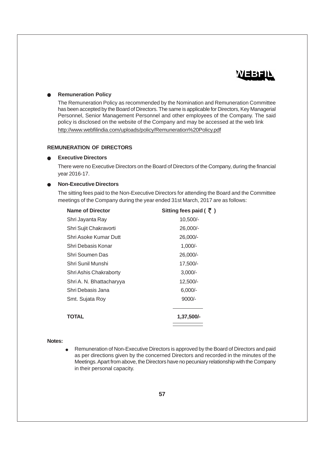

#### ● **Remuneration Policy**

The Remuneration Policy as recommended by the Nomination and Remuneration Committee has been accepted by the Board of Directors. The same is applicable for Directors, Key Managerial Personnel, Senior Management Personnel and other employees of the Company. The said policy is disclosed on the website of the Company and may be accessed at the web link http://www.webfilindia.com/uploads/policy/Remuneration%20Policy.pdf

### **REMUNERATION OF DIRECTORS**

#### **Executive Directors**

There were no Executive Directors on the Board of Directors of the Company, during the financial year 2016-17.

#### ● **Non-Executive Directors**

The sitting fees paid to the Non-Executive Directors for attending the Board and the Committee meetings of the Company during the year ended 31st March, 2017 are as follows:

| Sitting fees paid ( $\bar{\zeta}$ ) |
|-------------------------------------|
| $10,500/-$                          |
| 26,000/-                            |
| 26,000/-                            |
| $1,000/-$                           |
| 26,000/-                            |
| 17,500/-                            |
| $3,000/-$                           |
| 12,500/-                            |
| $6,000/-$                           |
| $9000/-$                            |
| 1,37,500/-                          |
|                                     |

#### **Notes:**

Remuneration of Non-Executive Directors is approved by the Board of Directors and paid as per directions given by the concerned Directors and recorded in the minutes of the Meetings. Apart from above, the Directors have no pecuniary relationship with the Company in their personal capacity.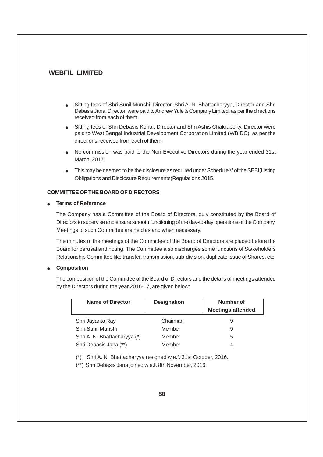- Sitting fees of Shri Sunil Munshi, Director, Shri A. N. Bhattacharyya, Director and Shri Debasis Jana, Director, were paid to Andrew Yule & Company Limited, as per the directions received from each of them.
- Sitting fees of Shri Debasis Konar, Director and Shri Ashis Chakraborty, Director were paid to West Bengal Industrial Development Corporation Limited (WBIDC), as per the directions received from each of them.
- No commission was paid to the Non-Executive Directors during the year ended 31st March, 2017.
- This may be deemed to be the disclosure as required under Schedule V of the SEBI(Listing Obligations and Disclosure Requirements)Regulations 2015.

#### **COMMITTEE OF THE BOARD OF DIRECTORS**

#### **Terms of Reference**

The Company has a Committee of the Board of Directors, duly constituted by the Board of Directors to supervise and ensure smooth functioning of the day-to-day operations of the Company. Meetings of such Committee are held as and when necessary.

The minutes of the meetings of the Committee of the Board of Directors are placed before the Board for perusal and noting. The Committee also discharges some functions of Stakeholders Relationship Committee like transfer, transmission, sub-division, duplicate issue of Shares, etc.

#### ● **Composition**

The composition of the Committee of the Board of Directors and the details of meetings attended by the Directors during the year 2016-17, are given below:

| <b>Name of Director</b>      | <b>Designation</b> | Number of<br><b>Meetings attended</b> |
|------------------------------|--------------------|---------------------------------------|
| Shri Jayanta Ray             | Chairman           | 9                                     |
| Shri Sunil Munshi            | Member             | 9                                     |
| Shri A. N. Bhattacharyya (*) | Member             | 5                                     |
| Shri Debasis Jana (**)       | Member             |                                       |

(\*) Shri A. N. Bhattacharyya resigned w.e.f. 31st October, 2016.

(\*\*) Shri Debasis Jana joined w.e.f. 8th November, 2016.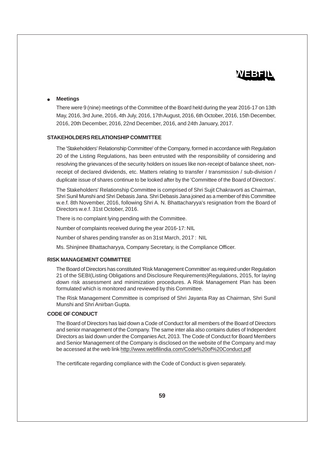

#### ● **Meetings**

There were 9 (nine) meetings of the Committee of the Board held during the year 2016-17 on 13th May, 2016, 3rd June, 2016, 4th July, 2016, 17th August, 2016, 6th October, 2016, 15th December, 2016, 20th December, 2016, 22nd December, 2016, and 24th January, 2017.

#### **STAKEHOLDERS RELATIONSHIP COMMITTEE**

The 'Stakeholders' Relationship Committee' of the Company, formed in accordance with Regulation 20 of the Listing Regulations, has been entrusted with the responsibility of considering and resolving the grievances of the security holders on issues like non-receipt of balance sheet, nonreceipt of declared dividends, etc. Matters relating to transfer / transmission / sub-division / duplicate issue of shares continue to be looked after by the 'Committee of the Board of Directors'.

The Stakeholders' Relationship Committee is comprised of Shri Sujit Chakravorti as Chairman, Shri Sunil Munshi and Shri Debasis Jana. Shri Debasis Jana joined as a member of this Committee w.e.f. 8th November, 2016, following Shri A. N. Bhattacharyya's resignation from the Board of Directors w.e.f. 31st October, 2016.

There is no complaint lying pending with the Committee.

Number of complaints received during the year 2016-17: NIL

Number of shares pending transfer as on 31st March, 2017 : NIL

Ms. Shinjinee Bhattacharyya, Company Secretary, is the Compliance Officer.

#### **RISK MANAGEMENT COMMITTEE**

The Board of Directors has constituted 'Risk Management Committee' as required under Regulation 21 of the SEBI(Listing Obligations and Disclosure Requirements)Regulations, 2015, for laying down risk assessment and minimization procedures. A Risk Management Plan has been formulated which is monitored and reviewed by this Committee.

The Risk Management Committee is comprised of Shri Jayanta Ray as Chairman, Shri Sunil Munshi and Shri Anirban Gupta.

#### **CODE OF CONDUCT**

The Board of Directors has laid down a Code of Conduct for all members of the Board of Directors and senior management of the Company. The same inter alia also contains duties of Independent Directors as laid down under the Companies Act, 2013. The Code of Conduct for Board Members and Senior Management of the Company is disclosed on the website of the Company and may be accessed at the web link http://www.webfilindia.com/Code%20of%20Conduct.pdf

The certificate regarding compliance with the Code of Conduct is given separately.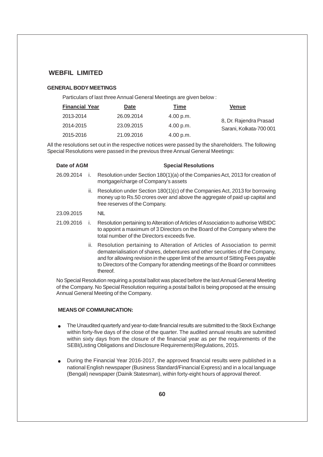#### **GENERAL BODY MEETINGS**

Particulars of last three Annual General Meetings are given below :

| <b>Financial Year</b> | Date       | Time      | Venue                                             |
|-----------------------|------------|-----------|---------------------------------------------------|
| 2013-2014             | 26.09.2014 | 4.00 p.m. |                                                   |
| 2014-2015             | 23.09.2015 | 4.00 p.m. | 8, Dr. Rajendra Prasad<br>Sarani, Kolkata-700 001 |
| 2015-2016             | 21.09.2016 | 4.00 p.m. |                                                   |

All the resolutions set out in the respective notices were passed by the shareholders. The following Special Resolutions were passed in the previous three Annual General Meetings:

| Date of AGM |            |              | <b>Special Resolutions</b>                                                                                                                                                                                                                                                                                                                  |  |  |
|-------------|------------|--------------|---------------------------------------------------------------------------------------------------------------------------------------------------------------------------------------------------------------------------------------------------------------------------------------------------------------------------------------------|--|--|
|             | 26.09.2014 | İ.           | Resolution under Section 180(1)(a) of the Companies Act, 2013 for creation of<br>mortgage/charge of Company's assets                                                                                                                                                                                                                        |  |  |
|             |            | ii.          | Resolution under Section 180(1)(c) of the Companies Act, 2013 for borrowing<br>money up to Rs.50 crores over and above the aggregate of paid up capital and<br>free reserves of the Company.                                                                                                                                                |  |  |
|             | 23.09.2015 |              | <b>NIL</b>                                                                                                                                                                                                                                                                                                                                  |  |  |
|             | 21.09.2016 | $\mathbf{L}$ | Resolution pertaining to Alteration of Articles of Association to authorise WBIDC<br>to appoint a maximum of 3 Directors on the Board of the Company where the<br>total number of the Directors exceeds five.                                                                                                                               |  |  |
|             |            | н.           | Resolution pertaining to Alteration of Articles of Association to permit<br>dematerialisation of shares, debentures and other securities of the Company,<br>and for allowing revision in the upper limit of the amount of Sitting Fees payable<br>to Directors of the Company for attending meetings of the Board or committees<br>thereof. |  |  |
|             |            |              | No Special Resolution requiring a postal ballot was placed before the last Annual General Meeting                                                                                                                                                                                                                                           |  |  |

of the Company. No Special Resolution requiring a postal ballot is being proposed at the ensuing Annual General Meeting of the Company.

#### **MEANS OF COMMUNICATION:**

- The Unaudited quarterly and year-to-date financial results are submitted to the Stock Exchange within forty-five days of the close of the quarter. The audited annual results are submitted within sixty days from the closure of the financial year as per the requirements of the SEBI(Listing Obligations and Disclosure Requirements)Regulations, 2015.
- During the Financial Year 2016-2017, the approved financial results were published in a national English newspaper (Business Standard/Financial Express) and in a local language (Bengali) newspaper (Dainik Statesman), within forty-eight hours of approval thereof.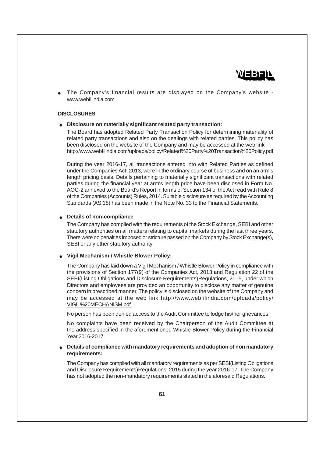

The Company's financial results are displayed on the Company's website www.webfilindia.com

#### **DISCLOSURES**

#### ● **Disclosure on materially significant related party transaction:**

The Board has adopted Related Party Transaction Policy for determining materiality of related party transactions and also on the dealings with related parties. This policy has been disclosed on the website of the Company and may be accessed at the web link http://www.webfilindia.com/uploads/policy/Related%20Party%20Transaction%20Policy.pdf

During the year 2016-17, all transactions entered into with Related Parties as defined under the Companies Act, 2013, were in the ordinary course of business and on an arm's length pricing basis. Details pertaining to materially significant transactions with related parties during the financial year at arm's length price have been disclosed in Form No. AOC-2 annexed to the Board's Report in terms of Section 134 of the Act read with Rule 8 of the Companies (Accounts) Rules, 2014. Suitable disclosure as required by the Accounting Standards (AS 18) has been made in the Note No. 33 to the Financial Statements.

#### ● **Details of non-compliance**

The Company has complied with the requirements of the Stock Exchange, SEBI and other statutory authorities on all matters relating to capital markets during the last three years. There were no penalties imposed or stricture passed on the Company by Stock Exchange(s), SEBI or any other statutory authority.

#### **Vigil Mechanism / Whistle Blower Policy:**

The Company has laid down a Vigil Mechanism / Whistle Blower Policy in compliance with the provisions of Section 177(9) of the Companies Act, 2013 and Regulation 22 of the SEBI(Listing Obligations and Disclosure Requirements)Regulations, 2015, under which Directors and employees are provided an opportunity to disclose any matter of genuine concern in prescribed manner. The policy is disclosed on the website of the Company and may be accessed at the web link http://www.webfilindia.com/uploads/policy/ VIGIL%20MECHANISM.pdf

No person has been denied access to the Audit Committee to lodge his/her grievances.

No complaints have been received by the Chairperson of the Audit Committee at the address specified in the aforementioned Whistle Blower Policy during the Financial Year 2016-2017.

#### Details of compliance with mandatory requirements and adoption of non mandatory **requirements:**

The Company has complied with all mandatory requirements as per SEBI(Listing Obligations and Disclosure Requirements)Regulations, 2015 during the year 2016-17. The Company has not adopted the non-mandatory requirements stated in the aforesaid Regulations.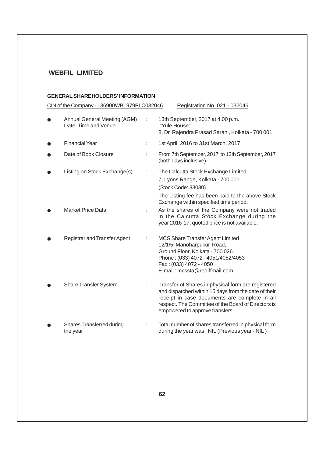#### **GENERAL SHAREHOLDERS' INFORMATION**

| CIN of the Company - L36900WB1979PLC032046 |                                                      |   | Registration No. 021 - 032046                                                                                                                                                                                                                         |
|--------------------------------------------|------------------------------------------------------|---|-------------------------------------------------------------------------------------------------------------------------------------------------------------------------------------------------------------------------------------------------------|
|                                            | Annual General Meeting (AGM)<br>Date, Time and Venue |   | 13th September, 2017 at 4.00 p.m.<br>"Yule House"<br>8, Dr. Rajendra Prasad Sarani, Kolkata - 700 001.                                                                                                                                                |
|                                            | <b>Financial Year</b>                                |   | 1st April, 2016 to 31st March, 2017                                                                                                                                                                                                                   |
|                                            | Date of Book Closure                                 |   | From 7th September, 2017 to 13th September, 2017<br>(both days inclusive)                                                                                                                                                                             |
|                                            | Listing on Stock Exchange(s)                         |   | The Calcutta Stock Exchange Limited<br>7, Lyons Range, Kolkata - 700 001<br>(Stock Code: 33030)<br>The Listing fee has been paid to the above Stock<br>Exchange within specified time period.                                                         |
|                                            | <b>Market Price Data</b>                             | ÷ | As the shares of the Company were not traded<br>in the Calcutta Stock Exchange during the<br>year 2016-17, quoted price is not available.                                                                                                             |
|                                            | <b>Registrar and Transfer Agent</b>                  |   | MCS Share Transfer Agent Limited<br>12/1/5, Manoharpukur Road,<br>Ground Floor, Kolkata - 700 026.<br>Phone: (033) 4072 - 4051/4052/4053<br>Fax: (033) 4072 - 4050<br>E-mail: mcssta@rediffmail.com                                                   |
|                                            | <b>Share Transfer System</b>                         |   | Transfer of Shares in physical form are registered<br>and dispatched within 15 days from the date of their<br>receipt in case documents are complete in all<br>respect. The Committee of the Board of Directors is<br>empowered to approve transfers. |
|                                            | Shares Transferred during<br>the year                |   | Total number of shares transferred in physical form<br>during the year was: NIL (Previous year - NIL)                                                                                                                                                 |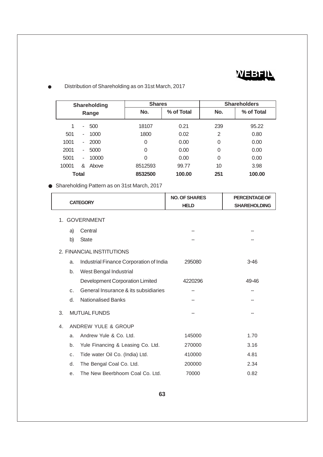

## ● Distribution of Shareholding as on 31st March, 2017

| <b>Shareholding</b> |        | <b>Shares</b> |            | <b>Shareholders</b> |                |       |
|---------------------|--------|---------------|------------|---------------------|----------------|-------|
| Range               |        | No.           | % of Total | No.                 | % of Total     |       |
| 1                   | ٠      | 500           | 18107      | 0.21                | 239            | 95.22 |
| 501                 | $\sim$ | 1000          | 1800       | 0.02                | $\overline{2}$ | 0.80  |
| 1001                | $\sim$ | 2000          | 0          | 0.00                | 0              | 0.00  |
| 2001                | $\sim$ | 5000          | 0          | 0.00                | 0              | 0.00  |
| 5001                | ٠      | 10000         | 0          | 0.00                | 0              | 0.00  |
| 10001               | &      | Above         | 8512593    | 99.77               | 10             | 3.98  |
| Total               |        | 8532500       | 100.00     | 251                 | 100.00         |       |

● Shareholding Pattern as on 31st March, 2017

|                                                        | <b>NO. OF SHARES</b> | <b>PERCENTAGE OF</b> |  |
|--------------------------------------------------------|----------------------|----------------------|--|
| <b>CATEGORY</b>                                        | <b>HELD</b>          | <b>SHAREHOLDING</b>  |  |
| <b>GOVERNMENT</b><br>$1_{-}$                           |                      |                      |  |
| Central<br>a)                                          |                      |                      |  |
| b)<br><b>State</b>                                     |                      |                      |  |
| 2. FINANCIAL INSTITUTIONS                              |                      |                      |  |
| Industrial Finance Corporation of India<br>a.          | 295080               | $3 - 46$             |  |
| b.<br>West Bengal Industrial                           |                      |                      |  |
| Development Corporation Limited                        | 4220296              | $49 - 46$            |  |
| General Insurance & its subsidiaries<br>C <sub>1</sub> |                      |                      |  |
| <b>Nationalised Banks</b><br>d.                        |                      |                      |  |
| 3.<br><b>MUTUAL FUNDS</b>                              |                      |                      |  |
| ANDREW YULE & GROUP<br>4.                              |                      |                      |  |
| Andrew Yule & Co. Ltd.<br>a.                           | 145000               | 1.70                 |  |
| Yule Financing & Leasing Co. Ltd.<br>b.                | 270000               | 3.16                 |  |
| Tide water Oil Co. (India) Ltd.<br>C.                  | 410000               | 4.81                 |  |
| The Bengal Coal Co. Ltd.<br>d.                         | 200000               | 2.34                 |  |
| The New Beerbhoom Coal Co. Ltd.<br>е.                  | 70000                | 0.82                 |  |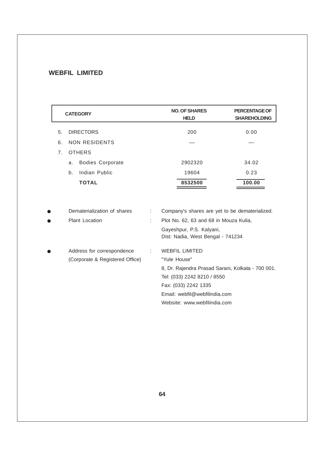| <b>CATEGORY</b>                  |                               | <b>NO. OF SHARES</b><br><b>HELD</b> | <b>PERCENTAGE OF</b><br><b>SHAREHOLDING</b> |
|----------------------------------|-------------------------------|-------------------------------------|---------------------------------------------|
| 5.                               | <b>DIRECTORS</b>              | 200                                 | 0.00                                        |
| 6.                               | NON RESIDENTS                 |                                     |                                             |
| $7_{\scriptscriptstyle{\wedge}}$ | <b>OTHERS</b>                 |                                     |                                             |
|                                  | <b>Bodies Corporate</b><br>a. | 2902320                             | 34.02                                       |
|                                  | Indian Public<br>$h_{-}$      | 19604                               | 0.23                                        |
|                                  | <b>TOTAL</b>                  | 8532500                             | 100.00                                      |
|                                  |                               |                                     |                                             |

| $\bullet$ | Dematerialization of shares     |   | Company's shares are yet to be dematerialized.                |
|-----------|---------------------------------|---|---------------------------------------------------------------|
| $\bullet$ | <b>Plant Location</b>           |   | Plot No. 62, 63 and 68 in Mouza Kulia,                        |
|           |                                 |   | Gayeshpur, P.S. Kalyani,<br>Dist: Nadia, West Bengal - 741234 |
|           | Address for correspondence      | ÷ | <b>WEBFIL LIMITED</b>                                         |
|           | (Corporate & Registered Office) |   | "Yule House"                                                  |
|           |                                 |   | 8, Dr. Rajendra Prasad Sarani, Kolkata - 700 001.             |
|           |                                 |   | Tel: (033) 2242 8210 / 8550                                   |
|           |                                 |   | Fax: (033) 2242 1335                                          |
|           |                                 |   | Email: webfil@webfilindia.com                                 |
|           |                                 |   | Website: www.webfilindia.com                                  |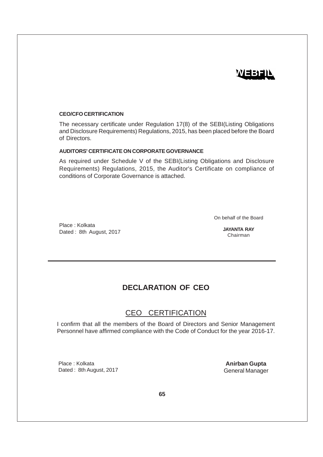

#### ● **CEO/CFO CERTIFICATION**

The necessary certificate under Regulation 17(8) of the SEBI(Listing Obligations and Disclosure Requirements) Regulations, 2015, has been placed before the Board of Directors.

#### ● **AUDITORS' CERTIFICATE ON CORPORATE GOVERNANCE**

As required under Schedule V of the SEBI(Listing Obligations and Disclosure Requirements) Regulations, 2015, the Auditor's Certificate on compliance of conditions of Corporate Governance is attached.

On behalf of the Board

Place : Kolkata Dated : 8th August, 2017

**JAYANTA RAY** Chairman

## **DECLARATION OF CEO**

## CEO CERTIFICATION

I confirm that all the members of the Board of Directors and Senior Management Personnel have affirmed compliance with the Code of Conduct for the year 2016-17.

Place : Kolkata Dated : 8th August, 2017

**Anirban Gupta** General Manager

**65**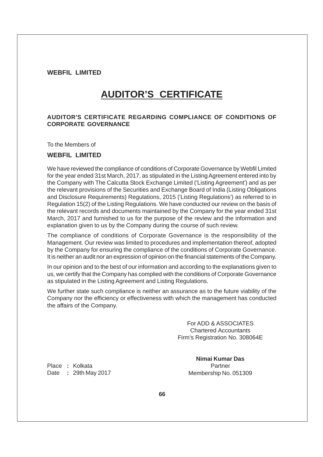## **AUDITOR'S CERTIFICATE**

## **AUDITOR'S CERTIFICATE REGARDING COMPLIANCE OF CONDITIONS OF CORPORATE GOVERNANCE**

To the Members of

## **WEBFIL LIMITED**

We have reviewed the compliance of conditions of Corporate Governance by Webfil Limited for the year ended 31st March, 2017, as stipulated in the Listing Agreement entered into by the Company with The Calcutta Stock Exchange Limited ('Listing Agreement') and as per the relevant provisions of the Securities and Exchange Board of India (Listing Obligations and Disclosure Requirements) Regulations, 2015 ('Listing Regulations') as referred to in Regulation 15(2) of the Listing Regulations. We have conducted our review on the basis of the relevant records and documents maintained by the Company for the year ended 31st March, 2017 and furnished to us for the purpose of the review and the information and explanation given to us by the Company during the course of such review.

The compliance of conditions of Corporate Governance is the responsibility of the Management. Our review was limited to procedures and implementation thereof, adopted by the Company for ensuring the compliance of the conditions of Corporate Governance. It is neither an audit nor an expression of opinion on the financial statements of the Company.

In our opinion and to the best of our information and according to the explanations given to us, we certify that the Company has complied with the conditions of Corporate Governance as stipulated in the Listing Agreement and Listing Regulations.

We further state such compliance is neither an assurance as to the future viability of the Company nor the efficiency or effectiveness with which the management has conducted the affairs of the Company.

> For ADD & ASSOCIATES Chartered Accountants Firm's Registration No. 308064E

Place **:** Kolkata Date **:** 29th May 2017

**Nimai Kumar Das** Partner Membership No. 051309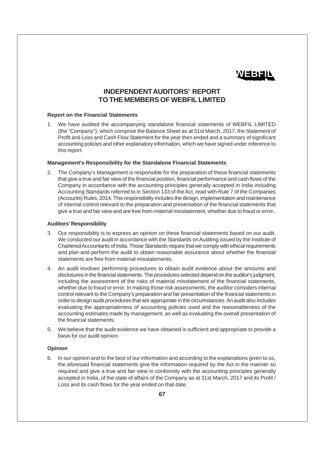

## **INDEPENDENT AUDITORS' REPORT TO THE MEMBERS OF WEBFIL LIMITED**

#### **Report on the Financial Statements**

1. We have audited the accompanying standalone financial statements of WEBFIL LIMITED (the "Company"), which comprise the Balance Sheet as at 31st March, 2017, the Statement of Profit and Loss and Cash Flow Statement for the year then ended and a summary of significant accounting policies and other explanatory information, which we have signed under reference to this report.

#### **Management's Responsibility for the Standalone Financial Statements**

2. The Company's Management is responsible for the preparation of these financial statements that give a true and fair view of the financial position, financial performance and cash flows of the Company in accordance with the accounting principles generally accepted in India including Accounting Standards referred to in Section 133 of the Act, read with Rule 7 of the Companies (Accounts) Rules, 2014. This responsibility includes the design, implementation and maintenance of internal control relevant to the preparation and presentation of the financial statements that give a true and fair view and are free from material misstatement, whether due to fraud or error..

#### **Auditors' Responsibility**

- 3. Our responsibility is to express an opinion on these financial statements based on our audit. We conducted our audit in accordance with the Standards on Auditing issued by the Institute of Chartered Accountants of India. Those Standards require that we comply with ethical requirements and plan and perform the audit to obtain reasonable assurance about whether the financial statements are free from material misstatements.
- 4. An audit involves performing procedures to obtain audit evidence about the amounts and disclosures in the financial statements. The procedures selected depend on the auditor's judgment, including the assessment of the risks of material misstatement of the financial statements, whether due to fraud or error. In making those risk assessments; the auditor considers internal control relevant to the Company's preparation and fair presentation of the financial statements in order to design audit procedures that are appropriate in the circumstances. An audit also includes evaluating the appropriateness of accounting policies used and the reasonableness of the accounting estimates made by management, as well as evaluating the overall presentation of the financial statements.
- 5. We believe that the audit evidence we have obtained is sufficient and appropriate to provide a basis for our audit opinion.

#### **Opinion**

6. In our opinion and to the best of our information and according to the explanations given to us, the aforesaid financial statements give the information required by the Act in the manner so required and give a true and fair view in conformity with the accounting principles generally accepted in India, of the state of affairs of the Company as at 31st March, 2017 and its Profit / Loss and its cash flows for the year ended on that date.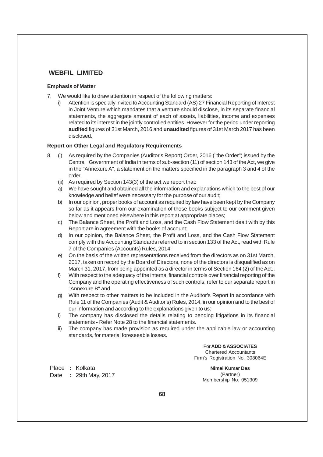#### **Emphasis of Matter**

- 7. We would like to draw attention in respect of the following matters:
	- i) Attention is specially invited to Accounting Standard (AS) 27 Financial Reporting of Interest in Joint Venture which mandates that a venture should disclose, in its separate financial statements, the aggregate amount of each of assets, liabilities, income and expenses related to its interest in the jointly controlled entities. However for the period under reporting **audited** figures of 31st March, 2016 and **unaudited** figures of 31st March 2017 has been disclosed.

#### **Report on Other Legal and Regulatory Requirements**

- 8. (i) As required by the Companies (Auditor's Report) Order, 2016 ("the Order") issued by the Central Government of India in terms of sub-section (11) of section 143 of the Act, we give in the "Annexure A", a statement on the matters specified in the paragraph 3 and 4 of the order.
	- (ii) As required by Section 143(3) of the act we report that:
	- a) We have sought and obtained all the information and explanations which to the best of our knowledge and belief were necessary for the purpose of our audit;
	- b) In our opinion, proper books of account as required by law have been kept by the Company so far as it appears from our examination of those books subject to our comment given below and mentioned elsewhere in this report at appropriate places;
	- c) The Balance Sheet, the Profit and Loss, and the Cash Flow Statement dealt with by this Report are in agreement with the books of account;
	- d) In our opinion, the Balance Sheet, the Profit and Loss, and the Cash Flow Statement comply with the Accounting Standards referred to in section 133 of the Act, read with Rule 7 of the Companies (Accounts) Rules, 2014;
	- e) On the basis of the written representations received from the directors as on 31st March, 2017, taken on record by the Board of Directors, none of the directors is disqualified as on March 31, 2017, from being appointed as a director in terms of Section 164 (2) of the Act.;
	- f) With respect to the adequacy of the internal financial controls over financial reporting of the Company and the operating effectiveness of such controls, refer to our separate report in "Annexure B" and
	- g) With respect to other matters to be included in the Auditor's Report in accordance with Rule 11 of the Companies (Audit & Auditor's) Rules, 2014, in our opinion and to the best of our information and according to the explanations given to us:
	- i) The company has disclosed the details relating to pending litigations in its financial statements - Refer Note 28 to the financial statements.
	- ii) The company has made provision as required under the applicable law or accounting standards, for material foreseeable losses.

For**ADD & ASSOCIATES** Chartered Accountants Firm's Registration No. 308064E

Place **:** Kolkata Date **:** 29th May, 2017

**Nimai Kumar Das** (Partner) Membership No. 051309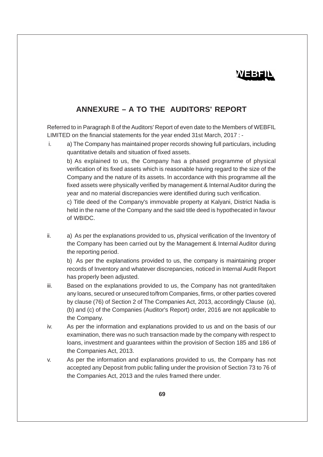

## **ANNEXURE – A TO THE AUDITORS' REPORT**

Referred to in Paragraph 8 of the Auditors' Report of even date to the Members of WEBFIL LIMITED on the financial statements for the year ended 31st March, 2017 : -

 i. a) The Company has maintained proper records showing full particulars, including quantitative details and situation of fixed assets.

b) As explained to us, the Company has a phased programme of physical verification of its fixed assets which is reasonable having regard to the size of the Company and the nature of its assets. In accordance with this programme all the fixed assets were physically verified by management & Internal Auditor during the year and no material discrepancies were identified during such verification.

c) Title deed of the Company's immovable property at Kalyani, District Nadia is held in the name of the Company and the said title deed is hypothecated in favour of WBIDC.

ii. a) As per the explanations provided to us, physical verification of the Inventory of the Company has been carried out by the Management & Internal Auditor during the reporting period.

b) As per the explanations provided to us, the company is maintaining proper records of Inventory and whatever discrepancies, noticed in Internal Audit Report has properly been adjusted.

- iii. Based on the explanations provided to us, the Company has not granted/taken any loans, secured or unsecured to/from Companies, firms, or other parties covered by clause (76) of Section 2 of The Companies Act, 2013, accordingly Clause (a), (b) and (c) of the Companies (Auditor's Report) order, 2016 are not applicable to the Company.
- iv. As per the information and explanations provided to us and on the basis of our examination, there was no such transaction made by the company with respect to loans, investment and guarantees within the provision of Section 185 and 186 of the Companies Act, 2013.
- v. As per the information and explanations provided to us, the Company has not accepted any Deposit from public falling under the provision of Section 73 to 76 of the Companies Act, 2013 and the rules framed there under.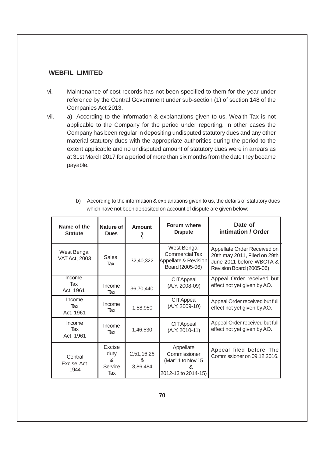- vi. Maintenance of cost records has not been specified to them for the year under reference by the Central Government under sub-section (1) of section 148 of the Companies Act 2013.
- vii. a) According to the information & explanations given to us, Wealth Tax is not applicable to the Company for the period under reporting. In other cases the Company has been regular in depositing undisputed statutory dues and any other material statutory dues with the appropriate authorities during the period to the extent applicable and no undisputed amount of statutory dues were in arrears as at 31st March 2017 for a period of more than six months from the date they became payable.

| Name of the<br><b>Statute</b>       | Nature of<br><b>Dues</b>              | <b>Amount</b><br>₹          | Forum where<br><b>Dispute</b>                                              | Date of<br>intimation / Order                                                                                       |
|-------------------------------------|---------------------------------------|-----------------------------|----------------------------------------------------------------------------|---------------------------------------------------------------------------------------------------------------------|
| West Bengal<br><b>VAT Act, 2003</b> | <b>Sales</b><br>Tax                   | 32,40,322                   | West Bengal<br>Commercial Tax<br>Appellate & Revision<br>Board (2005-06)   | Appellate Order Received on<br>20th may 2011, Filed on 29th<br>June 2011 before WBCTA &<br>Revision Board (2005-06) |
| Income<br>Tax<br>Act, 1961          | Income<br>Tax                         | 36,70,440                   | <b>CITAppeal</b><br>$(A.Y. 2008-09)$                                       | Appeal Order received but<br>effect not yet given by AO.                                                            |
| Income<br>Tax<br>Act, 1961          | Income<br>Tax                         | 1,58,950                    | <b>CITAppeal</b><br>$(A.Y. 2009-10)$                                       | Appeal Order received but full<br>effect not yet given by AO.                                                       |
| Income<br>Tax<br>Act, 1961          | Income<br>Tax                         | 1,46,530                    | <b>CITAppeal</b><br>$(A.Y. 2010-11)$                                       | Appeal Order received but full<br>effect not yet given by AO.                                                       |
| Central<br>Excise Act.<br>1944      | Excise<br>duty<br>&<br>Service<br>Tax | 2,51,16,26<br>&<br>3,86,484 | Appellate<br>Commissioner<br>(Mar'11 to Nov'15<br>&<br>2012-13 to 2014-15) | Appeal filed before The<br>Commissioner on 09.12.2016.                                                              |

b) According to the information & explanations given to us, the details of statutory dues which have not been deposited on account of dispute are given below: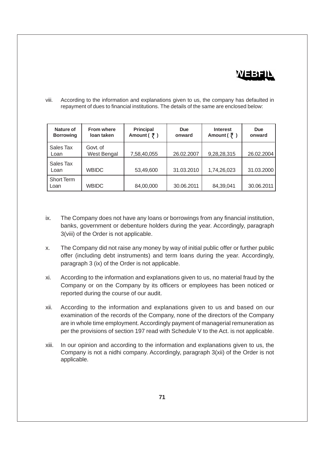

viii. According to the information and explanations given to us, the company has defaulted in repayment of dues to financial institutions. The details of the same are enclosed below:

| Nature of<br><b>Borrowing</b> | <b>From where</b><br>loan taken | <b>Principal</b><br>Amount $(\bar{z})$ | <b>Due</b><br>onward | <b>Interest</b><br>Amount ( $\bar{z}$ ) | <b>Due</b><br>onward |
|-------------------------------|---------------------------------|----------------------------------------|----------------------|-----------------------------------------|----------------------|
| Sales Tax<br>Loan             | Govt. of<br>West Bengal         | 7,58,40,055                            | 26.02.2007           | 9,28,28,315                             | 26.02.2004           |
| Sales Tax<br>Loan             | <b>WBIDC</b>                    | 53,49,600                              | 31.03.2010           | 1,74,26,023                             | 31.03.2000           |
| Short Term<br>Loan            | <b>WBIDC</b>                    | 84,00,000                              | 30.06.2011           | 84,39,041                               | 30.06.2011           |

- ix. The Company does not have any loans or borrowings from any financial institution, banks, government or debenture holders during the year. Accordingly, paragraph 3(viii) of the Order is not applicable.
- x. The Company did not raise any money by way of initial public offer or further public offer (including debt instruments) and term loans during the year. Accordingly, paragraph 3 (ix) of the Order is not applicable.
- xi. According to the information and explanations given to us, no material fraud by the Company or on the Company by its officers or employees has been noticed or reported during the course of our audit.
- xii. According to the information and explanations given to us and based on our examination of the records of the Company, none of the directors of the Company are in whole time employment. Accordingly payment of managerial remuneration as per the provisions of section 197 read with Schedule V to the Act. is not applicable.
- xiii. In our opinion and according to the information and explanations given to us, the Company is not a nidhi company. Accordingly, paragraph 3(xii) of the Order is not applicable.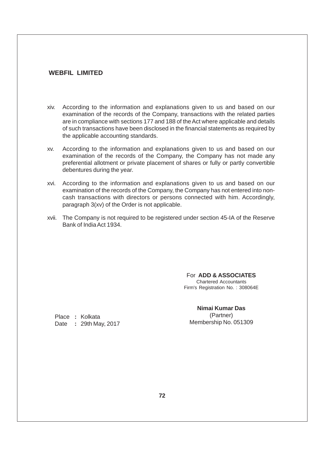- xiv. According to the information and explanations given to us and based on our examination of the records of the Company, transactions with the related parties are in compliance with sections 177 and 188 of the Act where applicable and details of such transactions have been disclosed in the financial statements as required by the applicable accounting standards.
- xv. According to the information and explanations given to us and based on our examination of the records of the Company, the Company has not made any preferential allotment or private placement of shares or fully or partly convertible debentures during the year.
- xvi. According to the information and explanations given to us and based on our examination of the records of the Company, the Company has not entered into noncash transactions with directors or persons connected with him. Accordingly, paragraph 3(xv) of the Order is not applicable.
- xvii. The Company is not required to be registered under section 45-IA of the Reserve Bank of India Act 1934.

For **ADD & ASSOCIATES** Chartered Accountants Firm's Registration No. : 308064E

**Nimai Kumar Das**

(Partner) Membership No. 051309

Place **:** Kolkata Date **:** 29th May, 2017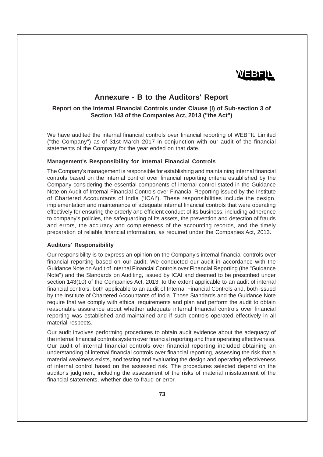

## **Annexure - B to the Auditors' Report**

### **Report on the Internal Financial Controls under Clause (i) of Sub-section 3 of Section 143 of the Companies Act, 2013 ("the Act")**

We have audited the internal financial controls over financial reporting of WEBFIL Limited ("the Company") as of 31st March 2017 in conjunction with our audit of the financial statements of the Company for the year ended on that date.

#### **Management's Responsibility for Internal Financial Controls**

The Company's management is responsible for establishing and maintaining internal financial controls based on the internal control over financial reporting criteria established by the Company considering the essential components of internal control stated in the Guidance Note on Audit of Internal Financial Controls over Financial Reporting issued by the Institute of Chartered Accountants of India ('ICAI'). These responsibilities include the design, implementation and maintenance of adequate internal financial controls that were operating effectively for ensuring the orderly and efficient conduct of its business, including adherence to company's policies, the safeguarding of its assets, the prevention and detection of frauds and errors, the accuracy and completeness of the accounting records, and the timely preparation of reliable financial information, as required under the Companies Act, 2013.

#### **Auditors' Responsibility**

Our responsibility is to express an opinion on the Company's internal financial controls over financial reporting based on our audit. We conducted our audit in accordance with the Guidance Note on Audit of Internal Financial Controls over Financial Reporting (the "Guidance Note") and the Standards on Auditing, issued by ICAI and deemed to be prescribed under section 143(10) of the Companies Act, 2013, to the extent applicable to an audit of internal financial controls, both applicable to an audit of Internal Financial Controls and, both issued by the Institute of Chartered Accountants of India. Those Standards and the Guidance Note require that we comply with ethical requirements and plan and perform the audit to obtain reasonable assurance about whether adequate internal financial controls over financial reporting was established and maintained and if such controls operated effectively in all material respects.

Our audit involves performing procedures to obtain audit evidence about the adequacy of the internal financial controls system over financial reporting and their operating effectiveness. Our audit of internal financial controls over financial reporting included obtaining an understanding of internal financial controls over financial reporting, assessing the risk that a material weakness exists, and testing and evaluating the design and operating effectiveness of internal control based on the assessed risk. The procedures selected depend on the auditor's judgment, including the assessment of the risks of material misstatement of the financial statements, whether due to fraud or error.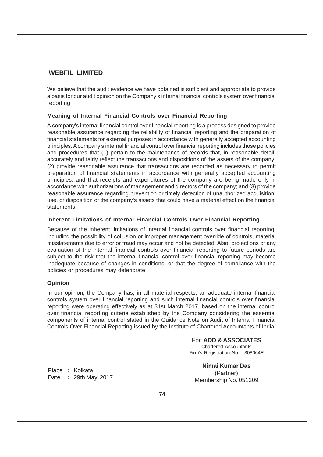We believe that the audit evidence we have obtained is sufficient and appropriate to provide a basis for our audit opinion on the Company's internal financial controls system over financial reporting.

#### **Meaning of Internal Financial Controls over Financial Reporting**

A company's internal financial control over financial reporting is a process designed to provide reasonable assurance regarding the reliability of financial reporting and the preparation of financial statements for external purposes in accordance with generally accepted accounting principles. A company's internal financial control over financial reporting includes those policies and procedures that (1) pertain to the maintenance of records that, in reasonable detail, accurately and fairly reflect the transactions and dispositions of the assets of the company; (2) provide reasonable assurance that transactions are recorded as necessary to permit preparation of financial statements in accordance with generally accepted accounting principles, and that receipts and expenditures of the company are being made only in accordance with authorizations of management and directors of the company; and (3) provide reasonable assurance regarding prevention or timely detection of unauthorized acquisition, use, or disposition of the company's assets that could have a material effect on the financial statements.

#### **Inherent Limitations of Internal Financial Controls Over Financial Reporting**

Because of the inherent limitations of internal financial controls over financial reporting, including the possibility of collusion or improper management override of controls, material misstatements due to error or fraud may occur and not be detected. Also, projections of any evaluation of the internal financial controls over financial reporting to future periods are subject to the risk that the internal financial control over financial reporting may become inadequate because of changes in conditions, or that the degree of compliance with the policies or procedures may deteriorate.

#### **Opinion**

In our opinion, the Company has, in all material respects, an adequate internal financial controls system over financial reporting and such internal financial controls over financial reporting were operating effectively as at 31st March 2017, based on the internal control over financial reporting criteria established by the Company considering the essential components of internal control stated in the Guidance Note on Audit of Internal Financial Controls Over Financial Reporting issued by the Institute of Chartered Accountants of India.

For **ADD & ASSOCIATES**

Chartered Accountants Firm's Registration No. : 308064E

Place **:** Kolkata Date **:** 29th May, 2017

**Nimai Kumar Das** (Partner) Membership No. 051309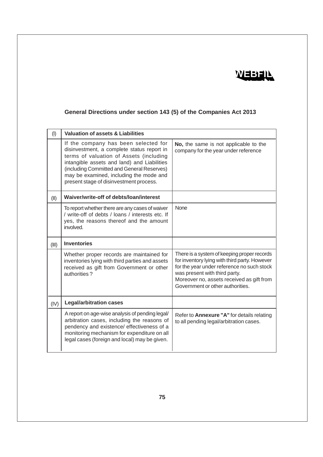

## **General Directions under section 143 (5) of the Companies Act 2013**

| $($ l $)$ | <b>Valuation of assets &amp; Liabilities</b>                                                                                                                                                                                                                                                                     |                                                                                                                                                                                                                                                              |  |  |
|-----------|------------------------------------------------------------------------------------------------------------------------------------------------------------------------------------------------------------------------------------------------------------------------------------------------------------------|--------------------------------------------------------------------------------------------------------------------------------------------------------------------------------------------------------------------------------------------------------------|--|--|
|           | If the company has been selected for<br>disinvestment, a complete status report in<br>terms of valuation of Assets (including<br>intangible assets and land) and Liabilities<br>(including Committed and General Reserves)<br>may be examined, including the mode and<br>present stage of disinvestment process. | No, the same is not applicable to the<br>company for the year under reference                                                                                                                                                                                |  |  |
| (II)      | Waiver/write-off of debts/loan/interest                                                                                                                                                                                                                                                                          |                                                                                                                                                                                                                                                              |  |  |
|           | To report whether there are any cases of waiver<br>/ write-off of debts / loans / interests etc. If<br>yes, the reasons thereof and the amount<br>involved.                                                                                                                                                      | None                                                                                                                                                                                                                                                         |  |  |
| (III)     | <b>Inventories</b>                                                                                                                                                                                                                                                                                               |                                                                                                                                                                                                                                                              |  |  |
|           | Whether proper records are maintained for<br>inventories lying with third parties and assets<br>received as gift from Government or other<br>authorities?                                                                                                                                                        | There is a system of keeping proper records<br>for inventory lying with third party. However<br>for the year under reference no such stock<br>was present with third party.<br>Moreover no, assets received as gift from<br>Government or other authorities. |  |  |
| (IV)      | <b>Legal/arbitration cases</b>                                                                                                                                                                                                                                                                                   |                                                                                                                                                                                                                                                              |  |  |
|           | A report on age-wise analysis of pending legal/<br>arbitration cases, including the reasons of<br>pendency and existence/ effectiveness of a<br>monitoring mechanism for expenditure on all<br>legal cases (foreign and local) may be given.                                                                     | Refer to Annexure "A" for details relating<br>to all pending legal/arbitration cases.                                                                                                                                                                        |  |  |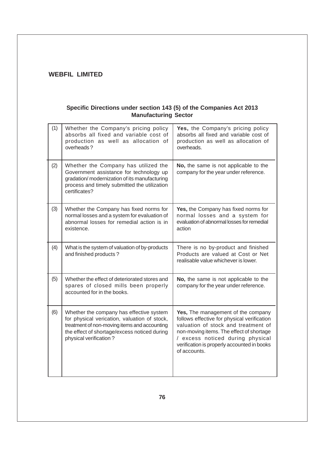## **Specific Directions under section 143 (5) of the Companies Act 2013 Manufacturing Sector**

| (1) | Whether the Company's pricing policy<br>absorbs all fixed and variable cost of<br>production as well as allocation of<br>overheads?                                                                                | Yes, the Company's pricing policy<br>absorbs all fixed and variable cost of<br>production as well as allocation of<br>overheads.                                                                                                                                        |
|-----|--------------------------------------------------------------------------------------------------------------------------------------------------------------------------------------------------------------------|-------------------------------------------------------------------------------------------------------------------------------------------------------------------------------------------------------------------------------------------------------------------------|
| (2) | Whether the Company has utilized the<br>Government assistance for technology up<br>gradation/modernization of its manufacturing<br>process and timely submitted the utilization<br>certificates?                   | No, the same is not applicable to the<br>company for the year under reference.                                                                                                                                                                                          |
| (3) | Whether the Company has fixed norms for<br>normal losses and a system for evaluation of<br>abnormal losses for remedial action is in<br>existence.                                                                 | Yes, the Company has fixed norms for<br>normal losses and a system for<br>evaluation of abnormal losses for remedial<br>action                                                                                                                                          |
| (4) | What is the system of valuation of by-products<br>and finished products?                                                                                                                                           | There is no by-product and finished<br>Products are valued at Cost or Net<br>realisable value whichever is lower.                                                                                                                                                       |
| (5) | Whether the effect of deteriorated stores and<br>spares of closed mills been properly<br>accounted for in the books.                                                                                               | No, the same is not applicable to the<br>company for the year under reference.                                                                                                                                                                                          |
| (6) | Whether the company has effective system<br>for physical verication, valuation of stock,<br>treatment of non-moving items and accounting<br>the effect of shortage/excess noticed during<br>physical verification? | Yes, The management of the company<br>follows effective for physical verification<br>valuation of stock and treatment of<br>non-moving items. The effect of shortage<br>/ excess noticed during physical<br>verification is properly accounted in books<br>of accounts. |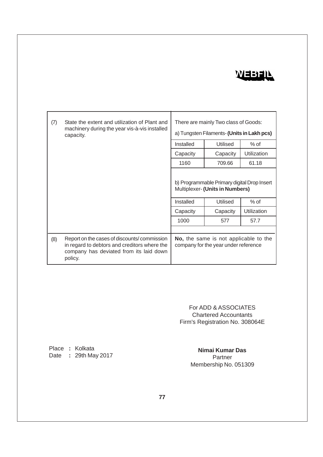

| (7) | State the extent and utilization of Plant and<br>machinery during the year vis-à-vis installed<br>capacity.                                       | There are mainly Two class of Goods:<br>a) Tungsten Filaments- (Units in Lakh pcs)                              |          |             |  |
|-----|---------------------------------------------------------------------------------------------------------------------------------------------------|-----------------------------------------------------------------------------------------------------------------|----------|-------------|--|
|     |                                                                                                                                                   | Installed                                                                                                       | Utilised | $%$ of      |  |
|     |                                                                                                                                                   | Capacity                                                                                                        | Capacity | Utilization |  |
|     |                                                                                                                                                   | 1160                                                                                                            | 709.66   | 61.18       |  |
|     |                                                                                                                                                   | b) Programmable Primary digital Drop Insert<br>Multiplexer- (Units in Numbers)<br>% of<br>Installed<br>Utilised |          |             |  |
|     |                                                                                                                                                   | Capacity                                                                                                        | Capacity | Utilization |  |
|     |                                                                                                                                                   | 1000                                                                                                            | 577      | 57.7        |  |
|     |                                                                                                                                                   |                                                                                                                 |          |             |  |
| (8) | Report on the cases of discounts/commission<br>in regard to debtors and creditors where the<br>company has deviated from its laid down<br>policy. | No, the same is not applicable to the<br>company for the year under reference                                   |          |             |  |

For ADD & ASSOCIATES Chartered Accountants Firm's Registration No. 308064E

Place **:** Kolkata Date **:** 29th May 2017

**Nimai Kumar Das** Partner Membership No. 051309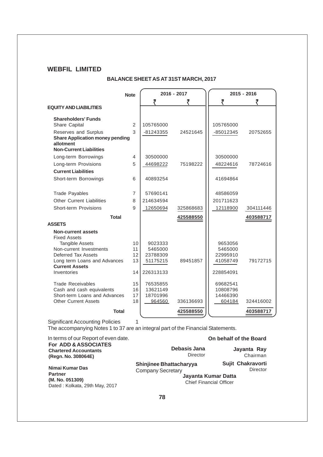## **BALANCE SHEET AS AT 31ST MARCH, 2017**

|                                                                             | <b>Note</b>           | 2016 - 2017          |           |                      | $2015 - 2016$ |
|-----------------------------------------------------------------------------|-----------------------|----------------------|-----------|----------------------|---------------|
|                                                                             |                       | ₹                    | ₹         | ₹                    | ₹             |
| <b>EQUITY AND LIABILITIES</b>                                               |                       |                      |           |                      |               |
| <b>Shareholders' Funds</b>                                                  |                       |                      |           |                      |               |
| Share Capital                                                               | 2                     | 105765000            |           | 105765000            |               |
| Reserves and Surplus<br><b>Share Application money pending</b><br>allotment | 3                     | -81243355            | 24521645  | -85012345            | 20752655      |
| <b>Non-Current Liabilities</b>                                              |                       |                      |           |                      |               |
| Long-term Borrowings                                                        | 4                     | 30500000             |           | 30500000             |               |
| Long-term Provisions                                                        | 5                     | 44698222             | 75198222  | 48224616             | 78724616      |
| <b>Current Liabilities</b>                                                  |                       |                      |           |                      |               |
| Short-term Borrowings                                                       | 6                     | 40893254             |           | 41694864             |               |
|                                                                             |                       |                      |           |                      |               |
| <b>Trade Payables</b>                                                       | $\overline{7}$        | 57690141             |           | 48586059             |               |
| <b>Other Current Liabilities</b>                                            | 8                     | 214634594            |           | 201711623            |               |
| Short-term Provisions                                                       | 9                     | 12650694             | 325868683 | 12118900             | 304111446     |
| <b>Total</b>                                                                |                       |                      | 425588550 |                      | 403588717     |
| <b>ASSETS</b>                                                               |                       |                      |           |                      |               |
| <b>Non-current assets</b><br><b>Fixed Assets</b>                            |                       |                      |           |                      |               |
| <b>Tangible Assets</b>                                                      | 10                    | 9023333              |           | 9653056              |               |
| Non-current Investments                                                     | 11                    | 5465000              |           | 5465000              |               |
| Deferred Tax Assets<br>Long term Loans and Advances                         | 12 <sup>2</sup><br>13 | 23788309<br>51175215 | 89451857  | 22995910<br>41058749 | 79172715      |
| <b>Current Assets</b>                                                       |                       |                      |           |                      |               |
| Inventories                                                                 | 14                    | 226313133            |           | 228854091            |               |
|                                                                             |                       |                      |           |                      |               |
| <b>Trade Receivables</b>                                                    | 15                    | 76535855             |           | 69682541             |               |
| Cash and cash equivalents                                                   | 16                    | 13621149             |           | 10808796             |               |
| Short-term Loans and Advances<br><b>Other Current Assets</b>                | 17<br>18              | 18701996<br>964560   | 336136693 | 14466390<br>604184   | 324416002     |
|                                                                             |                       |                      |           |                      |               |
| Total                                                                       |                       |                      | 425588550 |                      | 403588717     |

Significant Accounting Policies 1

The accompanying Notes 1 to 37 are an integral part of the Financial Statements.

| In terms of our Report of even date.                                                   | On behalf of the Board                                                                                       |                               |  |  |
|----------------------------------------------------------------------------------------|--------------------------------------------------------------------------------------------------------------|-------------------------------|--|--|
| For ADD & ASSOCIATES<br><b>Chartered Accountants</b><br>(Regn. No. 308064E)            | Debasis Jana<br>Director                                                                                     | Jayanta Ray<br>Chairman       |  |  |
| Nimai Kumar Das<br><b>Partner</b><br>(M. No. 051309)<br>Dated: Kolkata, 29th May, 2017 | Shinjinee Bhattacharyya<br><b>Company Secretary</b><br>Jayanta Kumar Datta<br><b>Chief Financial Officer</b> | Sujit Chakravorti<br>Director |  |  |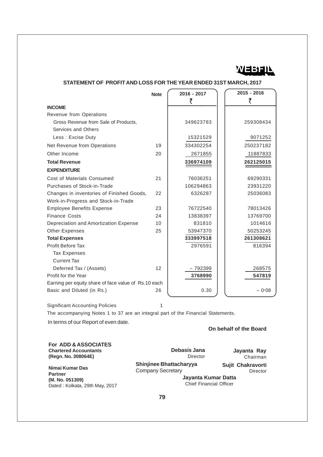## WEBEIN

### **STATEMENT OF PROFIT AND LOSS FOR THE YEAR ENDED 31ST MARCH, 2017**

|                                                      | <b>Note</b> | 2016 - 2017 | $2015 - 2016$ |
|------------------------------------------------------|-------------|-------------|---------------|
|                                                      |             | ₹           | ₹             |
| <b>INCOME</b>                                        |             |             |               |
| Revenue from Operations                              |             |             |               |
| Gross Revenue from Sale of Products,                 |             | 349623783   | 259308434     |
| Services and Others                                  |             |             |               |
| Less: Excise Duty                                    |             | 15321529    | 9071252       |
| Net Revenue from Operations                          | 19          | 334302254   | 250237182     |
| Other Income                                         | 20          | 2671855     | 11887833      |
| <b>Total Revenue</b>                                 |             | 336974109   | 262125015     |
| <b>EXPENDITURE</b>                                   |             |             |               |
| Cost of Materials Consumed                           | 21          | 76036251    | 69290331      |
| Purchases of Stock-in-Trade                          |             | 106294863   | 23931220      |
| Changes in inventories of Finished Goods,            | 22          | 6326287     | 25036083      |
| Work-in-Progress and Stock-in-Trade                  |             |             |               |
| <b>Employee Benefits Expense</b>                     | 23          | 76722540    | 78013426      |
| <b>Finance Costs</b>                                 | 24          | 13838397    | 13769700      |
| Depreciation and Amortization Expense                | 10          | 831810      | 1014616       |
| <b>Other Expenses</b>                                | 25          | 53947370    | 50253245      |
| <b>Total Expenses</b>                                |             | 333997518   | 261308621     |
| <b>Profit Before Tax</b>                             |             | 2976591     | 816394        |
| <b>Tax Expenses</b>                                  |             |             |               |
| <b>Current Tax</b>                                   |             |             |               |
| Deferred Tax / (Assets)                              | 12          | $-792399$   | 268575        |
| Profit for the Year                                  |             | 3768990     | 547819        |
| Earning per equity share of face value of Rs.10 each |             |             |               |
| Basic and Diluted (in Rs.)                           | 26          | 0.30        | $-0.08$       |

Significant Accounting Policies 1

The accompanying Notes 1 to 37 are an integral part of the Financial Statements.

In terms of our Report of even date.

#### **On behalf of the Board**

| For ADD & ASSOCIATES<br><b>Chartered Accountants</b><br>(Regn. No. 308064E) | Debasis Jana<br>Director                              | Jayanta Ray<br>Chairman       |
|-----------------------------------------------------------------------------|-------------------------------------------------------|-------------------------------|
| Nimai Kumar Das                                                             | Shinjinee Bhattacharyya<br><b>Company Secretary</b>   | Sujit Chakravorti<br>Director |
| <b>Partner</b><br>(M. No. 051309)<br>Dated: Kolkata, 29th May, 2017         | Jayanta Kumar Datta<br><b>Chief Financial Officer</b> |                               |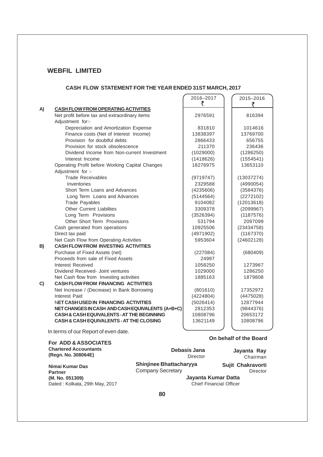## **CASH FLOW STATEMENT FOR THE YEAR ENDED 31ST MARCH, 2017**

|    |                                                       | 2016-2017 | 2015-2016<br>₹ |
|----|-------------------------------------------------------|-----------|----------------|
| A) | <b>CASH FLOW FROM OPERATING ACTIVITIES</b>            |           |                |
|    | Net profit before tax and extraordinary items         | 2976591   | 816394         |
|    | Adjustment for:-                                      |           |                |
|    | Depreciation and Amortization Expense                 | 831810    | 1014616        |
|    | Finance costs (Net of Interest Income)                | 13838397  | 13769700       |
|    | Provision for doubtful debts                          | 2866433   | 656755         |
|    | Provision for stock obsolescence                      | 211370    | 236436         |
|    | Dividend Income from Non-current Investment           | (1029000) | (1286250)      |
|    | Interest Income                                       | (1418626) | (1554541)      |
|    | Operating Profit before Working Capital Changes       | 18276975  | 13653110       |
|    | Adjustment for :-                                     |           |                |
|    | <b>Trade Receivables</b>                              | (9719747) | (13037274)     |
|    | Inventories                                           | 2329588   | (4990054)      |
|    | Short Term Loans and Advances                         | (4235606) | (3584376)      |
|    | Long Term Loans and Advances                          | (5144564) | (2272102)      |
|    | <b>Trade Payables</b>                                 | 9104082   | (12013618)     |
|    | <b>Other Current Liabilites</b>                       | 3309378   | (2099967)      |
|    | Long Term Provisions                                  | (3526394) | (1187576)      |
|    | Other Short Term Provisions                           | 531794    | 2097099        |
|    | Cash generated from operations                        | 10925506  | (23434758)     |
|    | Direct tax paid                                       | (4971902) | (1167370)      |
|    | Net Cash Flow from Operating Activities               | 5953604   | (24602128)     |
| B) | <b>CASH FLOW FROM INVESTING ACTIVITIES</b>            |           |                |
|    | Purchase of Fixed Assets (net)                        | (227084)  | (680409)       |
|    | Proceeds from sale of Fixed Assets                    | 24997     |                |
|    | Interest Received                                     | 1058250   | 1273967        |
|    | Dividend Received- Joint ventures                     | 1029000   | 1286250        |
|    | Net Cash flow from Investing activities               | 1885163   | 1879808        |
| C) | <b>CASH FLOW FROM FINANCING ACTIVITIES</b>            |           |                |
|    | Net Increase / (Decrease) in Bank Borrowing           | (801610)  | 17352972       |
|    | Interest Paid                                         | (4224804) | (4475028)      |
|    | <b>NET CASH USED IN FINANCING ACTIVITIES</b>          | (5026414) | 12877944       |
|    | NET CHANGES IN CASH AND CASH EQUIVALENTS (A+B+C)      | 2812353   | (9844376)      |
|    | <b>CASH &amp; CASH EQUIVALENTS - AT THE BEGINNING</b> | 10808796  | 20653172       |
|    | <b>CASH &amp; CASH EQUIVALENTS - AT THE CLOSING</b>   | 13621149  | 10808796       |
|    | In terms of our Report of even date.                  |           |                |

#### **On behalf of the Board**

| For ADD & ASSOCIATES                              |                          | <u>UII DENAN UN LITE DUATU</u> |
|---------------------------------------------------|--------------------------|--------------------------------|
| <b>Chartered Accountants</b>                      | Debasis Jana             | Jayanta Ray                    |
| (Regn. No. 308064E)                               | Director                 | Chairman                       |
| Nimai Kumar Das                                   | Shinjinee Bhattacharyya  | Sujit Chakravorti              |
| <b>Partner</b>                                    | <b>Company Secretary</b> | Director                       |
| (M. No. 051309)<br>Dated: Kolkata, 29th May, 2017 | Jayanta Kumar Datta      | <b>Chief Financial Officer</b> |

**80**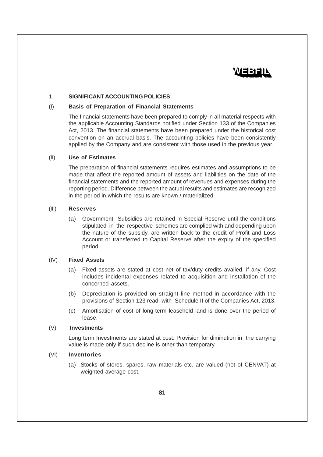

#### 1. **SIGNIFICANT ACCOUNTING POLICIES**

#### (I) **Basis of Preparation of Financial Statements**

The financial statements have been prepared to comply in all material respects with the applicable Accounting Standards notified under Section 133 of the Companies Act, 2013. The financial statements have been prepared under the historical cost convention on an accrual basis. The accounting policies have been consistently applied by the Company and are consistent with those used in the previous year.

#### (II) **Use of Estimates**

The preparation of financial statements requires estimates and assumptions to be made that affect the reported amount of assets and liabilities on the date of the financial statements and the reported amount of revenues and expenses during the reporting period. Difference between the actual results and estimates are recognized in the period in which the results are known / materialized.

#### (III) **Reserves**

(a) Government Subsidies are retained in Special Reserve until the conditions stipulated in the respective schemes are complied with and depending upon the nature of the subsidy, are written back to the credit of Profit and Loss Account or transferred to Capital Reserve after the expiry of the specified period.

#### (IV) **Fixed Assets**

- (a) Fixed assets are stated at cost net of tax/duty credits availed, if any. Cost includes incidental expenses related to acquisition and installation of the concerned assets.
- (b) Depreciation is provided on straight line method in accordance with the provisions of Section 123 read with Schedule II of the Companies Act, 2013.
- (c) Amortisation of cost of long-term leasehold land is done over the period of lease.

#### (V) **Investments**

Long term Investments are stated at cost. Provision for diminution in the carrying value is made only if such decline is other than temporary.

#### (VI) **Inventories**

(a) Stocks of stores, spares, raw materials etc. are valued (net of CENVAT) at weighted average cost.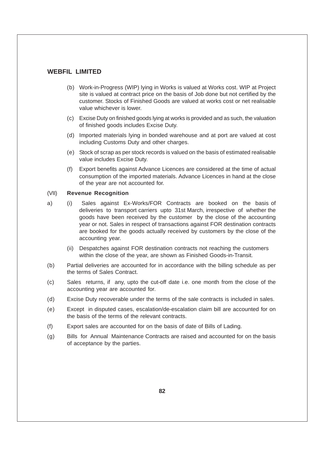- (b) Work-in-Progress (WIP) lying in Works is valued at Works cost. WIP at Project site is valued at contract price on the basis of Job done but not certified by the customer. Stocks of Finished Goods are valued at works cost or net realisable value whichever is lower.
- (c) Excise Duty on finished goods lying at works is provided and as such, the valuation of finished goods includes Excise Duty.
- (d) Imported materials lying in bonded warehouse and at port are valued at cost including Customs Duty and other charges.
- (e) Stock of scrap as per stock records is valued on the basis of estimated realisable value includes Excise Duty.
- (f) Export benefits against Advance Licences are considered at the time of actual consumption of the imported materials. Advance Licences in hand at the close of the year are not accounted for.

#### (VII) **Revenue Recognition**

- a) (i) Sales against Ex-Works/FOR Contracts are booked on the basis of deliveries to transport carriers upto 31st March, irrespective of whether the goods have been received by the customer by the close of the accounting year or not. Sales in respect of transactions against FOR destination contracts are booked for the goods actually received by customers by the close of the accounting year.
	- (ii) Despatches against FOR destination contracts not reaching the customers within the close of the year, are shown as Finished Goods-in-Transit.
- (b) Partial deliveries are accounted for in accordance with the billing schedule as per the terms of Sales Contract.
- (c) Sales returns, if any, upto the cut-off date i.e. one month from the close of the accounting year are accounted for.
- (d) Excise Duty recoverable under the terms of the sale contracts is included in sales.
- (e) Except in disputed cases, escalation/de-escalation claim bill are accounted for on the basis of the terms of the relevant contracts.
- (f) Export sales are accounted for on the basis of date of Bills of Lading.
- (g) Bills for Annual Maintenance Contracts are raised and accounted for on the basis of acceptance by the parties.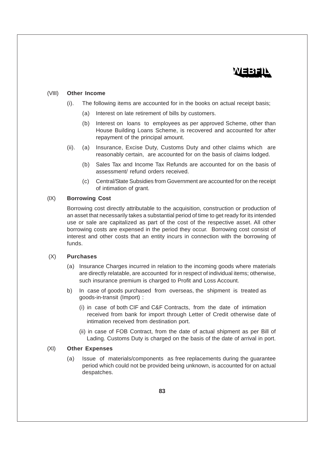

#### (VIII) **Other Income**

- (i). The following items are accounted for in the books on actual receipt basis;
	- (a) Interest on late retirement of bills by customers.
	- (b) Interest on loans to employees as per approved Scheme, other than House Building Loans Scheme, is recovered and accounted for after repayment of the principal amount.
- (ii). (a) Insurance, Excise Duty, Customs Duty and other claims which are reasonably certain, are accounted for on the basis of claims lodged.
	- (b) Sales Tax and Income Tax Refunds are accounted for on the basis of assessment/ refund orders received.
	- (c) Central/State Subsidies from Government are accounted for on the receipt of intimation of grant.

#### (IX) **Borrowing Cost**

Borrowing cost directly attributable to the acquisition, construction or production of an asset that necessarily takes a substantial period of time to get ready for its intended use or sale are capitalized as part of the cost of the respective asset. All other borrowing costs are expensed in the period they occur. Borrowing cost consist of interest and other costs that an entity incurs in connection with the borrowing of funds.

#### (X) **Purchases**

- (a) Insurance Charges incurred in relation to the incoming goods where materials are directly relatable, are accounted for in respect of individual items; otherwise, such insurance premium is charged to Profit and Loss Account.
- b) In case of goods purchased from overseas, the shipment is treated as goods-in-transit (Import) :
	- (i) in case of both CIF and C&F Contracts, from the date of intimation received from bank for import through Letter of Credit otherwise date of intimation received from destination port.
	- (ii) in case of FOB Contract, from the date of actual shipment as per Bill of Lading. Customs Duty is charged on the basis of the date of arrival in port.

#### (XI) **Other Expenses**

(a) Issue of materials/components as free replacements during the guarantee period which could not be provided being unknown, is accounted for on actual despatches.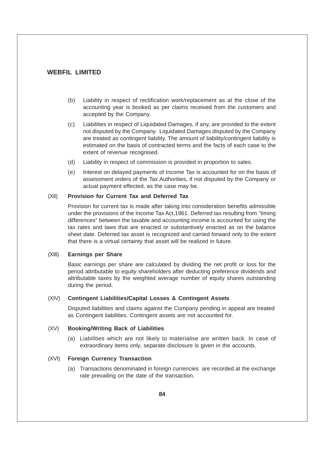- (b) Liability in respect of rectification work/replacement as at the close of the accounting year is booked as per claims received from the customers and accepted by the Company.
- (c) Liabilities in respect of Liquidated Damages, if any, are provided to the extent not disputed by the Company. Liquidated Damages disputed by the Company are treated as contingent liability. The amount of liability/contingent liability is estimated on the basis of contracted terms and the facts of each case to the extent of revenue recognised.
- (d) Liability in respect of commission is provided in proportion to sales.
- (e) Interest on delayed payments of Income Tax is accounted for on the basis of assessment orders of the Tax Authorities, if not disputed by the Company or actual payment effected, as the case may be.

#### (XII) **Provision for Current Tax and Deferred Tax**

Provision for current tax is made after taking into consideration benefits admissible under the provisions of the Income Tax Act,1961. Deferred tax resulting from ''timing differences" between the taxable and accounting income is accounted for using the tax rates and laws that are enacted or substantively enacted as on the balance sheet date. Deferred tax asset is recognized and carried forward only to the extent that there is a virtual certainty that asset will be realized in future.

#### (XIII) **Earnings per Share**

Basic earnings per share are calculated by dividing the net profit or loss for the period attributable to equity shareholders after deducting preference dividends and attributable taxes by the weighted average number of equity shares outstanding during the period.

#### (XIV) **Contingent Liabilities/Capital Losses & Contingent Assets**

Disputed liabilities and claims against the Company pending in appeal are treated as Contingent liabilities. Contingent assets are not accounted for.

#### (XV) **Booking/Writing Back of Liabilities**

(a) Liabilities which are not likely to materialise are written back. In case of extraordinary items only, separate disclosure is given in the accounts.

#### (XVI) **Foreign Currency Transaction**

(a) Transactions denominated in foreign currencies are recorded at the exchange rate prevailing on the date of the transaction.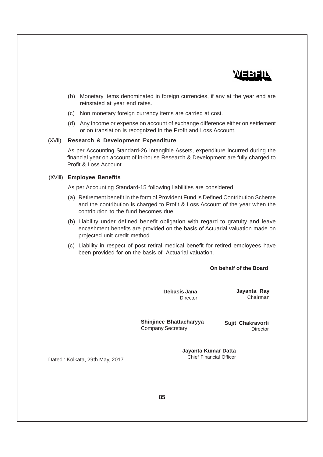

- (b) Monetary items denominated in foreign currencies, if any at the year end are reinstated at year end rates.
- (c) Non monetary foreign currency items are carried at cost.
- (d) Any income or expense on account of exchange difference either on settlement or on translation is recognized in the Profit and Loss Account.

#### (XVII) **Research & Development Expenditure**

As per Accounting Standard-26 Intangible Assets, expenditure incurred during the financial year on account of in-house Research & Development are fully charged to Profit & Loss Account.

#### (XVIII) **Employee Benefits**

As per Accounting Standard-15 following liabilities are considered

- (a) Retirement benefit in the form of Provident Fund is Defined Contribution Scheme and the contribution is charged to Profit & Loss Account of the year when the contribution to the fund becomes due.
- (b) Liability under defined benefit obligation with regard to gratuity and leave encashment benefits are provided on the basis of Actuarial valuation made on projected unit credit method.
- (c) Liability in respect of post retiral medical benefit for retired employees have been provided for on the basis of Actuarial valuation.

**On behalf of the Board**

**Debasis Jana** Director **Jayanta Ray** Chairman

**Shinjinee Bhattacharyya** Company Secretary

**Sujit Chakravorti** Director

**Jayanta Kumar Datta** Chief Financial Officer

Dated : Kolkata, 29th May, 2017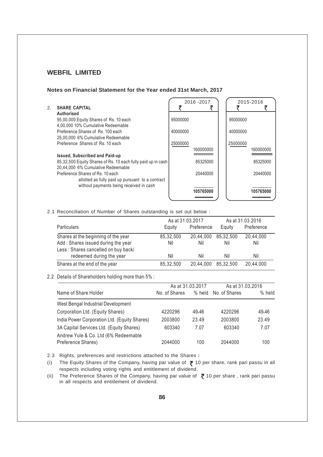#### **Notes on Financial Statement for the Year ended 31st March, 2017**

| 2 <sub>1</sub> | <b>SHARE CAPITAL</b>                                                                                                            | 2016-2017             |          | 2015-2016 |
|----------------|---------------------------------------------------------------------------------------------------------------------------------|-----------------------|----------|-----------|
|                | Authorised<br>95,00,000 Equity Shares of Rs. 10 each<br>4,00,000 10% Cumulative Redeemable                                      | 95000000              | 95000000 |           |
|                | Preference Shares of Rs. 100 each<br>25,00,000 6% Cumulative Redeemable                                                         | 40000000              | 40000000 |           |
|                | Preference Shares of Rs. 10 each                                                                                                | 25000000<br>160000000 | 25000000 | 160000000 |
|                | <b>Issued, Subscribed and Paid-up</b>                                                                                           |                       |          |           |
|                | 85,32,500 Equity Shares of Rs. 10 each fully paid up in cash<br>20,44,000 6% Cumulative Redeemable                              | 85325000              |          | 85325000  |
|                | Preference Shares of Rs. 10 each<br>allotted as fully paid up pursuant to a contract<br>without payments being received in cash | 20440000              |          | 20440000  |
|                |                                                                                                                                 | 105765000             |          | 105765000 |

#### 2.1 Reconciliation of Number of Shares outstanding is set out below :

|                                                                            | As at 31.03.2017 |            |           | As at 31.03.2016 |
|----------------------------------------------------------------------------|------------------|------------|-----------|------------------|
| <b>Particulars</b>                                                         | Equity           | Preference | Equity    | Preference       |
| Shares at the beginning of the year                                        | 85,32,500        | 20,44,000  | 85,32,500 | 20,44,000        |
| Add: Shares issued during the year<br>Less : Shares cancelled on buy back/ | Nil              | Nil        | Nil       | Nil              |
| redeemed during the year                                                   | Nil              | Nil        | Nil       | Nil              |
| Shares at the end of the year                                              | 85,32,500        | 20,44,000  | 85.32.500 | 20,44,000        |

#### 2.2 Details of Shareholders holding more than 5% :

|                                                                                  | As at 31.03.2017 |        | As at 31.03.2016 |        |
|----------------------------------------------------------------------------------|------------------|--------|------------------|--------|
| Name of Share Holder                                                             | No. of Shares    | % held | No. of Shares    | % held |
| West Bengal Industrial Development                                               |                  |        |                  |        |
| Corporation Ltd. (Equity Shares)                                                 | 4220296          | 49.46  | 4220296          | 49.46  |
| India Power Corporation Ltd. (Equity Shares)                                     | 2003800          | 23.49  | 2003800          | 23.49  |
| 3A Capital Services Ltd. (Equity Shares)<br>Andrew Yule & Co. Ltd (6% Redeemable | 603340           | 7.07   | 603340           | 7.07   |
| Preference Shares)                                                               | 2044000          | 100    | 2044000          | 100    |

2.3 Rights, preferences and restrictions attached to the Shares **:**

- (i) The Equity Shares of the Company, having par value of  $\bar{z}$  10 per share, rank pari passu in all respects including voting rights and entitlement of dividend.
- (ii) The Preference Shares of the Company, having par value of  $\bar{\tau}$  10 per share, rank pari passu in all respects and entitlement of dividend.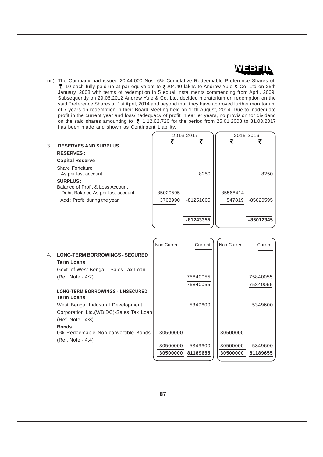(iiI) The Company had issued 20,44,000 Nos. 6% Cumulative Redeemable Preference Shares of ₹ 10 each fully paid up at par equivalent to ₹204.40 lakhs to Andrew Yule & Co. Ltd on 25th January, 2008 with terms of redemption in 5 equal Installments commencing from April, 2009. Subsequently on 29.06.2012 Andrew Yule & Co. Ltd. decided moratorium on redemption on the said Preference Shares till 1st April, 2014 and beyond that they have approved further moratorium of 7 years on redemption in their Board Meeting held on 11th August, 2014. Due to inadequate profit in the current year and loss/inadequacy of profit in earlier years, no provision for dividend on the said shares amounting to  $\bar{\tau}$  1,12,62,720 for the period from 25.01.2008 to 31.03.2017 has been made and shown as Contingent Liability.

|    |                                       |             | 2016-2017   |             | 2015-2016   |
|----|---------------------------------------|-------------|-------------|-------------|-------------|
|    |                                       |             | ₹           |             |             |
| 3. | <b>RESERVES AND SURPLUS</b>           |             |             |             |             |
|    | <b>RESERVES:</b>                      |             |             |             |             |
|    | <b>Capital Reserve</b>                |             |             |             |             |
|    | <b>Share Forfeiture</b>               |             |             |             |             |
|    | As per last account                   |             | 8250        |             | 8250        |
|    | <b>SURPLUS:</b>                       |             |             |             |             |
|    | Balance of Profit & Loss Account      |             |             |             |             |
|    | Debit Balance As per last account     | -85020595   |             | -85568414   |             |
|    | Add: Profit during the year           | 3768990     | $-81251605$ | 547819      | -85020595   |
|    |                                       |             |             |             |             |
|    |                                       |             |             |             |             |
|    |                                       |             | $-81243355$ |             | $-85012345$ |
|    |                                       |             |             |             |             |
|    |                                       |             |             |             |             |
|    |                                       | Non Current | Current     | Non Current | Current     |
|    |                                       |             |             |             |             |
| 4. | <b>LONG-TERM BORROWINGS - SECURED</b> |             |             |             |             |
|    |                                       |             |             |             |             |

#### **Term Loans**

Govt. of West Bengal - Sales Tax Loan (Ref. Note - 4<sup>-2</sup>)

#### **LONG-TERM BORROWINGS - UNSECURED Term Loans**

West Bengal Industrial Development Corporation Ltd.(WBIDC)-Sales Tax Loan (Ref. Note - 4**.**3)

#### **Bonds**

0% Redeemable Non-convertible Bonds (Ref. Note - 4**.**4)

| 30500000 | 81189655             | 30500000 | 81189655             |
|----------|----------------------|----------|----------------------|
| 30500000 | 5349600              | 30500000 | 5349600              |
| 30500000 |                      | 30500000 |                      |
|          | 5349600              |          | 5349600              |
|          | 75840055<br>75840055 |          | 75840055<br>75840055 |
|          |                      |          |                      |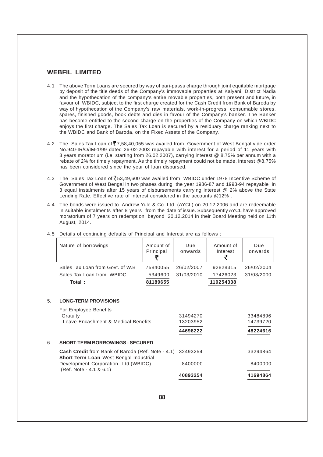- 4.1 The above Term Loans are secured by way of pari-passu charge through joint equitable mortgage by deposit of the title deeds of the Company's immovable properties at Kalyani, District Nadia and the hypothecation of the company's entire movable properties, both present and future, in favour of WBIDC, subject to the first charge created for the Cash Credit from Bank of Baroda by way of hypothecation of the Company's raw materials, work-in-progress, consumable stores, spares, finished goods, book debts and dies in favour of the Company's banker. The Banker has become entitled to the second charge on the properties of the Company on which WBIDC enjoys the first charge. The Sales Tax Loan is secured by a residuary charge ranking next to the WBIDC and Bank of Baroda, on the Fixed Assets of the Company.
- 4.2 The Sales Tax Loan of  $\bar{z}$  7,58,40,055 was availed from Government of West Bengal vide order No.940-IR/O/IM-1/99 dated 26-02-2003 repayable with interest for a period of 11 years with 3 years moratorium (i.e. starting from 26.02.2007), carrying interest @ 8.75% per annum with a rebate of 2% for timely repayment. As the timely repayment could not be made, interest @8.75% has been considered since the year of loan disbursed.
- 4.3 The Sales Tax Loan of 53,49,600 was availed from WBIDC under 1978 Incentive Scheme of Government of West Bengal in two phases during the year 1986-87 and 1993-94 repayable in 3 equal instalments after 15 years of disbursements carrying interest @ 2% above the State Lending Rate. Effective rate of interest considered in the accounts @12%.
- 4.4 The bonds were issued to Andrew Yule & Co. Ltd. (AYCL) on 20.12.2006 and are redeemable in suitable instalments after 8 years from the date of issue. Subsequently AYCL have approved moratorium of 7 years on redemption beyond 20.12.2014 in their Board Meeting held on 11th August, 2014.

|    | Nature of borrowings                | Amount of<br>Principal | Due<br>onwards | Amount of<br>Interest<br>₹ | Due<br>onwards |
|----|-------------------------------------|------------------------|----------------|----------------------------|----------------|
|    | Sales Tax Loan from Govt. of W.B.   | 75840055               | 26/02/2007     | 92828315                   | 26/02/2004     |
|    | Sales Tax Loan from WBIDC           | 5349600                | 31/03/2010     | 17426023                   | 31/03/2000     |
|    | Total:                              | 81189655               |                | 110254338                  |                |
|    |                                     |                        |                |                            |                |
| 5. | <b>LONG-TERM PROVISIONS</b>         |                        |                |                            |                |
|    | For Employee Benefits :             |                        |                |                            |                |
|    | Gratuity                            |                        | 31494270       |                            | 33484896       |
|    | Leave Encashment & Medical Benefits |                        | 13203952       |                            | 14739720       |
|    |                                     |                        | 44698222       |                            | 48224616       |

4.5 Details of continuing defaults of Principal and Interest are as follows :

#### 6. **SHORT-TERM BORROWINGS - SECURED**

| 40893254 | 41694864                                                                     |
|----------|------------------------------------------------------------------------------|
|          |                                                                              |
|          | 8400000                                                                      |
|          | 33294864                                                                     |
|          | <b>Cash Credit from Bank of Baroda (Ref. Note - 4.1) 32493254</b><br>8400000 |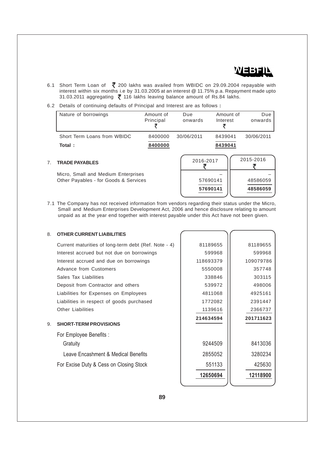

/ ۱

- 6.1 Short Term Loan of  $\bar{\mathfrak{F}}$  200 lakhs was availed from WBIDC on 29.09.2004 repayable with interest within six months i.e by 31.03.2005 at an interest @ 11.75% p.a. Repayment made upto 31.03.2011 aggregating  $\bar{\tau}$  116 lakhs leaving balance amount of Rs.84 lakhs.
- 6.2 Details of continuing defaults of Principal and Interest are as follows **:**

|    | Nature of borrowings                                                         | Amount of<br>Principal | Due<br>onwards | Amount of<br>Interest | Due<br>onwards       |
|----|------------------------------------------------------------------------------|------------------------|----------------|-----------------------|----------------------|
|    | Short Term Loans from WBIDC                                                  | 8400000                | 30/06/2011     | 8439041               | 30/06/2011           |
|    | Total:                                                                       | 8400000                |                | 8439041               |                      |
| 7. | <b>TRADE PAYABLES</b>                                                        |                        | 2016-2017      |                       | 2015-2016            |
|    | Micro, Small and Medium Enterprises<br>Other Payables - for Goods & Services |                        |                | 57690141<br>57690141  | 48586059<br>48586059 |

7.1 The Company has not received information from vendors regarding their status under the Micro, Small and Medium Enterprises Development Act, 2006 and hence disclosure relating to amount unpaid as at the year end together with interest payable under this Act have not been given.

#### 8. **OTHER CURRENT LIABILITIES**

|    | Current maturities of long-term debt (Ref. Note - 4) | 81189655  | 81189655  |
|----|------------------------------------------------------|-----------|-----------|
|    | Interest accrued but not due on borrowings           | 599968    | 599968    |
|    | Interest accrued and due on borrowings               | 118693379 | 109079786 |
|    | <b>Advance from Customers</b>                        | 5550008   | 357748    |
|    | Sales Tax Liabilities                                | 338846    | 303115    |
|    | Deposit from Contractor and others                   | 539972    | 498006    |
|    | Liabilities for Expenses on Employees                | 4811068   | 4925161   |
|    | Liabilities in respect of goods purchased            | 1772082   | 2391447   |
|    | <b>Other Liabilities</b>                             | 1139616   | 2366737   |
|    |                                                      | 214634594 | 201711623 |
| 9. | <b>SHORT-TERM PROVISIONS</b>                         |           |           |
|    | For Employee Benefits :                              |           |           |
|    | Gratuity                                             | 9244509   | 8413036   |
|    | Leave Encashment & Medical Benefits                  | 2855052   | 3280234   |
|    | For Excise Duty & Cess on Closing Stock              | 551133    | 425630    |
|    |                                                      | 12650694  | 12118900  |
|    |                                                      |           |           |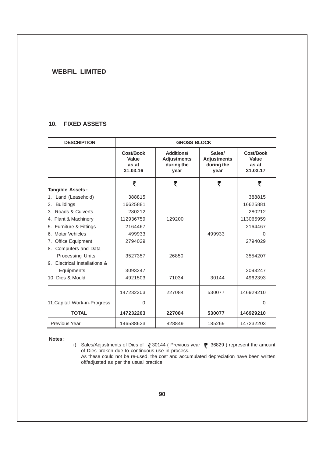### **10. FIXED ASSETS**

| <b>DESCRIPTION</b>            | <b>GROSS BLOCK</b>                      |                                                        |                                                    |                                         |  |  |
|-------------------------------|-----------------------------------------|--------------------------------------------------------|----------------------------------------------------|-----------------------------------------|--|--|
|                               | Cost/Book<br>Value<br>as at<br>31.03.16 | Additions/<br><b>Adjustments</b><br>during the<br>year | Sales/<br><b>Adjustments</b><br>during the<br>year | Cost/Book<br>Value<br>as at<br>31.03.17 |  |  |
|                               | ₹                                       | ₹                                                      | ₹                                                  | ₹                                       |  |  |
| <b>Tangible Assets:</b>       |                                         |                                                        |                                                    |                                         |  |  |
| 1. Land (Leasehold)           | 388815                                  |                                                        |                                                    | 388815                                  |  |  |
| <b>Buildings</b><br>2.        | 16625881                                |                                                        |                                                    | 16625881                                |  |  |
| 3. Roads & Culverts           | 280212                                  |                                                        |                                                    | 280212                                  |  |  |
| 4. Plant & Machinery          | 112936759                               | 129200                                                 |                                                    | 113065959                               |  |  |
| 5. Furniture & Fittings       | 2164467                                 |                                                        |                                                    | 2164467                                 |  |  |
| 6. Motor Vehicles             | 499933                                  |                                                        | 499933                                             | U                                       |  |  |
| 7. Office Equipment           | 2794029                                 |                                                        |                                                    | 2794029                                 |  |  |
| 8. Computers and Data         |                                         |                                                        |                                                    |                                         |  |  |
| <b>Processing Units</b>       | 3527357                                 | 26850                                                  |                                                    | 3554207                                 |  |  |
| 9. Electrical Installations & |                                         |                                                        |                                                    |                                         |  |  |
| Equipments                    | 3093247                                 |                                                        |                                                    | 3093247                                 |  |  |
| 10. Dies & Mould              | 4921503                                 | 71034                                                  | 30144                                              | 4962393                                 |  |  |
|                               | 147232203                               | 227084                                                 | 530077                                             | 146929210                               |  |  |
| 11. Capital Work-in-Progress  | $\Omega$                                |                                                        |                                                    | $\Omega$                                |  |  |
| <b>TOTAL</b>                  | 147232203                               | 227084                                                 | 530077                                             | 146929210                               |  |  |
| Previous Year                 | 146588623                               | 828849                                                 | 185269                                             | 147232203                               |  |  |

#### **Notes :**

i) Sales/Adjustments of Dies of  $\bar{z}$  30144 ( Previous year  $\bar{z}$  36829 ) represent the amount of Dies broken due to continuous use in process.

As these could not be re-used, the cost and accumulated depreciation have been written off/adjusted as per the usual practice.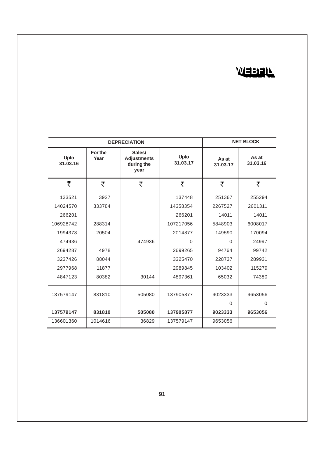# WEBELL

|                  | <b>DEPRECIATION</b> |                                                    | <b>NET BLOCK</b> |                   |                   |
|------------------|---------------------|----------------------------------------------------|------------------|-------------------|-------------------|
| Upto<br>31.03.16 | For the<br>Year     | Sales/<br><b>Adjustments</b><br>during the<br>year | Upto<br>31.03.17 | As at<br>31.03.17 | As at<br>31.03.16 |
| ₹                | ₹                   | ₹                                                  | ₹                | ₹                 | ₹                 |
| 133521           | 3927                |                                                    | 137448           | 251367            | 255294            |
| 14024570         | 333784              |                                                    | 14358354         | 2267527           | 2601311           |
| 266201           |                     |                                                    | 266201           | 14011             | 14011             |
| 106928742        | 288314              |                                                    | 107217056        | 5848903           | 6008017           |
| 1994373          | 20504               |                                                    | 2014877          | 149590            | 170094            |
| 474936           |                     | 474936                                             | $\overline{0}$   | $\Omega$          | 24997             |
| 2694287          | 4978                |                                                    | 2699265          | 94764             | 99742             |
| 3237426          | 88044               |                                                    | 3325470          | 228737            | 289931            |
| 2977968          | 11877               |                                                    | 2989845          | 103402            | 115279            |
| 4847123          | 80382               | 30144                                              | 4897361          | 65032             | 74380             |
| 137579147        | 831810              | 505080                                             | 137905877        | 9023333           | 9653056           |
|                  |                     |                                                    |                  | $\Omega$          | $\Omega$          |
| 137579147        | 831810              | 505080                                             | 137905877        | 9023333           | 9653056           |
| 136601360        | 1014616             | 36829                                              | 137579147        | 9653056           |                   |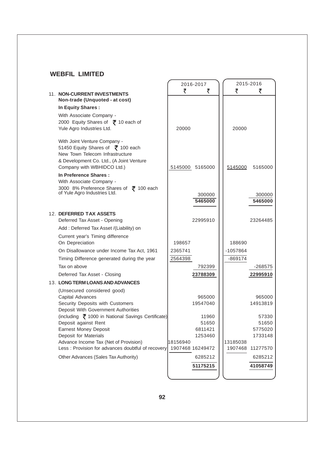|                                                                                                                                                          | 2016-2017          | 2015-2016 |                    |
|----------------------------------------------------------------------------------------------------------------------------------------------------------|--------------------|-----------|--------------------|
| 11. NON-CURRENT INVESTMENTS                                                                                                                              | ₹<br>₹             | ₹         | ₹                  |
| Non-trade (Unquoted - at cost)                                                                                                                           |                    |           |                    |
| In Equity Shares:                                                                                                                                        |                    |           |                    |
| With Associate Company -                                                                                                                                 |                    |           |                    |
| 2000 Equity Shares of $\bar{z}$ 10 each of                                                                                                               |                    |           |                    |
| Yule Agro Industries Ltd.                                                                                                                                | 20000              | 20000     |                    |
| With Joint Venture Company -<br>51450 Equity Shares of $\bar{z}$ 100 each<br>New Town Telecom Infrastructure<br>& Development Co. Ltd., (A Joint Venture |                    |           |                    |
| Company with WBHIDCO Ltd.)                                                                                                                               | 5145000 5165000    | 5145000   | 5165000            |
| In Preference Shares:<br>With Associate Company -                                                                                                        |                    |           |                    |
| 3000 8% Preference Shares of ₹ 100 each                                                                                                                  |                    |           |                    |
| of Yule Agro Industries Ltd.                                                                                                                             | 300000             |           | 300000             |
|                                                                                                                                                          | 5465000            |           | 5465000            |
| 12. DEFERRED TAX ASSETS                                                                                                                                  |                    |           |                    |
| Deferred Tax Asset - Opening                                                                                                                             | 22995910           |           | 23264485           |
| Add: Deferred Tax Asset /(Liability) on                                                                                                                  |                    |           |                    |
| Current year's Timing difference                                                                                                                         |                    |           |                    |
| On Depreciation                                                                                                                                          | 198657             | 188690    |                    |
| On Disallowance under Income Tax Act, 1961                                                                                                               | 2365741            | -1057864  |                    |
| Timing Difference generated during the year                                                                                                              | 2564398            | $-869174$ |                    |
| Tax on above                                                                                                                                             | 792399             |           | $-268575$          |
| Deferred Tax Asset - Closing                                                                                                                             | 23788309           |           | 22995910           |
| 13. LONG TERM LOANS AND ADVANCES                                                                                                                         |                    |           |                    |
| (Unsecured considered good)                                                                                                                              |                    |           |                    |
| Capital Advances<br>Security Deposits with Customers                                                                                                     | 965000<br>19547040 |           | 965000<br>14913819 |
| Deposit With Government Authorities                                                                                                                      |                    |           |                    |
| (including $\bar{\tau}$ 1000 in National Savings Certificate)                                                                                            | 11960              |           | 57330              |
| Deposit against Rent                                                                                                                                     | 51650              |           | 51650              |
| <b>Earnest Money Deposit</b><br>Deposit for Materials                                                                                                    | 6811421<br>1253460 |           | 5775020            |
| Advance Income Tax (Net of Provision)                                                                                                                    | 18156940           | 13185038  | 1733148            |
| Less: Provision for advances doubtful of recovery                                                                                                        | 1907468 16249472   | 1907468   | 11277570           |
| Other Advances (Sales Tax Authority)                                                                                                                     | 6285212            |           | 6285212            |
|                                                                                                                                                          | 51175215           |           | 41058749           |
|                                                                                                                                                          |                    |           |                    |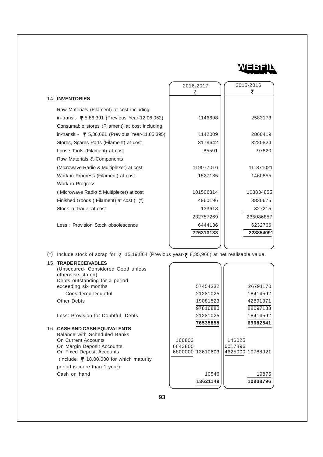## WEBELL

|                                                           | 2016-2017 | 2015-2016<br>₹ |
|-----------------------------------------------------------|-----------|----------------|
| <b>14. INVENTORIES</b>                                    | ₹         |                |
| Raw Materials (Filament) at cost including                |           |                |
| in-transit- $\bar{z}$ 5,86,391 (Previous Year-12,06,052)  | 1146698   | 2583173        |
| Consumable stores (Filament) at cost including            |           |                |
| in-transit - $\bar{z}$ 5,36,681 (Previous Year-11,85,395) | 1142009   | 2860419        |
| Stores, Spares Parts (Filament) at cost                   | 3178642   | 3220824        |
| Loose Tools (Filament) at cost                            | 85591     | 97820          |
| Raw Materials & Components                                |           |                |
| (Microwave Radio & Multiplexer) at cost                   | 119077016 | 111871021      |
| Work in Progress (Filament) at cost                       | 1527185   | 1460855        |
| Work in Progress                                          |           |                |
| (Microwave Radio & Multiplexer) at cost                   | 101506314 | 108834855      |
| Finished Goods (Filament) at cost) (*)                    | 4960196   | 3830675        |
| Stock-in-Trade at cost                                    | 133618    | 327215         |
|                                                           | 232757269 | 235086857      |
| Less: Provision Stock obsolescence                        | 6444136   | 6232766        |
|                                                           | 226313133 | 228854091      |
|                                                           |           |                |

(\*) Include stock of scrap for  $\bar{z}$  15,19,864 (Previous year- $\bar{z}$  8,35,966) at net realisable value.

#### 15. **TRADE RECEIVABLES**

| (Unsecured- Considered Good unless<br>otherwise stated)<br>Debts outstanding for a period |          |          |
|-------------------------------------------------------------------------------------------|----------|----------|
| exceeding six months                                                                      | 57454332 | 26791170 |
| <b>Considered Doubtful</b>                                                                | 21281025 | 18414592 |
| Other Debts                                                                               | 19081523 | 42891371 |
|                                                                                           | 97816880 | 88097133 |
| Less: Provision for Doubtful Debts                                                        | 21281025 | 18414592 |
|                                                                                           | 76535855 | 69682541 |
| <b>16. CASH AND CASH EQUIVALENTS</b>                                                      |          |          |
| <b>Balance with Scheduled Banks</b>                                                       |          |          |
| On Current Accounts                                                                       | 166803   | 146025   |

On Margin Deposit Accounts On Fixed Deposit Accounts (include  $\bar{\tau}$  18,00,000 for which maturity period is more than 1 year) Cash on hand

|                   | 19081523<br>97816880<br>21281025<br>76535855 |                   | 42891371<br>88097133<br>18414592<br>69682541 |
|-------------------|----------------------------------------------|-------------------|----------------------------------------------|
| 166803<br>6643800 | 6800000 13610603                             | 146025<br>6017896 | 4625000 10788921                             |
|                   | 10546<br>13621149                            |                   | 19875<br>10808796                            |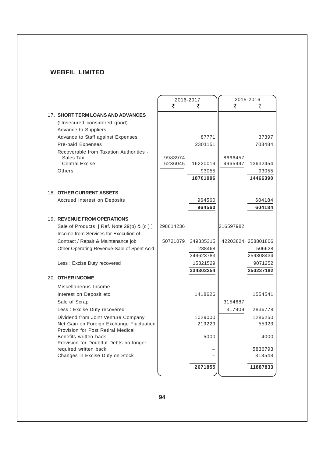|                                                                 | 2016-2017 |           |           | 2015-2016          |
|-----------------------------------------------------------------|-----------|-----------|-----------|--------------------|
|                                                                 | ₹         | ₹         | ₹         | ₹                  |
| <b>17. SHORT TERM LOANS AND ADVANCES</b>                        |           |           |           |                    |
| (Unsecured considered good)                                     |           |           |           |                    |
| Advance to Suppliers                                            |           |           |           |                    |
| Advance to Staff against Expenses                               |           | 87771     |           | 37397              |
| Pre-paid Expenses                                               |           | 2301151   |           | 703484             |
| Recoverable from Taxation Authorities -                         |           |           |           |                    |
| Sales Tax                                                       | 9983974   |           | 8666457   |                    |
| <b>Central Excise</b>                                           | 6236045   | 16220019  | 4965997   | 13632454           |
| Others                                                          |           | 93055     |           | 93055              |
|                                                                 |           | 18701996  |           | 14466390           |
| <b>18. OTHER CURRENT ASSETS</b>                                 |           |           |           |                    |
| Accrued Interest on Deposits                                    |           | 964560    |           | 604184             |
|                                                                 |           | 964560    |           | 604184             |
|                                                                 |           |           |           |                    |
| <b>19. REVENUE FROM OPERATIONS</b>                              |           |           |           |                    |
| Sale of Products [ Ref. Note 29(b) & (c ) ]                     | 298614236 |           | 216597982 |                    |
| Income from Services for Execution of                           |           |           |           |                    |
| Contract / Repair & Maintenance job                             | 50721079  | 349335315 |           | 42203824 258801806 |
| Other Operating Revenue-Sale of Spent Acid                      |           | 288468    |           | 506628             |
|                                                                 |           | 349623783 |           | 259308434          |
| Less : Excise Duty recovered                                    |           | 15321529  |           | 9071252            |
|                                                                 |           | 334302254 |           | 250237182          |
| 20. OTHER INCOME                                                |           |           |           |                    |
| Miscellaneous Income                                            |           |           |           |                    |
| Interest on Deposit etc.                                        |           | 1418626   |           | 1554541            |
| Sale of Scrap                                                   |           |           | 3154687   |                    |
| Less : Excise Duty recovered                                    |           |           | 317909    | 2836778            |
| Dividend from Joint Venture Company                             |           | 1029000   |           | 1286250            |
| Net Gain on Foreign Exchange Fluctuation                        |           | 219229    |           | 55923              |
| Provision for Post Retiral Medical                              |           |           |           |                    |
| Benefits written back<br>Provision for Doubtful Debts no longer |           | 5000      |           | 4000               |
| required written back                                           |           |           |           | 5836793            |
| Changes in Excise Duty on Stock                                 |           |           |           | 313548             |
|                                                                 |           |           |           |                    |
|                                                                 |           | 2671855   |           | 11887833           |

**94**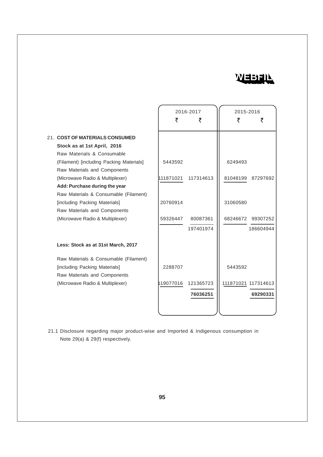## W333

#### 21. **COST OF MATERIALS CONSUMED Stock as at 1st April, 2016**

Raw Materials & Consumable (Filament) [including Packing Materials] Raw Materials and Components (Microwave Radio & Multiplexer) **Add: Purchase during the year** Raw Materials & Consumable (Filament) [including Packing Materials]

Raw Materials and Components (Microwave Radio & Multiplexer)

**Less: Stock as at 31st March, 2017**

Raw Materials & Consumable (Filament) [including Packing Materials] Raw Materials and Components (Microwave Radio & Multiplexer)

|          | 2016-2017                      | 2015-2016 |                                |  |  |
|----------|--------------------------------|-----------|--------------------------------|--|--|
| ₹        | ₹                              | ₹         | ₹                              |  |  |
|          |                                |           |                                |  |  |
| 5443592  |                                | 6249493   |                                |  |  |
|          | 111871021 117314613            |           | 81048199 87297692              |  |  |
| 20760914 |                                | 31060580  |                                |  |  |
|          | 59326447 80087361<br>197401974 |           | 68246672 99307252<br>186604944 |  |  |
|          |                                |           |                                |  |  |
| 2288707  |                                | 5443592   |                                |  |  |
|          | 119077016 121365723            |           | 111871021 117314613            |  |  |
|          | 76036251                       |           | 69290331                       |  |  |

21.1 Disclosure regarding major product-wise and Imported & Indigenous consumption in Note 29(a) & 29(f) respectively.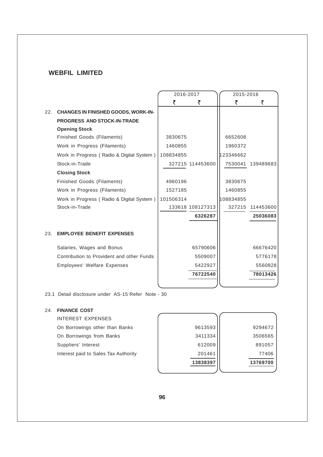|     |                                            | 2016-2017 |                  | 2015-2016 |                   |
|-----|--------------------------------------------|-----------|------------------|-----------|-------------------|
|     |                                            | ₹         | ₹                | ₹         | ₹                 |
| 22. | <b>CHANGES IN FINISHED GOODS, WORK-IN-</b> |           |                  |           |                   |
|     | <b>PROGRESS AND STOCK-IN-TRADE</b>         |           |                  |           |                   |
|     | <b>Opening Stock</b>                       |           |                  |           |                   |
|     | <b>Finished Goods (Filaments)</b>          | 3830675   |                  | 6652608   |                   |
|     | Work in Progress (Filaments)               | 1460855   |                  | 1960372   |                   |
|     | Work in Progress (Radio & Digital System)  | 108834855 |                  | 123346662 |                   |
|     | Stock-in-Trade                             |           | 327215 114453600 |           | 7530041 139489683 |
|     | <b>Closing Stock</b>                       |           |                  |           |                   |
|     | Finished Goods (Filaments)                 | 4960196   |                  | 3830675   |                   |
|     | Work in Progress (Filaments)               | 1527185   |                  | 1460855   |                   |
|     | Work in Progress (Radio & Digital System)  | 101506314 |                  | 108834855 |                   |
|     | Stock-in-Trade                             |           | 133618 108127313 | 327215    | 114453600         |
|     |                                            |           | 6326287          |           | 25036083          |
| 23. | <b>EMPLOYEE BENEFIT EXPENSES</b>           |           |                  |           |                   |
|     | Salaries, Wages and Bonus                  |           | 65790606         |           | 66676420          |
|     | Contribution to Provident and other Funds  |           | 5509007          |           | 5776178           |
|     | Employees' Welfare Expenses                |           | 5422927          |           | 5560828           |
|     |                                            |           | 76722540         |           | 78013426          |
|     |                                            |           |                  |           |                   |

23.1 Detail disclosure under AS-15 Refer Note - 30

#### 24. **FINANCE COST**

| <b>INTEREST EXPENSES</b>             |          |          |
|--------------------------------------|----------|----------|
| On Borrowings other than Banks       | 9613593  | 9294672  |
| On Borrowings from Banks             | 3411334  | 3506565  |
| Suppliers' Interest                  | 612009   | 891057   |
| Interest paid to Sales Tax Authority | 201461   | 77406    |
|                                      | 13838397 | 13769700 |
|                                      |          |          |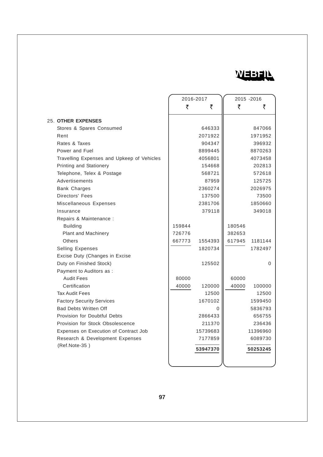

|                                       |                                            |        | 2016-2017 |        | 2015 - 2016 |
|---------------------------------------|--------------------------------------------|--------|-----------|--------|-------------|
|                                       |                                            | ₹      | ₹         | ₹      | ₹           |
| 25. OTHER EXPENSES                    |                                            |        |           |        |             |
| Stores & Spares Consumed              |                                            |        | 646333    |        | 847066      |
| Rent                                  |                                            |        | 2071922   |        | 1971952     |
| Rates & Taxes                         |                                            |        | 904347    |        | 396932      |
| Power and Fuel                        |                                            |        | 8899445   |        | 8870263     |
|                                       | Travelling Expenses and Upkeep of Vehicles |        | 4056801   |        | 4073458     |
| <b>Printing and Stationery</b>        |                                            |        | 154668    |        | 202813      |
| Telephone, Telex & Postage            |                                            |        | 568721    |        | 572618      |
| Advertisements                        |                                            |        | 87959     |        | 125725      |
| <b>Bank Charges</b>                   |                                            |        | 2360274   |        | 2026975     |
| Directors' Fees                       |                                            |        | 137500    |        | 73500       |
| Miscellaneous Expenses                |                                            |        | 2381706   |        | 1850660     |
| Insurance                             |                                            |        | 379118    |        | 349018      |
| Repairs & Maintenance:                |                                            |        |           |        |             |
| <b>Building</b>                       |                                            | 159844 |           | 180546 |             |
| <b>Plant and Machinery</b>            |                                            | 726776 |           | 382653 |             |
| Others                                |                                            | 667773 | 1554393   | 617945 | 1181144     |
| Selling Expenses                      |                                            |        | 1820734   |        | 1782497     |
| Excise Duty (Changes in Excise        |                                            |        |           |        |             |
| Duty on Finished Stock)               |                                            |        | 125502    |        | $\Omega$    |
| Payment to Auditors as :              |                                            |        |           |        |             |
| <b>Audit Fees</b>                     |                                            | 80000  |           | 60000  |             |
| Certification                         |                                            | 40000  | 120000    | 40000  | 100000      |
| <b>Tax Audit Fees</b>                 |                                            |        | 12500     |        | 12500       |
| <b>Factory Security Services</b>      |                                            |        | 1670102   |        | 1599450     |
| <b>Bad Debts Written Off</b>          |                                            |        | O         |        | 5836793     |
| Provision for Doubtful Debts          |                                            |        | 2866433   |        | 656755      |
| Provision for Stock Obsolescence      |                                            |        | 211370    |        | 236436      |
| Expenses on Execution of Contract Job |                                            |        | 15739683  |        | 11396960    |
| Research & Development Expenses       |                                            |        | 7177859   |        | 6089730     |
| (Ref.Note-35)                         |                                            |        | 53947370  |        | 50253245    |
|                                       |                                            |        |           |        |             |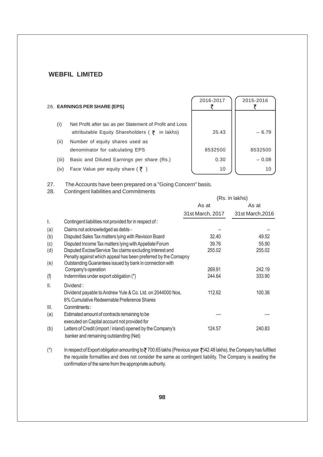#### 26. **EARNINGS PER SHARE (EPS)**

- (i) Net Profit after tax as per Statement of Profit and Loss attributable Equity Shareholders ( $\xi$  in lakhs)
- (ii) Number of equity shares used as denominator for calculating EPS
- (iii) Basic and Diluted Earnings per share (Rs.)
- (iv) Face Value per equity share ( $\bar{z}$ )

| 2016-2017<br>₹ | 2015-2016<br>₹ |
|----------------|----------------|
|                |                |
| 25.43          | $-6.79$        |
| 8532500        | 8532500        |
| 0.30           | $-0.08$        |
| 10             | 10             |

 $\lambda$  in large  $\lambda$ 

- 27. The Accounts have been prepared on a "Going Concern" basis.
- 28. Contingent liabilities and Commitments

|                                                           | (Rs. in lakhs)                                                                                                                                                                                                                                                     |                                                                                                                              |  |
|-----------------------------------------------------------|--------------------------------------------------------------------------------------------------------------------------------------------------------------------------------------------------------------------------------------------------------------------|------------------------------------------------------------------------------------------------------------------------------|--|
|                                                           | As at                                                                                                                                                                                                                                                              | As at                                                                                                                        |  |
|                                                           | 31st March, 2017                                                                                                                                                                                                                                                   | 31st March, 2016                                                                                                             |  |
| Contingent liabilities not provided for in respect of:    |                                                                                                                                                                                                                                                                    |                                                                                                                              |  |
| Claims not acknowledged as debts -                        |                                                                                                                                                                                                                                                                    |                                                                                                                              |  |
| Disputed Sales Tax matters lying with Revision Board      | 32.40                                                                                                                                                                                                                                                              | 49.52                                                                                                                        |  |
| Disputed Income Tax matters lying with Appellate Forum    | 39.76                                                                                                                                                                                                                                                              | 55.90                                                                                                                        |  |
| Disputed Excise/Service Tax claims excluding Interest and | 255.02                                                                                                                                                                                                                                                             | 255.02                                                                                                                       |  |
|                                                           |                                                                                                                                                                                                                                                                    |                                                                                                                              |  |
|                                                           |                                                                                                                                                                                                                                                                    |                                                                                                                              |  |
| Company's operation                                       | 269.91                                                                                                                                                                                                                                                             | 242.19                                                                                                                       |  |
| Indemnities under export obligation (*)                   | 244.64                                                                                                                                                                                                                                                             | 333.90                                                                                                                       |  |
| Dividend:                                                 |                                                                                                                                                                                                                                                                    |                                                                                                                              |  |
|                                                           | 112.62                                                                                                                                                                                                                                                             | 100.36                                                                                                                       |  |
| 6% Cumulative Redeemable Preference Shares                |                                                                                                                                                                                                                                                                    |                                                                                                                              |  |
| Commitments:                                              |                                                                                                                                                                                                                                                                    |                                                                                                                              |  |
|                                                           |                                                                                                                                                                                                                                                                    |                                                                                                                              |  |
|                                                           |                                                                                                                                                                                                                                                                    |                                                                                                                              |  |
|                                                           | 124.57                                                                                                                                                                                                                                                             | 240.83                                                                                                                       |  |
|                                                           |                                                                                                                                                                                                                                                                    |                                                                                                                              |  |
|                                                           | Outstanding Guarantees issued by bank in connection with<br>Estimated amount of contracts remaining to be<br>executed on Capital account not provided for<br>Letters of Credit (import / inland) opened by the Company's<br>banker and remaining outstanding (Net) | Penalty against which appeal has been preferred by the Comapny<br>Dividend payable to Andrew Yule & Co. Ltd. on 2044000 Nos. |  |

(\*) In respect of Export obligation amounting to  $\bar{\tau}$  700.65 lakhs (Previous year  $\bar{\tau}$ 342.48 lakhs), the Company has fulfilled the requisite formalities and does not consider the same as contingent liability. The Company is awaiting the confirmation of the same from the appropriate authority.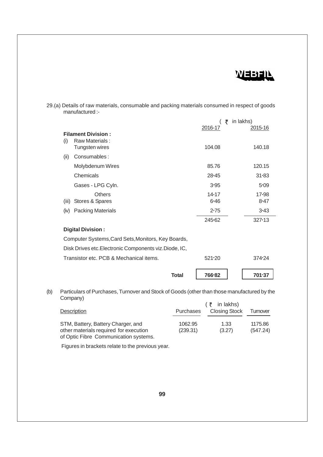

29.(a) Details of raw materials, consumable and packing materials consumed in respect of goods manufactured :-

|       |                                                        | ₹          | in lakhs)  |
|-------|--------------------------------------------------------|------------|------------|
|       | <b>Filament Division:</b>                              | 2016-17    | 2015-16    |
| (i)   | Raw Materials:                                         |            |            |
|       | Tungsten wires                                         | 104.08     | 140.18     |
| (ii)  | Consumables:                                           |            |            |
|       | Molybdenum Wires                                       | 85.76      | 120.15     |
|       | Chemicals                                              | $28 - 45$  | $31 - 83$  |
|       | Gases - LPG Cyln.                                      | $3 - 95$   | 5.09       |
|       | <b>Others</b>                                          | $14 - 17$  | $17 - 98$  |
| (iii) | Stores & Spares                                        | $6 - 46$   | $8 - 47$   |
| (iv)  | <b>Packing Materials</b>                               | $2 - 75$   | $3 - 43$   |
|       |                                                        | 245-62     | $327 - 13$ |
|       | <b>Digital Division:</b>                               |            |            |
|       | Computer Systems, Card Sets, Monitors, Key Boards,     |            |            |
|       | Disk Drives etc. Electronic Components viz. Diode, IC, |            |            |
|       | Transistor etc. PCB & Mechanical items.                | $521 - 20$ | 374.24     |
|       | <b>Total</b>                                           | 766-82     | 701.37     |

(b) Particulars of Purchases, Turnover and Stock of Goods (other than those manufactured by the Company)  $\sqrt{2}$  in lakehold

| Description                                                                  | Purchases           | $(3 \times 1)$ in lakhs)<br>Closing Stock | Turnover            |
|------------------------------------------------------------------------------|---------------------|-------------------------------------------|---------------------|
| STM, Battery, Battery Charger, and<br>other materials required for execution | 1062.95<br>(239.31) | 1.33<br>(3.27)                            | 1175.86<br>(547.24) |
| of Optic Fibre Communication systems.                                        |                     |                                           |                     |

Figures in brackets relate to the previous year.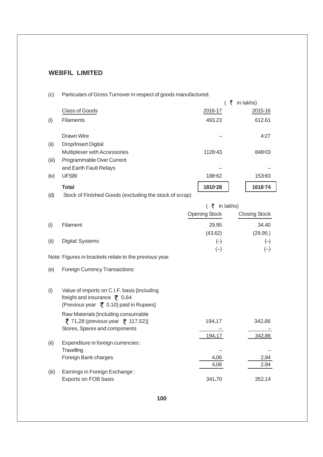| (c)   | Particulars of Gross Turnover in respect of goods manufactured. |            |                |  |  |  |
|-------|-----------------------------------------------------------------|------------|----------------|--|--|--|
|       |                                                                 |            | ₹<br>in lakhs) |  |  |  |
|       | Class of Goods                                                  | 2016-17    | 2015-16        |  |  |  |
| (i)   | <b>Filaments</b>                                                | 493.23     | 612.61         |  |  |  |
|       | Drawn Wire                                                      |            | 4.27           |  |  |  |
| (ii)  | Drop/Insert Digital                                             |            |                |  |  |  |
|       | Multiplexer with Accessories                                    | 1128-43    | 848-03         |  |  |  |
| (iii) | Programmable Over Current                                       |            |                |  |  |  |
|       | and Earth Fault Relays                                          |            |                |  |  |  |
| (iv)  | <b>UFSBI</b>                                                    | $188 - 62$ | $153 - 83$     |  |  |  |
|       | Total                                                           | 1810-28    | 1618-74        |  |  |  |
| (d)   | Stock of Finished Goods (excluding the stock of scrap)          |            |                |  |  |  |

|       |                                                                                                                                            | $($ $\bar{\zeta}$ in lakhs) |                      |
|-------|--------------------------------------------------------------------------------------------------------------------------------------------|-----------------------------|----------------------|
|       |                                                                                                                                            | <b>Opening Stock</b>        | <b>Closing Stock</b> |
| (i)   | Filament                                                                                                                                   | 29.95                       | 34.40                |
|       |                                                                                                                                            | (43.62)                     | (29.95)              |
| (ii)  | <b>Digital Systems</b>                                                                                                                     | $(\rightarrow)$             | $(-)$                |
|       |                                                                                                                                            | $(-)$                       | $(-)$                |
|       | Note: Figures in brackets relate to the previous year.                                                                                     |                             |                      |
| (e)   | Foreign Currency Transactions:                                                                                                             |                             |                      |
| (i)   | Value of imports on C.I.F. basis [including]<br>freight and insurance $\bar{\xi}$ 0.64<br>(Previous year $\bar{\xi}$ 0.10) paid in Rupees] |                             |                      |
|       | Raw Materials [including consumable<br>₹ 71.28 (previous year ₹ 117.52)]<br>Stores, Spares and components                                  | 194.17<br>194.17            | 342.86<br>342.86     |
| (ii)  | Expenditure in foreign currencies :                                                                                                        |                             |                      |
|       | Travelling                                                                                                                                 |                             |                      |
|       | Foreign Bank charges                                                                                                                       | 4.06                        | 2.94                 |
| (iii) | Earnings in Foreign Exchange:                                                                                                              | 4.06                        | 2.94                 |
|       | Exports on FOB basis                                                                                                                       | 341.70                      | 352.14               |
|       | 100                                                                                                                                        |                             |                      |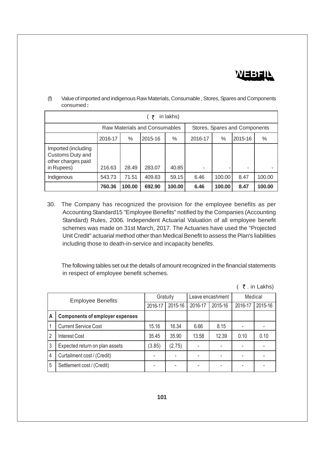

(f) Value of imported and indigenous Raw Materials, Consumable , Stores, Spares and Components consumed **:**

| in lakhs)<br>ヺ                                                              |         |        |         |        |         |        |         |        |
|-----------------------------------------------------------------------------|---------|--------|---------|--------|---------|--------|---------|--------|
| Raw Materials and Consumables<br>Stores, Spares and Components              |         |        |         |        |         |        |         |        |
|                                                                             | 2016-17 | %      | 2015-16 | %      | 2016-17 | %      | 2015-16 | %      |
| Imported (including<br>Customs Duty and<br>other charges paid<br>in Rupees) | 216.63  | 28.49  | 283.07  | 40.85  |         |        | ۰       |        |
| Indigenous                                                                  | 543.73  | 71.51  | 409.83  | 59.15  | 6.46    | 100.00 | 8.47    | 100.00 |
|                                                                             | 760.36  | 100.00 | 692.90  | 100.00 | 6.46    | 100.00 | 8.47    | 100.00 |

30. The Company has recognized the provision for the employee benefits as per Accounting Standard15 "Employee Benefits" notified by the Companies (Accounting Standard) Rules, 2006. Independent Actuarial Valuation of all employee benefit schemes was made on 31st March, 2017. The Actuaries have used the "Projected Unit Credit" actuarial method other than Medical Benefit to assess the Plan's liabilities including those to death-in-service and incapacity benefits.

The following tables set out the details of amount recognized in the financial statements in respect of employee benefit schemes.

 $($   $\bar{z}$ . in Lakhs)

| <b>Employee Benefits</b> |                                        | Gratuity |         | Leave encashment |         | Medical |         |
|--------------------------|----------------------------------------|----------|---------|------------------|---------|---------|---------|
|                          |                                        | 2016-17  | 2015-16 | 2016-17          | 2015-16 | 2016-17 | 2015-16 |
| ١A                       | <b>Components of employer expenses</b> |          |         |                  |         |         |         |
| $\overline{1}$           | <b>Current Service Cost</b>            | 15.16    | 16.34   | 6.66             | 8.15    |         |         |
| 2                        | <b>Interest Cost</b>                   | 35.45    | 35.90   | 13.58            | 12.39   | 0.10    | 0.10    |
| 3                        | Expected return on plan assets         | (3.85)   | (2.75)  |                  |         |         |         |
| 4                        | Curtailment cost / (Credit)            |          |         |                  |         |         |         |
| 5                        | Settlement cost / (Credit)             |          |         |                  |         |         |         |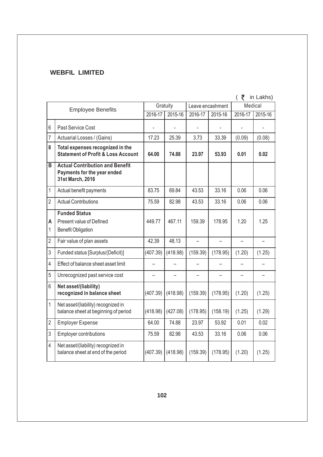|                   | ₹<br>in Lakns)                                                                            |                          |          |                          |                  |                          |         |  |  |
|-------------------|-------------------------------------------------------------------------------------------|--------------------------|----------|--------------------------|------------------|--------------------------|---------|--|--|
|                   | <b>Employee Benefits</b>                                                                  |                          | Gratuity |                          | Leave encashment | Medical                  |         |  |  |
|                   |                                                                                           | 2016-17                  | 2015-16  | 2016-17                  | 2015-16          | 2016-17                  | 2015-16 |  |  |
| $6\,$             | Past Service Cost                                                                         |                          |          |                          |                  |                          |         |  |  |
| $\overline{7}$    | Actuarial Losses / (Gains)                                                                | 17.23                    | 25.39    | 3.73                     | 33.39            | (0.09)                   | (0.08)  |  |  |
| 8                 | Total expenses recognized in the<br><b>Statement of Profit &amp; Loss Account</b>         | 64.00                    | 74.88    | 23.97                    | 53.93            | 0.01                     | 0.02    |  |  |
| $\overline{B}$    | <b>Actual Contribution and Benefit</b><br>Payments for the year ended<br>31st March, 2016 |                          |          |                          |                  |                          |         |  |  |
| $\mathbf{1}$      | Actual benefit payments                                                                   | 83.75                    | 69.84    | 43.53                    | 33.16            | 0.06                     | 0.06    |  |  |
| $\overline{2}$    | <b>Actual Contributions</b>                                                               | 75.59                    | 82.98    | 43.53                    | 33.16            | 0.06                     | 0.06    |  |  |
| A<br>$\mathbf{1}$ | <b>Funded Status</b><br>Present value of Defined<br><b>Benefit Obligation</b>             | 449.77                   | 467.11   | 159.39                   | 178.95           | 1.20                     | 1.25    |  |  |
| $\overline{2}$    | Fair value of plan assets                                                                 | 42.39                    | 48.13    | $\overline{\phantom{0}}$ |                  | $\overline{\phantom{0}}$ |         |  |  |
| 3                 | Funded status [Surplus/(Deficit)]                                                         | (407.39)                 | (418.98) | (159.39)                 | (178.95)         | (1.20)                   | (1.25)  |  |  |
| $\overline{4}$    | Effect of balance sheet asset limit                                                       |                          |          |                          |                  |                          |         |  |  |
| 5                 | Unrecognized past service cost                                                            | $\overline{\phantom{0}}$ |          | $\overline{\phantom{0}}$ |                  |                          |         |  |  |
| $6\phantom{a}$    | Net asset/(liability)<br>recognized in balance sheet                                      | (407.39)                 | (418.98) | (159.39)                 | (178.95)         | (1.20)                   | (1.25)  |  |  |
| $\mathbf{1}$      | Net asset/(liability) recognized in<br>balance sheet at beginning of period               | (418.98)                 | (427.08) | (178.95)                 | (158.19)         | (1.25)                   | (1.29)  |  |  |
| $\overline{2}$    | <b>Employer Expense</b>                                                                   | 64.00                    | 74.88    | 23.97                    | 53.92            | 0.01                     | 0.02    |  |  |
| 3                 | <b>Employer contributions</b>                                                             | 75.59                    | 82.98    | 43.53                    | 33.16            | 0.06                     | 0.06    |  |  |
| $\overline{4}$    | Net asset/(liability) recognized in<br>balance sheet at end of the period                 | (407.39)                 | (418.98) | (159.39)                 | (178.95)         | (1.20)                   | (1.25)  |  |  |

 $\ell$  **R**  $\ell$  in Lakhs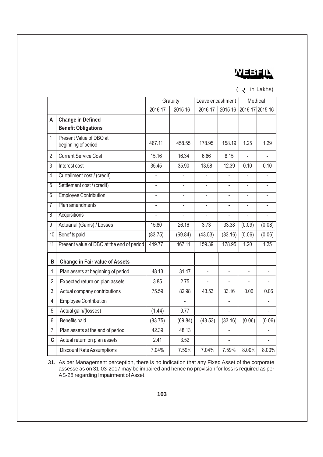

## $($   $\bar{\tau}$  in Lakhs)

|                 |                                                        |                | Gratuity       | Leave encashment         |                | Medical                  |                          |
|-----------------|--------------------------------------------------------|----------------|----------------|--------------------------|----------------|--------------------------|--------------------------|
|                 |                                                        | $2016 - 17$    | 2015-16        | 2016-17                  | 2015-16        |                          | 2016-17 2015-16          |
| A               | <b>Change in Defined</b><br><b>Benefit Obligations</b> |                |                |                          |                |                          |                          |
| $\mathbf{1}$    | Present Value of DBO at<br>beginning of period         | 467.11         | 458.55         | 178.95                   | 158.19         | 1.25                     | 1.29                     |
| $\overline{2}$  | <b>Current Service Cost</b>                            | 15.16          | 16.34          | 6.66                     | 8.15           | $\overline{a}$           |                          |
| 3               | Interest cost                                          | 35.45          | 35.90          | 13.58                    | 12.39          | 0.10                     | 0.10                     |
| 4               | Curtailment cost / (credit)                            | $\overline{a}$ | $\overline{a}$ | $\overline{\phantom{0}}$ | $\overline{a}$ | $\overline{a}$           |                          |
| $\overline{5}$  | Settlement cost / (credit)                             | $\overline{a}$ | $\overline{a}$ |                          | $\overline{a}$ | $\overline{a}$           |                          |
| 6               | <b>Employee Contribution</b>                           | $\overline{a}$ | $\overline{a}$ | $\overline{a}$           | $\overline{a}$ | $\overline{a}$           | $\overline{a}$           |
| 7               | Plan amendments                                        | $\overline{a}$ | $\overline{a}$ | $\overline{a}$           | $\overline{a}$ | $\overline{a}$           | $\overline{a}$           |
| ष्ठ             | <b>Acquisitions</b>                                    | $\overline{a}$ | $\overline{a}$ | $\overline{a}$           | $\overline{a}$ | Ξ                        | $\overline{a}$           |
| $\overline{9}$  | Actuarial (Gains) / Losses                             | 15.80          | 26.16          | 3.73                     | 33.38          | (0.09)                   | (0.08)                   |
| 10              | Benefits paid                                          | (83.75)        | (69.84)        | (43.53)                  | (33.16)        | (0.06)                   | (0.06)                   |
| $\overline{11}$ | Present value of DBO at the end of period              | 449.77         | 467.11         | 159.39                   | 178.95         | 1.20                     | 1.25                     |
| B               | <b>Change in Fair value of Assets</b>                  |                |                |                          |                |                          |                          |
| 1               | Plan assets at beginning of period                     | 48.13          | 31.47          | $\overline{\phantom{0}}$ | $\overline{a}$ | $\overline{a}$           | $\overline{a}$           |
| $\overline{2}$  | Expected return on plan assets                         | 3.85           | 2.75           | $\overline{a}$           | $\overline{a}$ | $\overline{\phantom{0}}$ | $\overline{\phantom{0}}$ |
| 3               | Actual company contributions                           | 75.59          | 82.98          | 43.53                    | 33.16          | 0.06                     | 0.06                     |
| $\overline{4}$  | <b>Employee Contribution</b>                           |                |                |                          |                |                          | $\overline{\phantom{0}}$ |
| 5               | Actual gain/(losses)                                   | (1.44)         | 0.77           |                          |                |                          |                          |
| 6               | Benefits paid                                          | (83.75)        | (69.84)        | (43.53)                  | (33.16)        | (0.06)                   | (0.06)                   |
| 7               | Plan assets at the end of period                       | 42.39          | 48.13          |                          | $\overline{a}$ |                          | $\overline{a}$           |
| $\mathbf c$     | Actual return on plan assets                           | 2.41           | 3.52           |                          | $\overline{a}$ |                          | $\overline{\phantom{0}}$ |
|                 | <b>Discount Rate Assumptions</b>                       | 7.04%          | 7.59%          | 7.04%                    | 7.59%          | 8.00%                    | 8.00%                    |

31. As per Management perception, there is no indication that any Fixed Asset of the corporate assesse as on 31-03-2017 may be impaired and hence no provision for loss is required as per AS-28 regarding Impairment of Asset.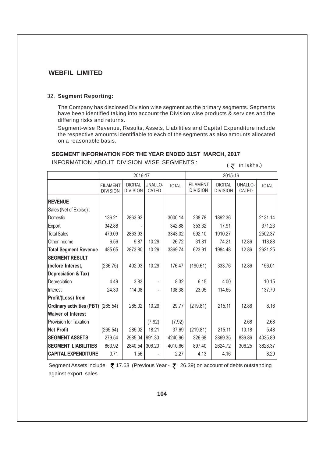#### 32. **Segment Reporting:**

The Company has disclosed Division wise segment as the primary segments. Segments have been identified taking into account the Division wise products & services and the differing risks and returns.

Segment-wise Revenue, Results, Assets, Liabilities and Capital Expenditure include the respective amounts identifiable to each of the segments as also amounts allocated on a reasonable basis.

#### **SEGMENT INFORMATION FOR THE YEAR ENDED 31ST MARCH, 2017**

INFORMATION ABOUT DIVISION WISE SEGMENTS :

 $($   $\bar{z}$  in lakhs.)

|                                  | 2016-17                            |                                   |                         |              | 2015-16                            |                                   |                         |              |
|----------------------------------|------------------------------------|-----------------------------------|-------------------------|--------------|------------------------------------|-----------------------------------|-------------------------|--------------|
|                                  | <b>FILAMENT</b><br><b>DIVISION</b> | <b>DIGITAL</b><br><b>DIVISION</b> | UNALLO-<br><b>CATED</b> | <b>TOTAL</b> | <b>FILAMENT</b><br><b>DIVISION</b> | <b>DIGITAL</b><br><b>DIVISION</b> | UNALLO-<br><b>CATED</b> | <b>TOTAL</b> |
| <b>REVENUE</b>                   |                                    |                                   |                         |              |                                    |                                   |                         |              |
| Sales (Net of Excise):           |                                    |                                   |                         |              |                                    |                                   |                         |              |
| Domestic                         | 136.21                             | 2863.93                           |                         | 3000.14      | 238.78                             | 1892.36                           |                         | 2131.14      |
| Export                           | 342.88                             |                                   |                         | 342.88       | 353.32                             | 17.91                             |                         | 371.23       |
| <b>Total Sales</b>               | 479.09                             | 2863.93                           |                         | 3343.02      | 592.10                             | 1910.27                           |                         | 2502.37      |
| Other Income                     | 6.56                               | 9.87                              | 10.29                   | 26.72        | 31.81                              | 74.21                             | 12.86                   | 118.88       |
| <b>Total Segment Revenue</b>     | 485.65                             | 2873.80                           | 10.29                   | 3369.74      | 623.91                             | 1984.48                           | 12.86                   | 2621.25      |
| <b>ISEGMENT RESULT</b>           |                                    |                                   |                         |              |                                    |                                   |                         |              |
| (before Interest,                | (236.75)                           | 402.93                            | 10.29                   | 176.47       | (190.61)                           | 333.76                            | 12.86                   | 156.01       |
| Depreciation & Tax)              |                                    |                                   |                         |              |                                    |                                   |                         |              |
| Depreciation                     | 4.49                               | 3.83                              |                         | 8.32         | 6.15                               | 4.00                              |                         | 10.15        |
| Interest                         | 24.30                              | 114.08                            |                         | 138.38       | 23.05                              | 114.65                            |                         | 137.70       |
| Profit/(Loss) from               |                                    |                                   |                         |              |                                    |                                   |                         |              |
| <b>Ordinary activities (PBT)</b> | (265.54)                           | 285.02                            | 10.29                   | 29.77        | (219.81)                           | 215.11                            | 12.86                   | 8.16         |
| <b>Waiver of Interest</b>        |                                    |                                   |                         |              |                                    |                                   |                         |              |
| Provision for Taxation           |                                    |                                   | (7.92)                  | (7.92)       |                                    |                                   | 2.68                    | 2.68         |
| Net Profit                       | (265.54)                           | 285.02                            | 18.21                   | 37.69        | (219.81)                           | 215.11                            | 10.18                   | 5.48         |
| <b>SEGMENT ASSETS</b>            | 279.54                             | 2985.04                           | 991.30                  | 4240.96      | 326.68                             | 2869.35                           | 839.86                  | 4035.89      |
| <b>SEGMENT LIABILITIES</b>       | 863.92                             | 2840.54                           | 306.20                  | 4010.66      | 897.40                             | 2624.72                           | 306.25                  | 3828.37      |
| <b>CAPITAL EXPENDITURE</b>       | 0.71                               | 1.56                              |                         | 2.27         | 4.13                               | 4.16                              |                         | 8.29         |

Segment Assets include  $\bar{\xi}$  17.63 (Previous Year -  $\bar{\xi}$  26.39) on account of debts outstanding against export sales.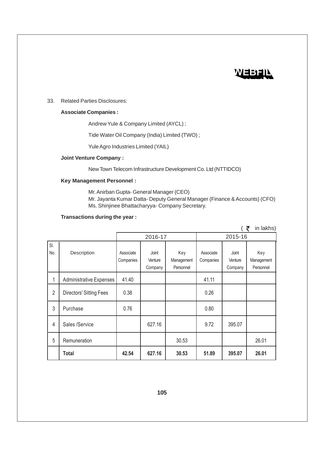

#### 33. Related Parties Disclosures:

#### **Associate Companies :**

Andrew Yule & Company Limited (AYCL) ;

Tide Water Oil Company (India) Limited (TWO) ;

Yule Agro Industries Limited (YAIL)

#### **Joint Venture Company :**

New Town Telecom Infrastructure Development Co. Ltd (NTTIDCO)

#### **Key Management Personnel :**

Mr. Anirban Gupta- General Manager (CEO)

Mr. Jayanta Kumar Datta- Deputy General Manager (Finance & Accounts) (CFO) Ms. Shinjinee Bhattacharyya- Company Secretary.

#### **Transactions during the year :**

|                | $\sqrt{ }$<br>$11.1$ $10.1$ $10.7$ |           |         |            |           |         |            |  |
|----------------|------------------------------------|-----------|---------|------------|-----------|---------|------------|--|
|                |                                    |           | 2016-17 |            |           | 2015-16 |            |  |
| SI.            |                                    |           |         |            |           |         |            |  |
| No.            | Description                        | Associate | Joint   | Key        | Associate | Joint   | Key        |  |
|                |                                    | Companies | Venture | Management | Companies | Venture | Management |  |
|                |                                    |           | Company | Personnel  |           | Company | Personnel  |  |
| 1              | <b>Administrative Expenses</b>     | 41.40     |         |            | 41.11     |         |            |  |
| $\overline{2}$ | <b>Directors' Sitting Fees</b>     | 0.38      |         |            | 0.26      |         |            |  |
| 3              | Purchase                           | 0.76      |         |            | 0.80      |         |            |  |
| $\overline{4}$ | Sales /Service                     |           | 627.16  |            | 9.72      | 395.07  |            |  |
| 5              | Remuneration                       |           |         | 30.53      |           |         | 26.01      |  |
|                | <b>Total</b>                       | 42.54     | 627.16  | 30.53      | 51.89     | 395.07  | 26.01      |  |

 $\sqrt{7}$  in lakhs)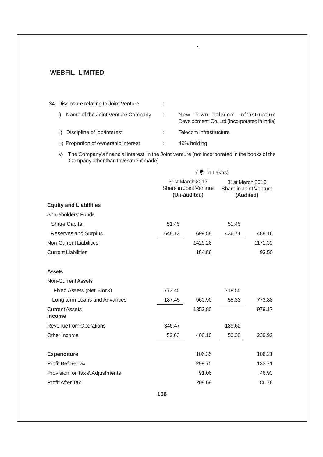| 34. Disclosure relating to Joint Venture |   |                                                                                |
|------------------------------------------|---|--------------------------------------------------------------------------------|
| Name of the Joint Venture Company<br>i)  | ÷ | New Town Telecom Infrastructure<br>Development Co. Ltd (Incorporated in India) |
| ii) Discipline of job/interest           |   | Telecom Infrastructure                                                         |
| iii) Proportion of ownership interest    |   | 49% holding                                                                    |

 $\mathcal{L}$ 

iv) The Company's financial interest in the Joint Venture (not incorporated in the books of the Company other than Investment made)

|                                        | (₹ in Lakhs) |                                                           |        |                                                        |  |  |
|----------------------------------------|--------------|-----------------------------------------------------------|--------|--------------------------------------------------------|--|--|
|                                        |              | 31st March 2017<br>Share in Joint Venture<br>(Un-audited) |        | 31st March 2016<br>Share in Joint Venture<br>(Audited) |  |  |
| <b>Equity and Liabilities</b>          |              |                                                           |        |                                                        |  |  |
| <b>Shareholders' Funds</b>             |              |                                                           |        |                                                        |  |  |
| <b>Share Capital</b>                   | 51.45        |                                                           | 51.45  |                                                        |  |  |
| <b>Reserves and Surplus</b>            | 648.13       | 699.58                                                    | 436.71 | 488.16                                                 |  |  |
| Non-Current Liabilities                |              | 1429.26                                                   |        | 1171.39                                                |  |  |
| <b>Current Liabilities</b>             |              | 184.86                                                    |        | 93.50                                                  |  |  |
| <b>Assets</b>                          |              |                                                           |        |                                                        |  |  |
| Non-Current Assets                     |              |                                                           |        |                                                        |  |  |
| Fixed Assets (Net Block)               | 773.45       |                                                           | 718.55 |                                                        |  |  |
| Long term Loans and Advances           | 187.45       | 960.90                                                    | 55.33  | 773.88                                                 |  |  |
| <b>Current Assets</b><br><b>Income</b> |              | 1352.80                                                   |        | 979.17                                                 |  |  |
| Revenue from Operations                | 346.47       |                                                           | 189.62 |                                                        |  |  |
| Other Income                           | 59.63        | 406.10                                                    | 50.30  | 239.92                                                 |  |  |
| <b>Expenditure</b>                     |              | 106.35                                                    |        | 106.21                                                 |  |  |
| <b>Profit Before Tax</b>               |              | 299.75                                                    |        | 133.71                                                 |  |  |
| Provision for Tax & Adjustments        |              | 91.06                                                     |        | 46.93                                                  |  |  |
| Profit After Tax                       |              | 208.69                                                    |        | 86.78                                                  |  |  |
|                                        | 106          |                                                           |        |                                                        |  |  |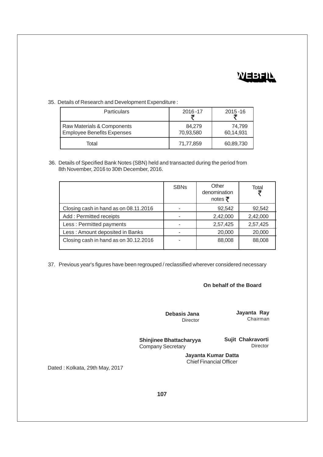

#### 35. Details of Research and Development Expenditure :

| <b>Particulars</b>                                              | 2016-17             | $2015 - 16$         |
|-----------------------------------------------------------------|---------------------|---------------------|
| Raw Materials & Components<br><b>Employee Benefits Expenses</b> | 84.279<br>70,93,580 | 74.799<br>60,14,931 |
| Total                                                           | 71,77,859           | 60,89,730           |

#### 36. Details of Specified Bank Notes (SBN) held and transacted during the period from 8th November, 2016 to 30th December, 2016.

|                                       | <b>SBNs</b> | Other<br>denomination<br>notes ₹ | Total    |
|---------------------------------------|-------------|----------------------------------|----------|
| Closing cash in hand as on 08.11.2016 |             | 92.542                           | 92,542   |
| Add: Permitted receipts               |             | 2,42,000                         | 2,42,000 |
| Less: Permitted payments              |             | 2,57,425                         | 2,57,425 |
| Less: Amount deposited in Banks       |             | 20,000                           | 20,000   |
| Closing cash in hand as on 30.12.2016 |             | 88,008                           | 88,008   |

37. Previous year's figures have been regrouped / reclassified wherever considered necessary

**On behalf of the Board**

**Debasis Jana** Director **Jayanta Ray** Chairman

**Shinjinee Bhattacharyya** Company Secretary

**Sujit Chakravorti** Director

**Jayanta Kumar Datta** Chief Financial Officer

Dated : Kolkata, 29th May, 2017